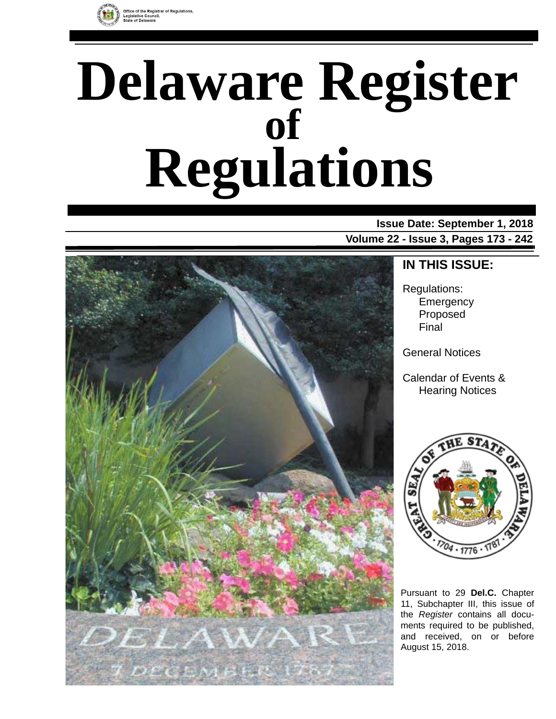

# **Delaware Register Regulations of**

**Issue Date: September 1, 2018 Volume 22 - Issue 3, Pages 173 - 242**



### **IN THIS ISSUE:**

Regulations: **Emergency** Proposed Final

General Notices

Calendar of Events & Hearing Notices



Pursuant to 29 **Del.C.** Chapter 11, Subchapter III, this issue of the *Register* contains all documents required to be published, and received, on or before August 15, 2018.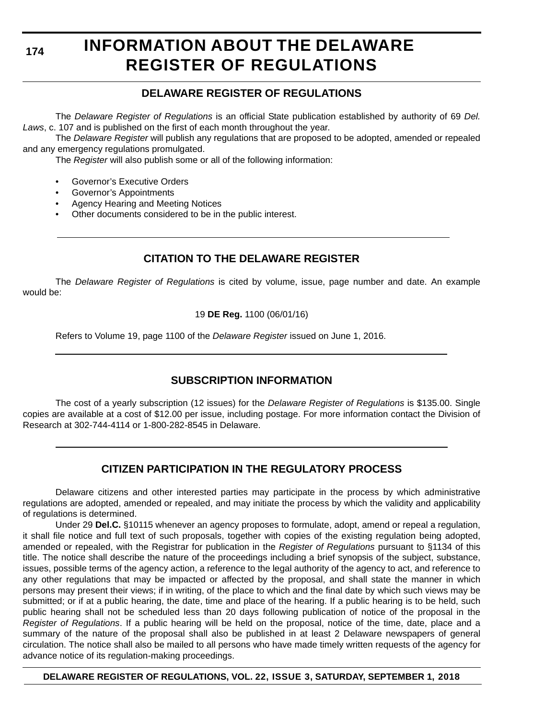**174**

### **INFORMATION ABOUT THE DELAWARE REGISTER OF REGULATIONS**

#### **DELAWARE REGISTER OF REGULATIONS**

The *Delaware Register of Regulations* is an official State publication established by authority of 69 *Del. Laws*, c. 107 and is published on the first of each month throughout the year.

The *Delaware Register* will publish any regulations that are proposed to be adopted, amended or repealed and any emergency regulations promulgated.

The *Register* will also publish some or all of the following information:

- Governor's Executive Orders
- Governor's Appointments
- Agency Hearing and Meeting Notices
- Other documents considered to be in the public interest.

#### **CITATION TO THE DELAWARE REGISTER**

The *Delaware Register of Regulations* is cited by volume, issue, page number and date. An example would be:

19 **DE Reg.** 1100 (06/01/16)

Refers to Volume 19, page 1100 of the *Delaware Register* issued on June 1, 2016.

#### **SUBSCRIPTION INFORMATION**

The cost of a yearly subscription (12 issues) for the *Delaware Register of Regulations* is \$135.00. Single copies are available at a cost of \$12.00 per issue, including postage. For more information contact the Division of Research at 302-744-4114 or 1-800-282-8545 in Delaware.

#### **CITIZEN PARTICIPATION IN THE REGULATORY PROCESS**

Delaware citizens and other interested parties may participate in the process by which administrative regulations are adopted, amended or repealed, and may initiate the process by which the validity and applicability of regulations is determined.

Under 29 **Del.C.** §10115 whenever an agency proposes to formulate, adopt, amend or repeal a regulation, it shall file notice and full text of such proposals, together with copies of the existing regulation being adopted, amended or repealed, with the Registrar for publication in the *Register of Regulations* pursuant to §1134 of this title. The notice shall describe the nature of the proceedings including a brief synopsis of the subject, substance, issues, possible terms of the agency action, a reference to the legal authority of the agency to act, and reference to any other regulations that may be impacted or affected by the proposal, and shall state the manner in which persons may present their views; if in writing, of the place to which and the final date by which such views may be submitted; or if at a public hearing, the date, time and place of the hearing. If a public hearing is to be held, such public hearing shall not be scheduled less than 20 days following publication of notice of the proposal in the *Register of Regulations*. If a public hearing will be held on the proposal, notice of the time, date, place and a summary of the nature of the proposal shall also be published in at least 2 Delaware newspapers of general circulation. The notice shall also be mailed to all persons who have made timely written requests of the agency for advance notice of its regulation-making proceedings.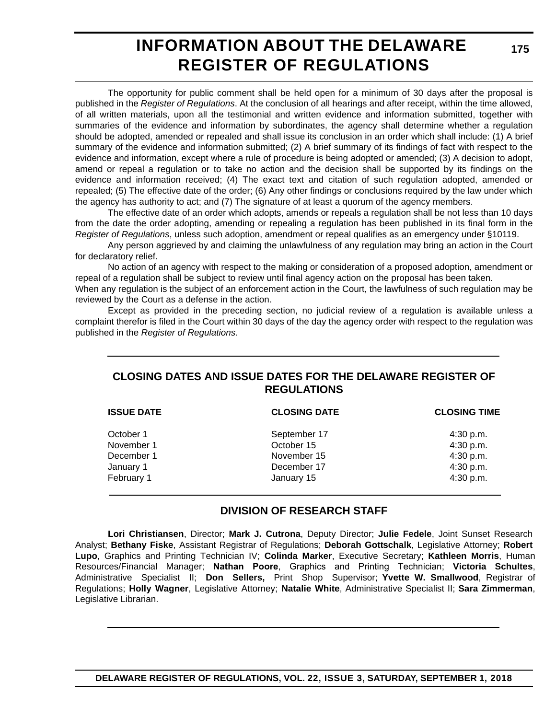### **INFORMATION ABOUT THE DELAWARE REGISTER OF REGULATIONS**

**175**

The opportunity for public comment shall be held open for a minimum of 30 days after the proposal is published in the *Register of Regulations*. At the conclusion of all hearings and after receipt, within the time allowed, of all written materials, upon all the testimonial and written evidence and information submitted, together with summaries of the evidence and information by subordinates, the agency shall determine whether a regulation should be adopted, amended or repealed and shall issue its conclusion in an order which shall include: (1) A brief summary of the evidence and information submitted; (2) A brief summary of its findings of fact with respect to the evidence and information, except where a rule of procedure is being adopted or amended; (3) A decision to adopt, amend or repeal a regulation or to take no action and the decision shall be supported by its findings on the evidence and information received; (4) The exact text and citation of such regulation adopted, amended or repealed; (5) The effective date of the order; (6) Any other findings or conclusions required by the law under which the agency has authority to act; and (7) The signature of at least a quorum of the agency members.

The effective date of an order which adopts, amends or repeals a regulation shall be not less than 10 days from the date the order adopting, amending or repealing a regulation has been published in its final form in the *Register of Regulations*, unless such adoption, amendment or repeal qualifies as an emergency under §10119.

Any person aggrieved by and claiming the unlawfulness of any regulation may bring an action in the Court for declaratory relief.

No action of an agency with respect to the making or consideration of a proposed adoption, amendment or repeal of a regulation shall be subject to review until final agency action on the proposal has been taken.

When any regulation is the subject of an enforcement action in the Court, the lawfulness of such regulation may be reviewed by the Court as a defense in the action.

Except as provided in the preceding section, no judicial review of a regulation is available unless a complaint therefor is filed in the Court within 30 days of the day the agency order with respect to the regulation was published in the *Register of Regulations*.

#### **CLOSING DATES AND ISSUE DATES FOR THE DELAWARE REGISTER OF REGULATIONS**

| <b>ISSUE DATE</b> | <b>CLOSING DATE</b> | <b>CLOSING TIME</b> |  |
|-------------------|---------------------|---------------------|--|
| October 1         | September 17        | 4:30 p.m.           |  |
| November 1        | October 15          | 4:30 p.m.           |  |
| December 1        | November 15         | 4:30 p.m.           |  |
| January 1         | December 17         | 4:30 p.m.           |  |
| February 1        | January 15          | 4:30 p.m.           |  |

#### **DIVISION OF RESEARCH STAFF**

**Lori Christiansen**, Director; **Mark J. Cutrona**, Deputy Director; **Julie Fedele**, Joint Sunset Research Analyst; **Bethany Fiske**, Assistant Registrar of Regulations; **Deborah Gottschalk**, Legislative Attorney; **Robert Lupo**, Graphics and Printing Technician IV; **Colinda Marker**, Executive Secretary; **Kathleen Morris**, Human Resources/Financial Manager; **Nathan Poore**, Graphics and Printing Technician; **Victoria Schultes**, Administrative Specialist II; **Don Sellers,** Print Shop Supervisor; **Yvette W. Smallwood**, Registrar of Regulations; **Holly Wagner**, Legislative Attorney; **Natalie White**, Administrative Specialist II; **Sara Zimmerman**, Legislative Librarian.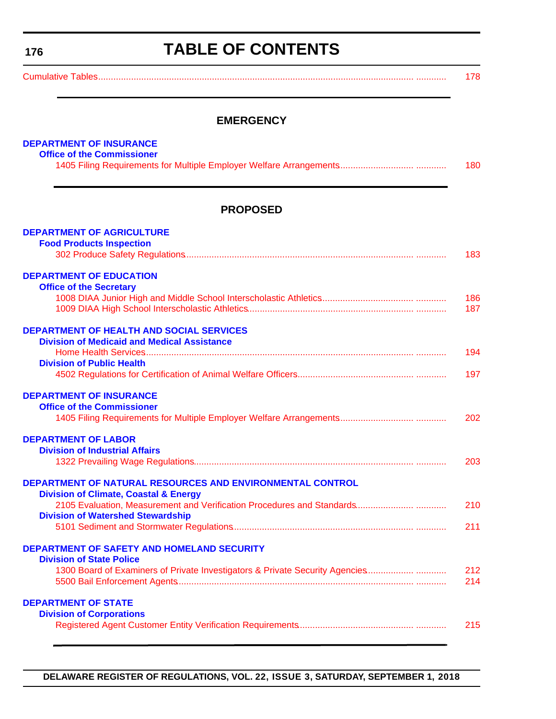<span id="page-3-0"></span>**176**

### **TABLE OF CONTENTS**

| $\sim$ $\sim$ |  |  |  |
|---------------|--|--|--|
|---------------|--|--|--|

#### **EMERGENCY**

| <b>DEPARTMENT OF INSURANCE</b>                                               |            |
|------------------------------------------------------------------------------|------------|
| <b>Office of the Commissioner</b>                                            |            |
|                                                                              | 180        |
|                                                                              |            |
| <b>PROPOSED</b>                                                              |            |
| <b>DEPARTMENT OF AGRICULTURE</b>                                             |            |
| <b>Food Products Inspection</b>                                              |            |
|                                                                              | 183        |
| <b>DEPARTMENT OF EDUCATION</b>                                               |            |
| <b>Office of the Secretary</b>                                               |            |
|                                                                              | 186        |
|                                                                              | 187        |
| <b>DEPARTMENT OF HEALTH AND SOCIAL SERVICES</b>                              |            |
| <b>Division of Medicaid and Medical Assistance</b>                           |            |
|                                                                              | 194        |
| <b>Division of Public Health</b>                                             |            |
|                                                                              | 197        |
| <b>DEPARTMENT OF INSURANCE</b>                                               |            |
| <b>Office of the Commissioner</b>                                            |            |
|                                                                              | 202        |
| <b>DEPARTMENT OF LABOR</b>                                                   |            |
| <b>Division of Industrial Affairs</b>                                        |            |
|                                                                              | 203        |
| DEPARTMENT OF NATURAL RESOURCES AND ENVIRONMENTAL CONTROL                    |            |
| <b>Division of Climate, Coastal &amp; Energy</b>                             |            |
|                                                                              | 210        |
| <b>Division of Watershed Stewardship</b>                                     |            |
|                                                                              | 211        |
| DEPARTMENT OF SAFETY AND HOMELAND SECURITY                                   |            |
| <b>Division of State Police</b>                                              |            |
| 1300 Board of Examiners of Private Investigators & Private Security Agencies | 212<br>214 |
|                                                                              |            |
| <b>DEPARTMENT OF STATE</b>                                                   |            |
| <b>Division of Corporations</b>                                              |            |
|                                                                              | 215        |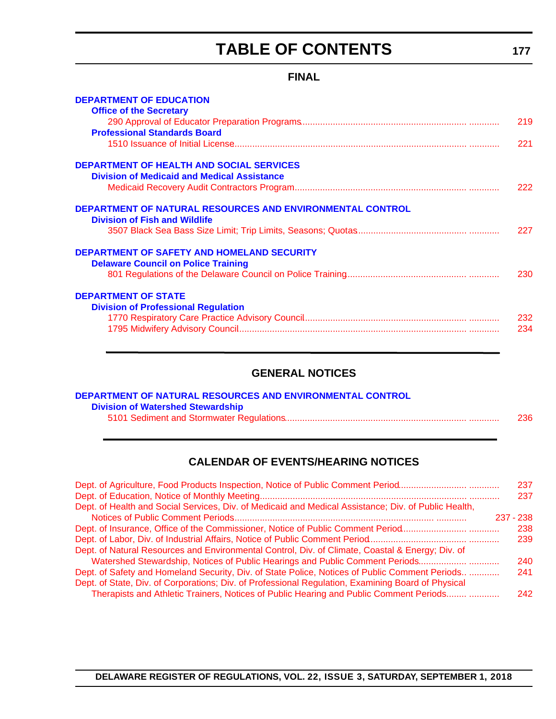### **TABLE OF CONTENTS**

#### **FINAL**

<span id="page-4-0"></span>

| <b>DEPARTMENT OF EDUCATION</b>                                                                    |     |
|---------------------------------------------------------------------------------------------------|-----|
| <b>Office of the Secretary</b>                                                                    |     |
|                                                                                                   | 219 |
| <b>Professional Standards Board</b>                                                               |     |
|                                                                                                   | 221 |
| <b>DEPARTMENT OF HEALTH AND SOCIAL SERVICES</b>                                                   |     |
| <b>Division of Medicaid and Medical Assistance</b>                                                |     |
|                                                                                                   | 222 |
| DEPARTMENT OF NATURAL RESOURCES AND ENVIRONMENTAL CONTROL<br><b>Division of Fish and Wildlife</b> |     |
|                                                                                                   | 227 |
| <b>DEPARTMENT OF SAFETY AND HOMELAND SECURITY</b>                                                 |     |
| <b>Delaware Council on Police Training</b>                                                        |     |
|                                                                                                   | 230 |
| <b>DEPARTMENT OF STATE</b>                                                                        |     |
| <b>Division of Professional Regulation</b>                                                        |     |
|                                                                                                   | 232 |
|                                                                                                   | 234 |
|                                                                                                   |     |

#### **GENERAL NOTICES**

| DEPARTMENT OF NATURAL RESOURCES AND ENVIRONMENTAL CONTROL |     |
|-----------------------------------------------------------|-----|
| <b>Division of Watershed Stewardship</b>                  |     |
|                                                           | 236 |

#### **CALENDAR OF EVENTS/HEARING NOTICES**

|                                                                                                      | 237         |
|------------------------------------------------------------------------------------------------------|-------------|
|                                                                                                      | 237         |
| Dept. of Health and Social Services, Div. of Medicaid and Medical Assistance; Div. of Public Health, |             |
|                                                                                                      | $237 - 238$ |
|                                                                                                      | 238         |
|                                                                                                      | 239         |
| Dept. of Natural Resources and Environmental Control, Div. of Climate, Coastal & Energy; Div. of     |             |
| Watershed Stewardship, Notices of Public Hearings and Public Comment Periods                         | 240         |
| Dept. of Safety and Homeland Security, Div. of State Police, Notices of Public Comment Periods       | 241         |
| Dept. of State, Div. of Corporations; Div. of Professional Regulation, Examining Board of Physical   |             |
| Therapists and Athletic Trainers, Notices of Public Hearing and Public Comment Periods               | 242         |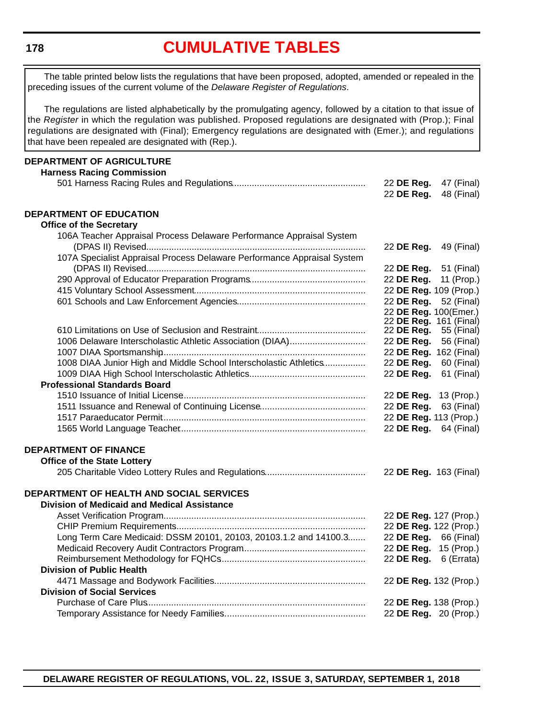<span id="page-5-0"></span>**178**

### **[CUMULATIVE TABLES](#page-3-0)**

The table printed below lists the regulations that have been proposed, adopted, amended or repealed in the preceding issues of the current volume of the *Delaware Register of Regulations*.

The regulations are listed alphabetically by the promulgating agency, followed by a citation to that issue of the *Register* in which the regulation was published. Proposed regulations are designated with (Prop.); Final regulations are designated with (Final); Emergency regulations are designated with (Emer.); and regulations that have been repealed are designated with (Rep.).

| DEPARTMENT OF AGRICULTURE                                               |                        |            |
|-------------------------------------------------------------------------|------------------------|------------|
| <b>Harness Racing Commission</b>                                        |                        |            |
|                                                                         | 22 DE Reg.             | 47 (Final) |
|                                                                         | 22 DE Reg.             | 48 (Final) |
| <b>DEPARTMENT OF EDUCATION</b>                                          |                        |            |
| <b>Office of the Secretary</b>                                          |                        |            |
| 106A Teacher Appraisal Process Delaware Performance Appraisal System    |                        |            |
|                                                                         | 22 DE Reg.             | 49 (Final) |
| 107A Specialist Appraisal Process Delaware Performance Appraisal System |                        |            |
|                                                                         | 22 DE Reg.             | 51 (Final) |
|                                                                         | 22 DE Reg.             | 11 (Prop.) |
|                                                                         | 22 DE Reg. 109 (Prop.) |            |
|                                                                         | 22 DE Reg.             | 52 (Final) |
|                                                                         | 22 DE Reg. 100(Emer.)  |            |
|                                                                         | 22 DE Reg. 161 (Final) |            |
|                                                                         | 22 DE Reg.             | 55 (Final) |
| 1006 Delaware Interscholastic Athletic Association (DIAA)               | 22 DE Reg.             | 56 (Final) |
|                                                                         | 22 DE Reg. 162 (Final) |            |
| 1008 DIAA Junior High and Middle School Interscholastic Athletics       | 22 DE Reg.             | 60 (Final) |
|                                                                         | 22 DE Reg.             | 61 (Final) |
| <b>Professional Standards Board</b>                                     |                        |            |
|                                                                         | 22 DE Reg. 13 (Prop.)  |            |
|                                                                         | 22 DE Reg.             | 63 (Final) |
|                                                                         | 22 DE Reg. 113 (Prop.) |            |
|                                                                         | 22 DE Reg. 64 (Final)  |            |
|                                                                         |                        |            |
| <b>DEPARTMENT OF FINANCE</b>                                            |                        |            |
| <b>Office of the State Lottery</b>                                      |                        |            |
|                                                                         | 22 DE Reg. 163 (Final) |            |
|                                                                         |                        |            |
| DEPARTMENT OF HEALTH AND SOCIAL SERVICES                                |                        |            |
| <b>Division of Medicaid and Medical Assistance</b>                      |                        |            |
|                                                                         | 22 DE Reg. 127 (Prop.) |            |
|                                                                         | 22 DE Reg. 122 (Prop.) |            |
| Long Term Care Medicaid: DSSM 20101, 20103, 20103.1.2 and 14100.3       | 22 DE Reg.             | 66 (Final) |
|                                                                         | 22 DE Reg.             | 15 (Prop.) |
|                                                                         | 22 DE Reg.             | 6 (Errata) |
| <b>Division of Public Health</b>                                        |                        |            |
|                                                                         | 22 DE Reg. 132 (Prop.) |            |
| <b>Division of Social Services</b>                                      |                        |            |
|                                                                         | 22 DE Reg. 138 (Prop.) |            |
|                                                                         | 22 DE Reg. 20 (Prop.)  |            |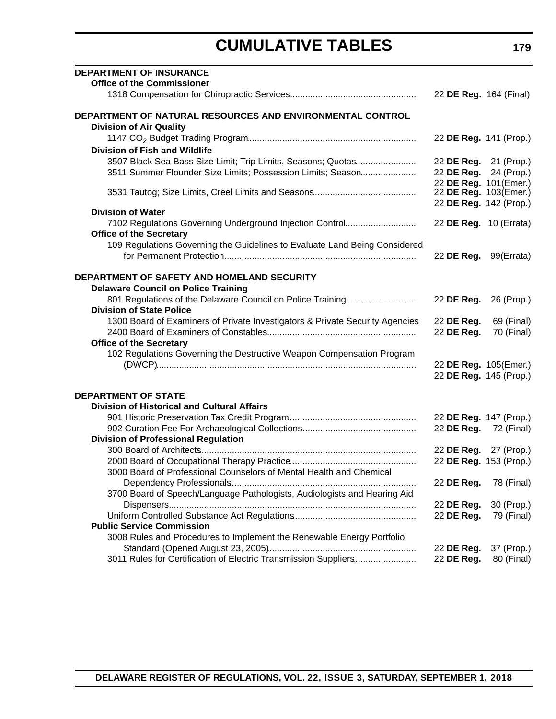### **CUMULATIVE TABLES**

| <b>DEPARTMENT OF INSURANCE</b>                                               |                                                |            |
|------------------------------------------------------------------------------|------------------------------------------------|------------|
| <b>Office of the Commissioner</b>                                            |                                                |            |
|                                                                              | 22 DE Reg. 164 (Final)                         |            |
| DEPARTMENT OF NATURAL RESOURCES AND ENVIRONMENTAL CONTROL                    |                                                |            |
| <b>Division of Air Quality</b>                                               |                                                |            |
|                                                                              | 22 DE Reg. 141 (Prop.)                         |            |
| <b>Division of Fish and Wildlife</b>                                         |                                                |            |
| 3507 Black Sea Bass Size Limit; Trip Limits, Seasons; Quotas                 | 22 DE Reg. 21 (Prop.)                          |            |
| 3511 Summer Flounder Size Limits; Possession Limits; Season                  | 22 DE Reg. 24 (Prop.)                          |            |
|                                                                              | 22 DE Reg. 101(Emer.)<br>22 DE Reg. 103(Emer.) |            |
|                                                                              | 22 DE Reg. 142 (Prop.)                         |            |
| <b>Division of Water</b>                                                     |                                                |            |
| 7102 Regulations Governing Underground Injection Control                     | 22 DE Reg. 10 (Errata)                         |            |
| <b>Office of the Secretary</b>                                               |                                                |            |
| 109 Regulations Governing the Guidelines to Evaluate Land Being Considered   |                                                |            |
|                                                                              | 22 DE Reg. 99(Errata)                          |            |
|                                                                              |                                                |            |
| DEPARTMENT OF SAFETY AND HOMELAND SECURITY                                   |                                                |            |
| <b>Delaware Council on Police Training</b>                                   |                                                |            |
| 801 Regulations of the Delaware Council on Police Training                   | 22 DE Reg. 26 (Prop.)                          |            |
| <b>Division of State Police</b>                                              |                                                |            |
| 1300 Board of Examiners of Private Investigators & Private Security Agencies | 22 DE Reg.                                     | 69 (Final) |
|                                                                              | 22 DE Reg.                                     | 70 (Final) |
| <b>Office of the Secretary</b>                                               |                                                |            |
| 102 Regulations Governing the Destructive Weapon Compensation Program        | 22 DE Reg. 105(Emer.)                          |            |
|                                                                              | 22 DE Reg. 145 (Prop.)                         |            |
|                                                                              |                                                |            |
| <b>DEPARTMENT OF STATE</b>                                                   |                                                |            |
| <b>Division of Historical and Cultural Affairs</b>                           |                                                |            |
|                                                                              | 22 DE Reg. 147 (Prop.)                         |            |
|                                                                              | 22 DE Reg. 72 (Final)                          |            |
| <b>Division of Professional Regulation</b>                                   |                                                |            |
|                                                                              | 22 DE Reg. 27 (Prop.)                          |            |
|                                                                              | 22 DE Reg. 153 (Prop.)                         |            |
| 3000 Board of Professional Counselors of Mental Health and Chemical          |                                                |            |
|                                                                              | 22 DE Reg.                                     | 78 (Final) |
| 3700 Board of Speech/Language Pathologists, Audiologists and Hearing Aid     |                                                |            |
|                                                                              | 22 DE Reg.                                     | 30 (Prop.) |
| <b>Public Service Commission</b>                                             | 22 DE Reg.                                     | 79 (Final) |
| 3008 Rules and Procedures to Implement the Renewable Energy Portfolio        |                                                |            |
|                                                                              | 22 DE Reg.                                     | 37 (Prop.) |
| 3011 Rules for Certification of Electric Transmission Suppliers              | 22 DE Reg.                                     | 80 (Final) |
|                                                                              |                                                |            |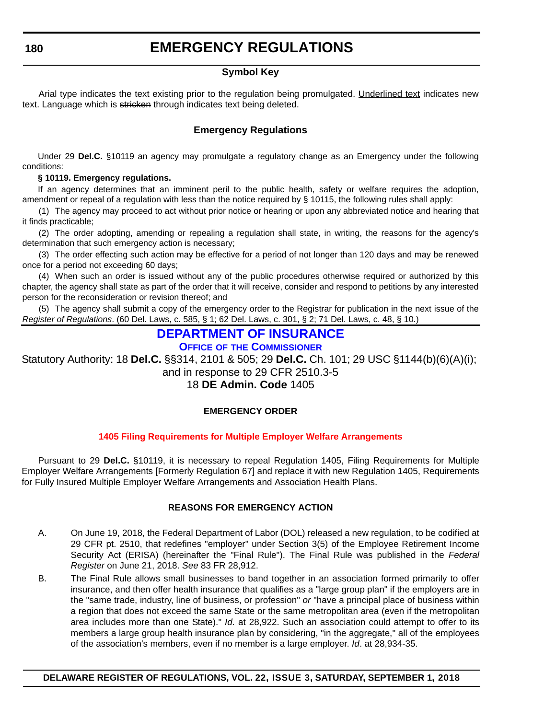### **EMERGENCY REGULATIONS**

#### **Symbol Key**

<span id="page-7-0"></span>Arial type indicates the text existing prior to the regulation being promulgated. Underlined text indicates new text. Language which is stricken through indicates text being deleted.

#### **Emergency Regulations**

Under 29 **Del.C.** §10119 an agency may promulgate a regulatory change as an Emergency under the following conditions:

#### **§ 10119. Emergency regulations.**

If an agency determines that an imminent peril to the public health, safety or welfare requires the adoption, amendment or repeal of a regulation with less than the notice required by § 10115, the following rules shall apply:

(1) The agency may proceed to act without prior notice or hearing or upon any abbreviated notice and hearing that it finds practicable;

(2) The order adopting, amending or repealing a regulation shall state, in writing, the reasons for the agency's determination that such emergency action is necessary;

(3) The order effecting such action may be effective for a period of not longer than 120 days and may be renewed once for a period not exceeding 60 days;

(4) When such an order is issued without any of the public procedures otherwise required or authorized by this chapter, the agency shall state as part of the order that it will receive, consider and respond to petitions by any interested person for the reconsideration or revision thereof; and

(5) The agency shall submit a copy of the emergency order to the Registrar for publication in the next issue of the *Register of Regulations*. (60 Del. Laws, c. 585, § 1; 62 Del. Laws, c. 301, § 2; 71 Del. Laws, c. 48, § 10.)

#### **[DEPARTMENT OF INSURANCE](https://insurance.delaware.gov/)**

**OFFICE OF [THE COMMISSIONER](https://insurance.delaware.gov/)**

Statutory Authority: 18 **Del.C.** §§314, 2101 & 505; 29 **Del.C.** Ch. 101; 29 USC §1144(b)(6)(A)(i);

and in response to 29 CFR 2510.3-5

18 **DE Admin. Code** 1405

#### **EMERGENCY ORDER**

#### **[1405 Filing Requirements for Multiple Employer Welfare Arrangements](#page-3-0)**

Pursuant to 29 **Del.C.** §10119, it is necessary to repeal Regulation 1405, Filing Requirements for Multiple Employer Welfare Arrangements [Formerly Regulation 67] and replace it with new Regulation 1405, Requirements for Fully Insured Multiple Employer Welfare Arrangements and Association Health Plans.

#### **REASONS FOR EMERGENCY ACTION**

- A. On June 19, 2018, the Federal Department of Labor (DOL) released a new regulation, to be codified at 29 CFR pt. 2510, that redefines "employer" under Section 3(5) of the Employee Retirement Income Security Act (ERISA) (hereinafter the "Final Rule"). The Final Rule was published in the *Federal Register* on June 21, 2018. *See* 83 FR 28,912.
- B. The Final Rule allows small businesses to band together in an association formed primarily to offer insurance, and then offer health insurance that qualifies as a "large group plan" if the employers are in the "same trade, industry, line of business, or profession" *or* "have a principal place of business within a region that does not exceed the same State or the same metropolitan area (even if the metropolitan area includes more than one State)." *Id.* at 28,922. Such an association could attempt to offer to its members a large group health insurance plan by considering, "in the aggregate," all of the employees of the association's members, even if no member is a large employer. *Id*. at 28,934-35.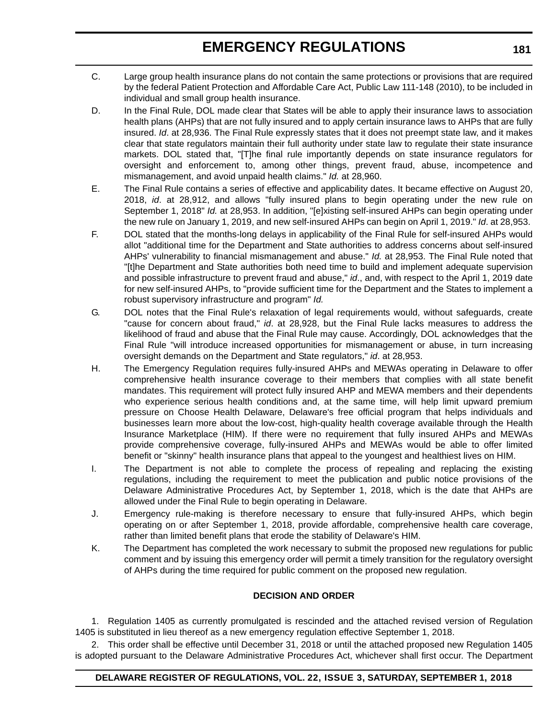### **EMERGENCY REGULATIONS**

- C. Large group health insurance plans do not contain the same protections or provisions that are required by the federal Patient Protection and Affordable Care Act, Public Law 111-148 (2010), to be included in individual and small group health insurance.
- D. In the Final Rule, DOL made clear that States will be able to apply their insurance laws to association health plans (AHPs) that are not fully insured and to apply certain insurance laws to AHPs that are fully insured. *Id*. at 28,936. The Final Rule expressly states that it does not preempt state law, and it makes clear that state regulators maintain their full authority under state law to regulate their state insurance markets. DOL stated that, "[T]he final rule importantly depends on state insurance regulators for oversight and enforcement to, among other things, prevent fraud, abuse, incompetence and mismanagement, and avoid unpaid health claims." *Id.* at 28,960.
- E. The Final Rule contains a series of effective and applicability dates. It became effective on August 20, 2018, *id*. at 28,912, and allows "fully insured plans to begin operating under the new rule on September 1, 2018" *Id.* at 28,953. In addition, "[e]xisting self-insured AHPs can begin operating under the new rule on January 1, 2019, and new self-insured AHPs can begin on April 1, 2019." *Id*. at 28,953.
- F. DOL stated that the months-long delays in applicability of the Final Rule for self-insured AHPs would allot "additional time for the Department and State authorities to address concerns about self-insured AHPs' vulnerability to financial mismanagement and abuse." *Id.* at 28,953. The Final Rule noted that "[t]he Department and State authorities both need time to build and implement adequate supervision and possible infrastructure to prevent fraud and abuse," *id*., and, with respect to the April 1, 2019 date for new self-insured AHPs, to "provide sufficient time for the Department and the States to implement a robust supervisory infrastructure and program" *Id.*
- G. DOL notes that the Final Rule's relaxation of legal requirements would, without safeguards, create "cause for concern about fraud," *id*. at 28,928, but the Final Rule lacks measures to address the likelihood of fraud and abuse that the Final Rule may cause. Accordingly, DOL acknowledges that the Final Rule "will introduce increased opportunities for mismanagement or abuse, in turn increasing oversight demands on the Department and State regulators," *id*. at 28,953.
- H. The Emergency Regulation requires fully-insured AHPs and MEWAs operating in Delaware to offer comprehensive health insurance coverage to their members that complies with all state benefit mandates. This requirement will protect fully insured AHP and MEWA members and their dependents who experience serious health conditions and, at the same time, will help limit upward premium pressure on Choose Health Delaware, Delaware's free official program that helps individuals and businesses learn more about the low-cost, high-quality health coverage available through the Health Insurance Marketplace (HIM). If there were no requirement that fully insured AHPs and MEWAs provide comprehensive coverage, fully-insured AHPs and MEWAs would be able to offer limited benefit or "skinny" health insurance plans that appeal to the youngest and healthiest lives on HIM.
- I. The Department is not able to complete the process of repealing and replacing the existing regulations, including the requirement to meet the publication and public notice provisions of the Delaware Administrative Procedures Act, by September 1, 2018, which is the date that AHPs are allowed under the Final Rule to begin operating in Delaware.
- J. Emergency rule-making is therefore necessary to ensure that fully-insured AHPs, which begin operating on or after September 1, 2018, provide affordable, comprehensive health care coverage, rather than limited benefit plans that erode the stability of Delaware's HIM.
- K. The Department has completed the work necessary to submit the proposed new regulations for public comment and by issuing this emergency order will permit a timely transition for the regulatory oversight of AHPs during the time required for public comment on the proposed new regulation.

#### **DECISION AND ORDER**

1. Regulation 1405 as currently promulgated is rescinded and the attached revised version of Regulation 1405 is substituted in lieu thereof as a new emergency regulation effective September 1, 2018.

2. This order shall be effective until December 31, 2018 or until the attached proposed new Regulation 1405 is adopted pursuant to the Delaware Administrative Procedures Act, whichever shall first occur. The Department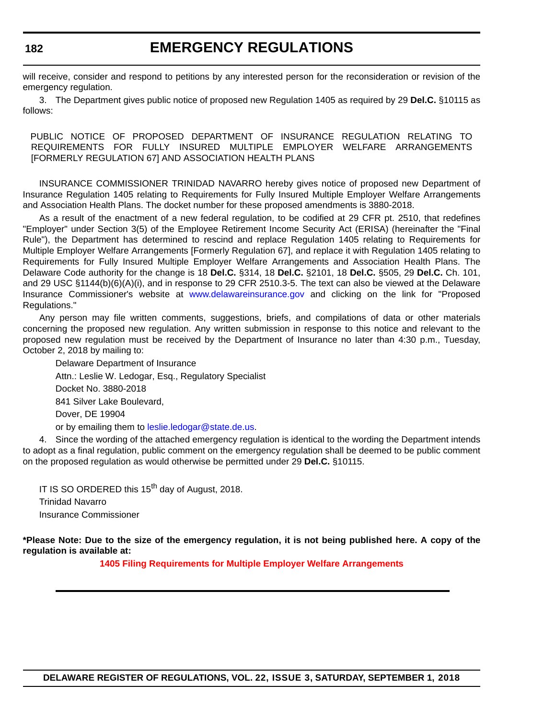### **EMERGENCY REGULATIONS**

will receive, consider and respond to petitions by any interested person for the reconsideration or revision of the emergency regulation.

3. The Department gives public notice of proposed new Regulation 1405 as required by 29 **Del.C.** §10115 as follows:

PUBLIC NOTICE OF PROPOSED DEPARTMENT OF INSURANCE REGULATION RELATING TO REQUIREMENTS FOR FULLY INSURED MULTIPLE EMPLOYER WELFARE ARRANGEMENTS [FORMERLY REGULATION 67] AND ASSOCIATION HEALTH PLANS

INSURANCE COMMISSIONER TRINIDAD NAVARRO hereby gives notice of proposed new Department of Insurance Regulation 1405 relating to Requirements for Fully Insured Multiple Employer Welfare Arrangements and Association Health Plans. The docket number for these proposed amendments is 3880-2018.

As a result of the enactment of a new federal regulation, to be codified at 29 CFR pt. 2510, that redefines "Employer" under Section 3(5) of the Employee Retirement Income Security Act (ERISA) (hereinafter the "Final Rule"), the Department has determined to rescind and replace Regulation 1405 relating to Requirements for Multiple Employer Welfare Arrangements [Formerly Regulation 67], and replace it with Regulation 1405 relating to Requirements for Fully Insured Multiple Employer Welfare Arrangements and Association Health Plans. The Delaware Code authority for the change is 18 **Del.C.** §314, 18 **Del.C.** §2101, 18 **Del.C.** §505, 29 **Del.C.** Ch. 101, and 29 USC §1144(b)(6)(A)(i), and in response to 29 CFR 2510.3-5. The text can also be viewed at the Delaware Insurance Commissioner's website at <www.delawareinsurance.gov> and clicking on the link for "Proposed Regulations."

Any person may file written comments, suggestions, briefs, and compilations of data or other materials concerning the proposed new regulation. Any written submission in response to this notice and relevant to the proposed new regulation must be received by the Department of Insurance no later than 4:30 p.m., Tuesday, October 2, 2018 by mailing to:

Delaware Department of Insurance Attn.: Leslie W. Ledogar, Esq., Regulatory Specialist Docket No. 3880-2018 841 Silver Lake Boulevard, Dover, DE 19904 or by emailing them to [leslie.ledogar@state.de.us](mailto:leslie.ledogar@state.de.us).

4. Since the wording of the attached emergency regulation is identical to the wording the Department intends to adopt as a final regulation, public comment on the emergency regulation shall be deemed to be public comment on the proposed regulation as would otherwise be permitted under 29 **Del.C.** §10115.

IT IS SO ORDERED this 15<sup>th</sup> day of August, 2018. Trinidad Navarro Insurance Commissioner

**\*Please Note: Due to the size of the emergency regulation, it is not being published here. A copy of the regulation is available at:**

**[1405 Filing Requirements for Multiple Employer Welfare Arrangements](http://regulations.delaware.gov/register/september2018/emergency/22 DE Reg 180 09-01-18.htm)**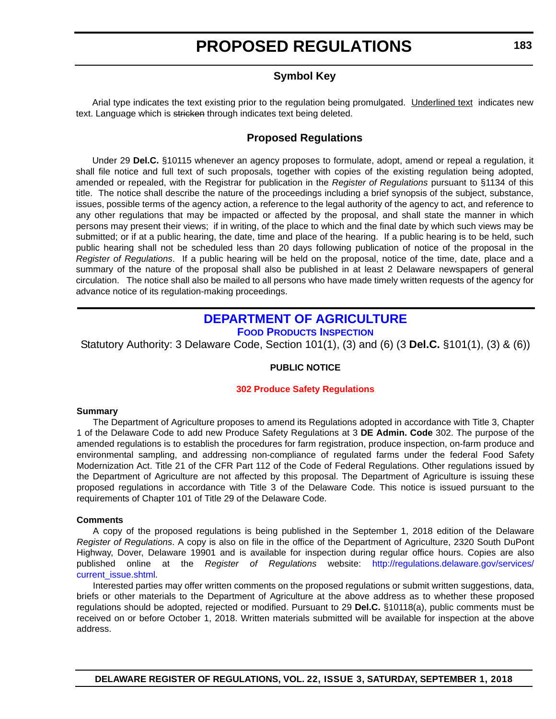#### **Symbol Key**

<span id="page-10-0"></span>Arial type indicates the text existing prior to the regulation being promulgated. Underlined text indicates new text. Language which is stricken through indicates text being deleted.

#### **Proposed Regulations**

Under 29 **Del.C.** §10115 whenever an agency proposes to formulate, adopt, amend or repeal a regulation, it shall file notice and full text of such proposals, together with copies of the existing regulation being adopted, amended or repealed, with the Registrar for publication in the *Register of Regulations* pursuant to §1134 of this title. The notice shall describe the nature of the proceedings including a brief synopsis of the subject, substance, issues, possible terms of the agency action, a reference to the legal authority of the agency to act, and reference to any other regulations that may be impacted or affected by the proposal, and shall state the manner in which persons may present their views; if in writing, of the place to which and the final date by which such views may be submitted; or if at a public hearing, the date, time and place of the hearing. If a public hearing is to be held, such public hearing shall not be scheduled less than 20 days following publication of notice of the proposal in the *Register of Regulations*. If a public hearing will be held on the proposal, notice of the time, date, place and a summary of the nature of the proposal shall also be published in at least 2 Delaware newspapers of general circulation. The notice shall also be mailed to all persons who have made timely written requests of the agency for advance notice of its regulation-making proceedings.

#### **[DEPARTMENT OF AGRICULTURE](https://agriculture.delaware.gov/food-products-inspection/) [FOOD PRODUCTS INSPECTION](https://agriculture.delaware.gov/food-products-inspection/)**

Statutory Authority: 3 Delaware Code, Section 101(1), (3) and (6) (3 **Del.C.** §101(1), (3) & (6))

#### **PUBLIC NOTICE**

#### **[302 Produce Safety Regulations](#page-3-0)**

#### **Summary**

The Department of Agriculture proposes to amend its Regulations adopted in accordance with Title 3, Chapter 1 of the Delaware Code to add new Produce Safety Regulations at 3 **DE Admin. Code** 302. The purpose of the amended regulations is to establish the procedures for farm registration, produce inspection, on-farm produce and environmental sampling, and addressing non-compliance of regulated farms under the federal Food Safety Modernization Act. Title 21 of the CFR Part 112 of the Code of Federal Regulations. Other regulations issued by the Department of Agriculture are not affected by this proposal. The Department of Agriculture is issuing these proposed regulations in accordance with Title 3 of the Delaware Code. This notice is issued pursuant to the requirements of Chapter 101 of Title 29 of the Delaware Code.

#### **Comments**

A copy of the proposed regulations is being published in the September 1, 2018 edition of the Delaware *Register of Regulations*. A copy is also on file in the office of the Department of Agriculture, 2320 South DuPont Highway, Dover, Delaware 19901 and is available for inspection during regular office hours. Copies are also published online at the *Register of Regulations* website: [http://regulations.delaware.gov/services/](http://regulations.delaware.gov/services/current_issue.shtml) [current\\_issue.shtml](http://regulations.delaware.gov/services/current_issue.shtml).

Interested parties may offer written comments on the proposed regulations or submit written suggestions, data, briefs or other materials to the Department of Agriculture at the above address as to whether these proposed regulations should be adopted, rejected or modified. Pursuant to 29 **Del.C.** §10118(a), public comments must be received on or before October 1, 2018. Written materials submitted will be available for inspection at the above address.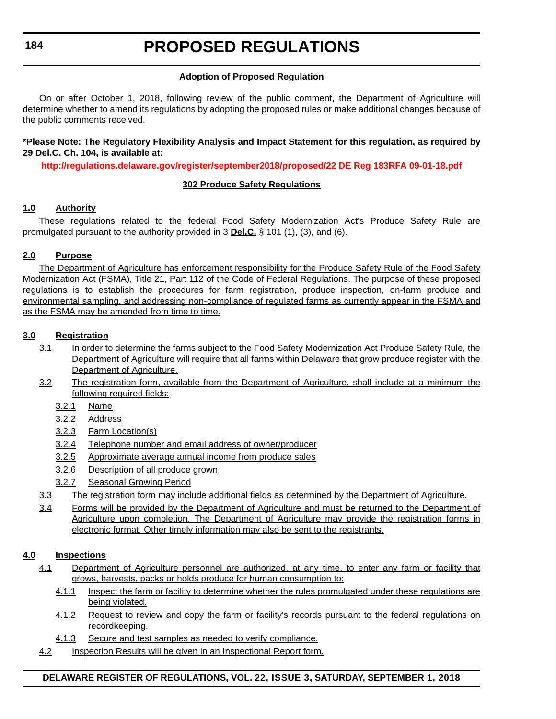#### **184**

### **PROPOSED REGULATIONS**

#### **Adoption of Proposed Regulation**

On or after October 1, 2018, following review of the public comment, the Department of Agriculture will determine whether to amend its regulations by adopting the proposed rules or make additional changes because of the public comments received.

#### **\*Please Note: The Regulatory Flexibility Analysis and Impact Statement for this regulation, as required by 29 Del.C. Ch. 104, is available at:**

**<http://regulations.delaware.gov/register/september2018/proposed/22 DE Reg 183RFA 09-01-18.pdf>**

#### **302 Produce Safety Regulations**

#### **1.0 Authority**

These regulations related to the federal Food Safety Modernization Act's Produce Safety Rule are promulgated pursuant to the authority provided in 3 **Del.C.** § 101 (1), (3), and (6).

#### **2.0 Purpose**

The Department of Agriculture has enforcement responsibility for the Produce Safety Rule of the Food Safety Modernization Act (FSMA), Title 21, Part 112 of the Code of Federal Regulations. The purpose of these proposed regulations is to establish the procedures for farm registration, produce inspection, on-farm produce and environmental sampling, and addressing non-compliance of regulated farms as currently appear in the FSMA and as the FSMA may be amended from time to time.

#### **3.0 Registration**

- 3.1 In order to determine the farms subject to the Food Safety Modernization Act Produce Safety Rule, the Department of Agriculture will require that all farms within Delaware that grow produce register with the Department of Agriculture.
- 3.2 The registration form, available from the Department of Agriculture, shall include at a minimum the following required fields:
	- 3.2.1 Name
	- 3.2.2 Address
	- 3.2.3 Farm Location(s)
	- 3.2.4 Telephone number and email address of owner/producer
	- 3.2.5 Approximate average annual income from produce sales
	- 3.2.6 Description of all produce grown
	- 3.2.7 Seasonal Growing Period
- 3.3 The registration form may include additional fields as determined by the Department of Agriculture.
- 3.4 Forms will be provided by the Department of Agriculture and must be returned to the Department of Agriculture upon completion. The Department of Agriculture may provide the registration forms in electronic format. Other timely information may also be sent to the registrants.

#### **4.0 Inspections**

- 4.1 Department of Agriculture personnel are authorized, at any time, to enter any farm or facility that grows, harvests, packs or holds produce for human consumption to:
	- 4.1.1 Inspect the farm or facility to determine whether the rules promulgated under these regulations are being violated.
	- 4.1.2 Request to review and copy the farm or facility's records pursuant to the federal regulations on recordkeeping.
	- 4.1.3 Secure and test samples as needed to verify compliance.
- 4.2 Inspection Results will be given in an Inspectional Report form.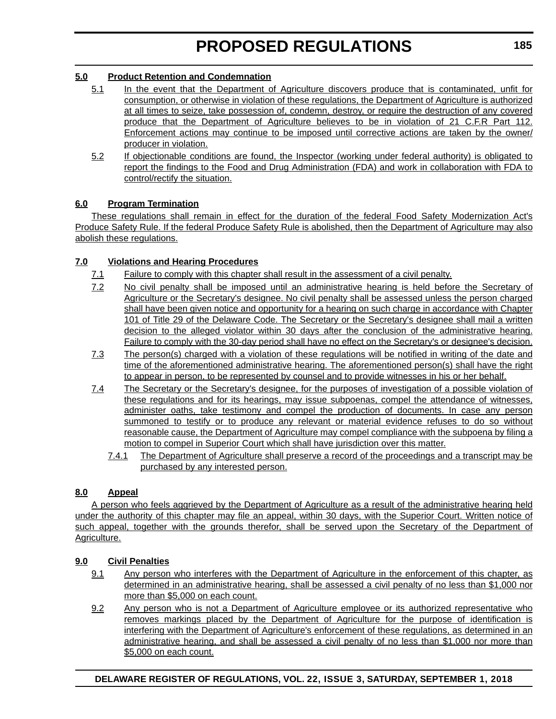#### **5.0 Product Retention and Condemnation**

- 5.1 In the event that the Department of Agriculture discovers produce that is contaminated, unfit for consumption, or otherwise in violation of these regulations, the Department of Agriculture is authorized at all times to seize, take possession of, condemn, destroy, or require the destruction of any covered produce that the Department of Agriculture believes to be in violation of 21 C.F.R Part 112. Enforcement actions may continue to be imposed until corrective actions are taken by the owner/ producer in violation.
- 5.2 If objectionable conditions are found, the Inspector (working under federal authority) is obligated to report the findings to the Food and Drug Administration (FDA) and work in collaboration with FDA to control/rectify the situation.

#### **6.0 Program Termination**

These regulations shall remain in effect for the duration of the federal Food Safety Modernization Act's Produce Safety Rule. If the federal Produce Safety Rule is abolished, then the Department of Agriculture may also abolish these regulations.

#### **7.0 Violations and Hearing Procedures**

- 7.1 Failure to comply with this chapter shall result in the assessment of a civil penalty.
- 7.2 No civil penalty shall be imposed until an administrative hearing is held before the Secretary of Agriculture or the Secretary's designee. No civil penalty shall be assessed unless the person charged shall have been given notice and opportunity for a hearing on such charge in accordance with Chapter 101 of Title 29 of the Delaware Code. The Secretary or the Secretary's designee shall mail a written decision to the alleged violator within 30 days after the conclusion of the administrative hearing. Failure to comply with the 30-day period shall have no effect on the Secretary's or designee's decision.
- 7.3 The person(s) charged with a violation of these regulations will be notified in writing of the date and time of the aforementioned administrative hearing. The aforementioned person(s) shall have the right to appear in person, to be represented by counsel and to provide witnesses in his or her behalf.
- 7.4 The Secretary or the Secretary's designee, for the purposes of investigation of a possible violation of these regulations and for its hearings, may issue subpoenas, compel the attendance of witnesses, administer oaths, take testimony and compel the production of documents. In case any person summoned to testify or to produce any relevant or material evidence refuses to do so without reasonable cause, the Department of Agriculture may compel compliance with the subpoena by filing a motion to compel in Superior Court which shall have jurisdiction over this matter.
	- 7.4.1 The Department of Agriculture shall preserve a record of the proceedings and a transcript may be purchased by any interested person.

#### **8.0 Appeal**

A person who feels aggrieved by the Department of Agriculture as a result of the administrative hearing held under the authority of this chapter may file an appeal, within 30 days, with the Superior Court. Written notice of such appeal, together with the grounds therefor, shall be served upon the Secretary of the Department of Agriculture.

#### **9.0 Civil Penalties**

- 9.1 Any person who interferes with the Department of Agriculture in the enforcement of this chapter, as determined in an administrative hearing, shall be assessed a civil penalty of no less than \$1,000 nor more than \$5,000 on each count.
- 9.2 Any person who is not a Department of Agriculture employee or its authorized representative who removes markings placed by the Department of Agriculture for the purpose of identification is interfering with the Department of Agriculture's enforcement of these regulations, as determined in an administrative hearing, and shall be assessed a civil penalty of no less than \$1,000 nor more than \$5,000 on each count.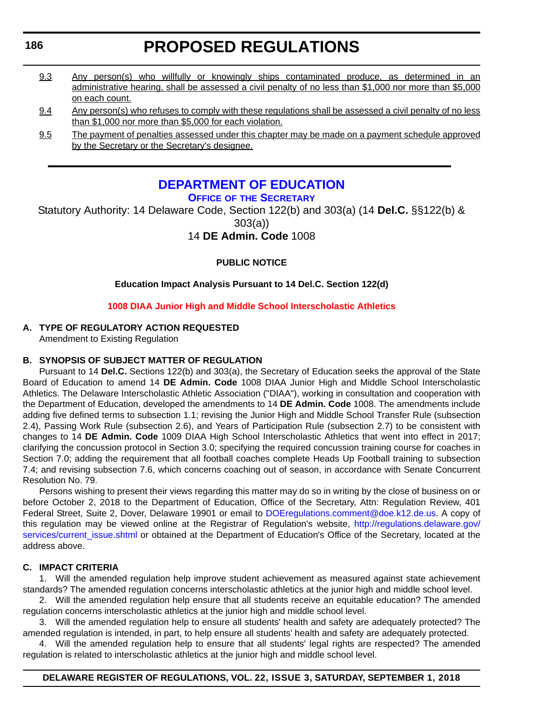- <span id="page-13-0"></span>9.3 Any person(s) who willfully or knowingly ships contaminated produce, as determined in an administrative hearing, shall be assessed a civil penalty of no less than \$1,000 nor more than \$5,000 on each count.
- 9.4 Any person(s) who refuses to comply with these regulations shall be assessed a civil penalty of no less than \$1,000 nor more than \$5,000 for each violation.
- 9.5 The payment of penalties assessed under this chapter may be made on a payment schedule approved by the Secretary or the Secretary's designee.

#### **[DEPARTMENT OF EDUCATION](https://www.doe.k12.de.us/) OFFICE OF [THE SECRETARY](https://pubapps.doe.k12.de.us/EducationalDirectoryPublic/pages/DDOE/Branches.aspx?page=branches&BID=1)**

Statutory Authority: 14 Delaware Code, Section 122(b) and 303(a) (14 **Del.C.** §§122(b) & 303(a))

14 **DE Admin. Code** 1008

#### **PUBLIC NOTICE**

#### **Education Impact Analysis Pursuant to 14 Del.C. Section 122(d)**

#### **[1008 DIAA Junior High and Middle School Interscholastic Athletics](#page-3-0)**

#### **A. TYPE OF REGULATORY ACTION REQUESTED**

Amendment to Existing Regulation

#### **B. SYNOPSIS OF SUBJECT MATTER OF REGULATION**

Pursuant to 14 **Del.C.** Sections 122(b) and 303(a), the Secretary of Education seeks the approval of the State Board of Education to amend 14 **DE Admin. Code** 1008 DIAA Junior High and Middle School Interscholastic Athletics. The Delaware Interscholastic Athletic Association ("DIAA"), working in consultation and cooperation with the Department of Education, developed the amendments to 14 **DE Admin. Code** 1008. The amendments include adding five defined terms to subsection 1.1; revising the Junior High and Middle School Transfer Rule (subsection 2.4), Passing Work Rule (subsection 2.6), and Years of Participation Rule (subsection 2.7) to be consistent with changes to 14 **DE Admin. Code** 1009 DIAA High School Interscholastic Athletics that went into effect in 2017; clarifying the concussion protocol in Section 3.0; specifying the required concussion training course for coaches in Section 7.0; adding the requirement that all football coaches complete Heads Up Football training to subsection 7.4; and revising subsection 7.6, which concerns coaching out of season, in accordance with Senate Concurrent Resolution No. 79.

Persons wishing to present their views regarding this matter may do so in writing by the close of business on or before October 2, 2018 to the Department of Education, Office of the Secretary, Attn: Regulation Review, 401 Federal Street, Suite 2, Dover, Delaware 19901 or email to [DOEregulations.comment@doe.k12.de.us](mailto:DOEregulations.comment@doe.k12.de.us). A copy of this regulation may be viewed online at the Registrar of Regulation's website, [http://regulations.delaware.gov/](http://regulations.delaware.gov/services/current_issue.shtml) [services/current\\_issue.shtml](http://regulations.delaware.gov/services/current_issue.shtml) or obtained at the Department of Education's Office of the Secretary, located at the address above.

#### **C. IMPACT CRITERIA**

1. Will the amended regulation help improve student achievement as measured against state achievement standards? The amended regulation concerns interscholastic athletics at the junior high and middle school level.

2. Will the amended regulation help ensure that all students receive an equitable education? The amended regulation concerns interscholastic athletics at the junior high and middle school level.

3. Will the amended regulation help to ensure all students' health and safety are adequately protected? The amended regulation is intended, in part, to help ensure all students' health and safety are adequately protected.

4. Will the amended regulation help to ensure that all students' legal rights are respected? The amended regulation is related to interscholastic athletics at the junior high and middle school level.

#### **DELAWARE REGISTER OF REGULATIONS, VOL. 22, ISSUE 3, SATURDAY, SEPTEMBER 1, 2018**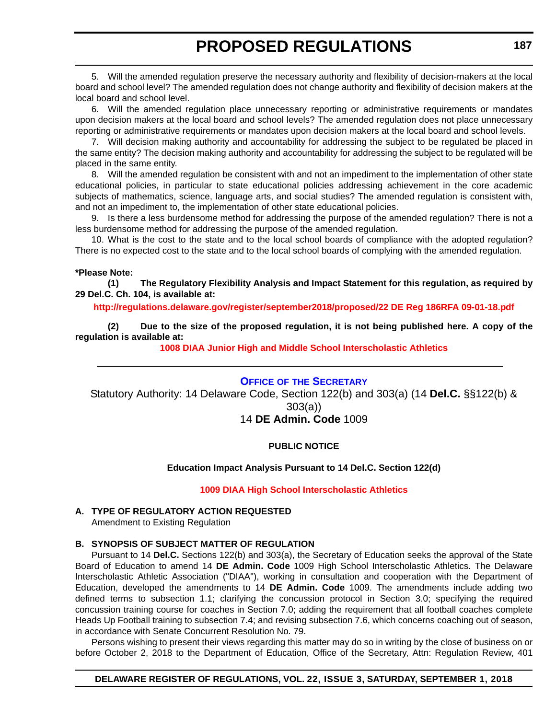<span id="page-14-0"></span>5. Will the amended regulation preserve the necessary authority and flexibility of decision-makers at the local board and school level? The amended regulation does not change authority and flexibility of decision makers at the local board and school level.

6. Will the amended regulation place unnecessary reporting or administrative requirements or mandates upon decision makers at the local board and school levels? The amended regulation does not place unnecessary reporting or administrative requirements or mandates upon decision makers at the local board and school levels.

7. Will decision making authority and accountability for addressing the subject to be regulated be placed in the same entity? The decision making authority and accountability for addressing the subject to be regulated will be placed in the same entity.

8. Will the amended regulation be consistent with and not an impediment to the implementation of other state educational policies, in particular to state educational policies addressing achievement in the core academic subjects of mathematics, science, language arts, and social studies? The amended regulation is consistent with, and not an impediment to, the implementation of other state educational policies.

9. Is there a less burdensome method for addressing the purpose of the amended regulation? There is not a less burdensome method for addressing the purpose of the amended regulation.

10. What is the cost to the state and to the local school boards of compliance with the adopted regulation? There is no expected cost to the state and to the local school boards of complying with the amended regulation.

#### **\*Please Note:**

**(1) The Regulatory Flexibility Analysis and Impact Statement for this regulation, as required by 29 Del.C. Ch. 104, is available at:**

#### **<http://regulations.delaware.gov/register/september2018/proposed/22 DE Reg 186RFA 09-01-18.pdf>**

**(2) Due to the size of the proposed regulation, it is not being published here. A copy of the regulation is available at:**

**[1008 DIAA Junior High and Middle School Interscholastic Athletics](http://regulations.delaware.gov/register/september2018/proposed/22 DE Reg 186 09-01-18.htm)** 

#### **OFFICE OF [THE SECRETARY](https://pubapps.doe.k12.de.us/EducationalDirectoryPublic/pages/DDOE/Branches.aspx?page=branches&BID=1)**

Statutory Authority: 14 Delaware Code, Section 122(b) and 303(a) (14 **Del.C.** §§122(b) & 303(a)) 14 **DE Admin. Code** 1009

#### **PUBLIC NOTICE**

#### **Education Impact Analysis Pursuant to 14 Del.C. Section 122(d)**

#### **[1009 DIAA High School Interscholastic Athletics](#page-3-0)**

#### **A. TYPE OF REGULATORY ACTION REQUESTED**

Amendment to Existing Regulation

#### **B. SYNOPSIS OF SUBJECT MATTER OF REGULATION**

Pursuant to 14 **Del.C.** Sections 122(b) and 303(a), the Secretary of Education seeks the approval of the State Board of Education to amend 14 **DE Admin. Code** 1009 High School Interscholastic Athletics. The Delaware Interscholastic Athletic Association ("DIAA"), working in consultation and cooperation with the Department of Education, developed the amendments to 14 **DE Admin. Code** 1009. The amendments include adding two defined terms to subsection 1.1; clarifying the concussion protocol in Section 3.0; specifying the required concussion training course for coaches in Section 7.0; adding the requirement that all football coaches complete Heads Up Football training to subsection 7.4; and revising subsection 7.6, which concerns coaching out of season, in accordance with Senate Concurrent Resolution No. 79.

Persons wishing to present their views regarding this matter may do so in writing by the close of business on or before October 2, 2018 to the Department of Education, Office of the Secretary, Attn: Regulation Review, 401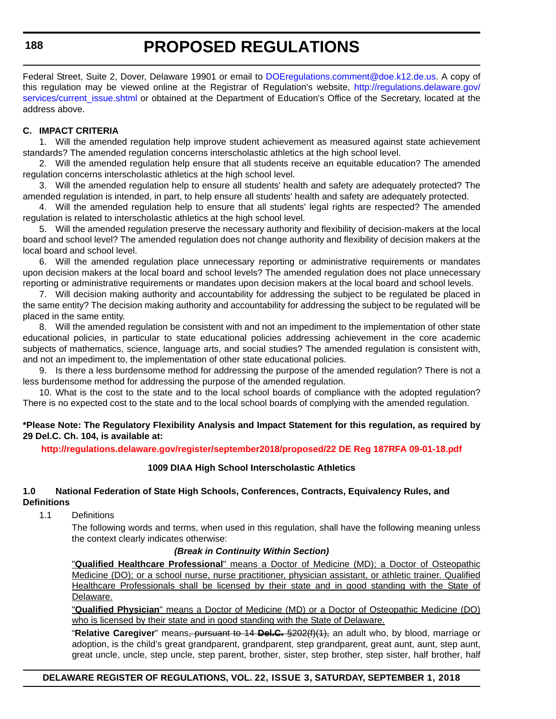Federal Street, Suite 2, Dover, Delaware 19901 or email to [DOEregulations.comment@doe.k12.de.us](mailto:DOEregulations.comment@doe.k12.de.us). A copy of this regulation may be viewed online at the Registrar of Regulation's website, [http://regulations.delaware.gov/](http://regulations.delaware.gov/services/current_issue.shtml) services/current issue.shtml or obtained at the Department of Education's Office of the Secretary, located at the address above.

#### **C. IMPACT CRITERIA**

1. Will the amended regulation help improve student achievement as measured against state achievement standards? The amended regulation concerns interscholastic athletics at the high school level.

2. Will the amended regulation help ensure that all students receive an equitable education? The amended regulation concerns interscholastic athletics at the high school level.

3. Will the amended regulation help to ensure all students' health and safety are adequately protected? The amended regulation is intended, in part, to help ensure all students' health and safety are adequately protected.

4. Will the amended regulation help to ensure that all students' legal rights are respected? The amended regulation is related to interscholastic athletics at the high school level.

5. Will the amended regulation preserve the necessary authority and flexibility of decision-makers at the local board and school level? The amended regulation does not change authority and flexibility of decision makers at the local board and school level.

6. Will the amended regulation place unnecessary reporting or administrative requirements or mandates upon decision makers at the local board and school levels? The amended regulation does not place unnecessary reporting or administrative requirements or mandates upon decision makers at the local board and school levels.

7. Will decision making authority and accountability for addressing the subject to be regulated be placed in the same entity? The decision making authority and accountability for addressing the subject to be regulated will be placed in the same entity.

8. Will the amended regulation be consistent with and not an impediment to the implementation of other state educational policies, in particular to state educational policies addressing achievement in the core academic subjects of mathematics, science, language arts, and social studies? The amended regulation is consistent with, and not an impediment to, the implementation of other state educational policies.

9. Is there a less burdensome method for addressing the purpose of the amended regulation? There is not a less burdensome method for addressing the purpose of the amended regulation.

10. What is the cost to the state and to the local school boards of compliance with the adopted regulation? There is no expected cost to the state and to the local school boards of complying with the amended regulation.

**\*Please Note: The Regulatory Flexibility Analysis and Impact Statement for this regulation, as required by 29 Del.C. Ch. 104, is available at:**

**<http://regulations.delaware.gov/register/september2018/proposed/22 DE Reg 187RFA 09-01-18.pdf>**

#### **1009 DIAA High School Interscholastic Athletics**

#### **1.0 National Federation of State High Schools, Conferences, Contracts, Equivalency Rules, and Definitions**

1.1 Definitions

The following words and terms, when used in this regulation, shall have the following meaning unless the context clearly indicates otherwise:

#### *(Break in Continuity Within Section)*

"**Qualified Healthcare Professional**" means a Doctor of Medicine (MD); a Doctor of Osteopathic Medicine (DO); or a school nurse, nurse practitioner, physician assistant, or athletic trainer. Qualified Healthcare Professionals shall be licensed by their state and in good standing with the State of Delaware.

"**Qualified Physician**" means a Doctor of Medicine (MD) or a Doctor of Osteopathic Medicine (DO) who is licensed by their state and in good standing with the State of Delaware.

"**Relative Caregiver**" means, pursuant to 14 **Del.C.** §202(f)(1), an adult who, by blood, marriage or adoption, is the child's great grandparent, grandparent, step grandparent, great aunt, aunt, step aunt, great uncle, uncle, step uncle, step parent, brother, sister, step brother, step sister, half brother, half

#### **DELAWARE REGISTER OF REGULATIONS, VOL. 22, ISSUE 3, SATURDAY, SEPTEMBER 1, 2018**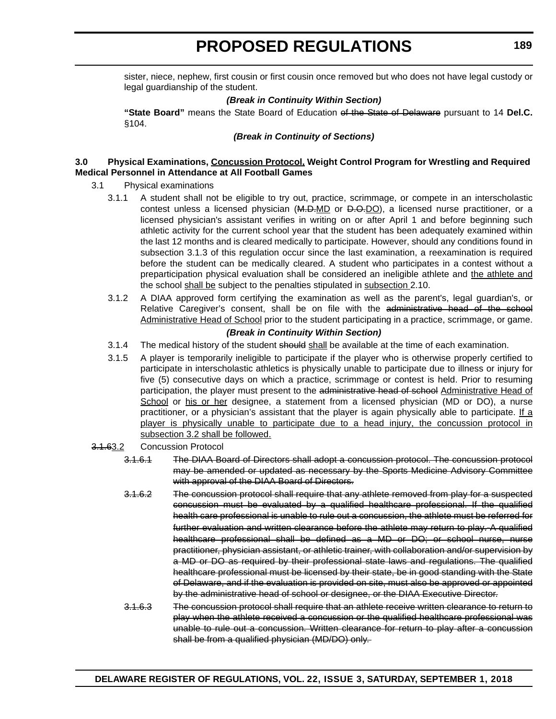sister, niece, nephew, first cousin or first cousin once removed but who does not have legal custody or legal guardianship of the student.

#### *(Break in Continuity Within Section)*

**"State Board"** means the State Board of Education of the State of Delaware pursuant to 14 **Del.C.** §104.

#### *(Break in Continuity of Sections)*

#### **3.0 Physical Examinations, Concussion Protocol, Weight Control Program for Wrestling and Required Medical Personnel in Attendance at All Football Games**

- 3.1 Physical examinations
	- 3.1.1 A student shall not be eligible to try out, practice, scrimmage, or compete in an interscholastic contest unless a licensed physician  $(M.D-MD$  or  $D.O.DO$ ), a licensed nurse practitioner, or a licensed physician's assistant verifies in writing on or after April 1 and before beginning such athletic activity for the current school year that the student has been adequately examined within the last 12 months and is cleared medically to participate. However, should any conditions found in subsection 3.1.3 of this regulation occur since the last examination, a reexamination is required before the student can be medically cleared. A student who participates in a contest without a preparticipation physical evaluation shall be considered an ineligible athlete and the athlete and the school shall be subject to the penalties stipulated in subsection 2.10.
	- 3.1.2 A DIAA approved form certifying the examination as well as the parent's, legal guardian's, or Relative Caregiver's consent, shall be on file with the administrative head of the school Administrative Head of School prior to the student participating in a practice, scrimmage, or game.

#### *(Break in Continuity Within Section)*

- 3.1.4 The medical history of the student should shall be available at the time of each examination.
- 3.1.5 A player is temporarily ineligible to participate if the player who is otherwise properly certified to participate in interscholastic athletics is physically unable to participate due to illness or injury for five (5) consecutive days on which a practice, scrimmage or contest is held. Prior to resuming participation, the player must present to the administrative head of school Administrative Head of School or his or her designee, a statement from a licensed physician (MD or DO), a nurse practitioner, or a physician's assistant that the player is again physically able to participate. If a player is physically unable to participate due to a head injury, the concussion protocol in subsection 3.2 shall be followed.

#### 3.1.63.2 Concussion Protocol

- 3.1.6.1 The DIAA Board of Directors shall adopt a concussion protocol. The concussion protocol may be amended or updated as necessary by the Sports Medicine Advisory Committee with approval of the DIAA Board of Directors.
- 3.1.6.2 The concussion protocol shall require that any athlete removed from play for a suspected concussion must be evaluated by a qualified healthcare professional. If the qualified health care professional is unable to rule out a concussion, the athlete must be referred for further evaluation and written clearance before the athlete may return to play. A qualified healthcare professional shall be defined as a MD or DO; or school nurse, nurse practitioner, physician assistant, or athletic trainer, with collaboration and/or supervision by a MD or DO as required by their professional state laws and regulations. The qualified healthcare professional must be licensed by their state, be in good standing with the State of Delaware, and if the evaluation is provided on site, must also be approved or appointed by the administrative head of school or designee, or the DIAA Executive Director.
- 3.1.6.3 The concussion protocol shall require that an athlete receive written clearance to return to play when the athlete received a concussion or the qualified healthcare professional was unable to rule out a concussion. Written clearance for return to play after a concussion shall be from a qualified physician (MD/DO) only.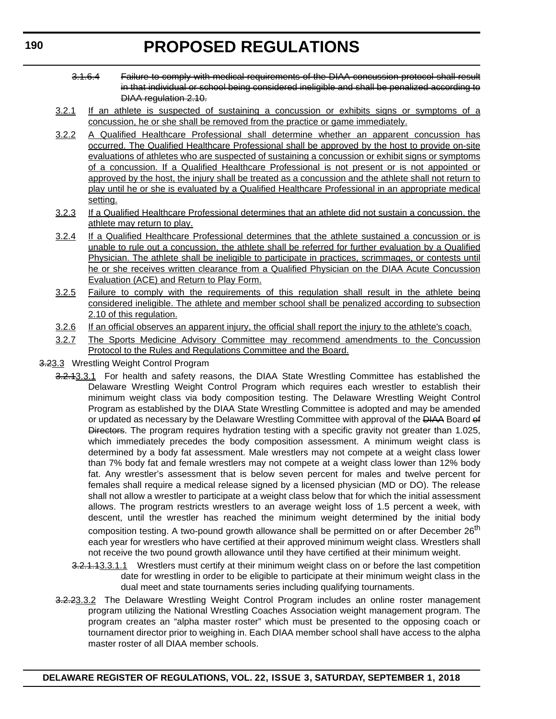- 3.1.6.4 Failure to comply with medical requirements of the DIAA concussion protocol shall result in that individual or school being considered ineligible and shall be penalized according to DIAA regulation 2.10.
- 3.2.1 If an athlete is suspected of sustaining a concussion or exhibits signs or symptoms of a concussion, he or she shall be removed from the practice or game immediately.
- 3.2.2 A Qualified Healthcare Professional shall determine whether an apparent concussion has occurred. The Qualified Healthcare Professional shall be approved by the host to provide on-site evaluations of athletes who are suspected of sustaining a concussion or exhibit signs or symptoms of a concussion. If a Qualified Healthcare Professional is not present or is not appointed or approved by the host, the injury shall be treated as a concussion and the athlete shall not return to play until he or she is evaluated by a Qualified Healthcare Professional in an appropriate medical setting.
- 3.2.3 If a Qualified Healthcare Professional determines that an athlete did not sustain a concussion, the athlete may return to play.
- 3.2.4 If a Qualified Healthcare Professional determines that the athlete sustained a concussion or is unable to rule out a concussion, the athlete shall be referred for further evaluation by a Qualified Physician. The athlete shall be ineligible to participate in practices, scrimmages, or contests until he or she receives written clearance from a Qualified Physician on the DIAA Acute Concussion Evaluation (ACE) and Return to Play Form.
- 3.2.5 Failure to comply with the requirements of this regulation shall result in the athlete being considered ineligible. The athlete and member school shall be penalized according to subsection 2.10 of this regulation.
- 3.2.6 If an official observes an apparent injury, the official shall report the injury to the athlete's coach.
- 3.2.7 The Sports Medicine Advisory Committee may recommend amendments to the Concussion Protocol to the Rules and Regulations Committee and the Board.
- 3.23.3 Wrestling Weight Control Program
	- 3.2.43.3.1 For health and safety reasons, the DIAA State Wrestling Committee has established the Delaware Wrestling Weight Control Program which requires each wrestler to establish their minimum weight class via body composition testing. The Delaware Wrestling Weight Control Program as established by the DIAA State Wrestling Committee is adopted and may be amended or updated as necessary by the Delaware Wrestling Committee with approval of the HAA Board of Directors. The program requires hydration testing with a specific gravity not greater than 1.025, which immediately precedes the body composition assessment. A minimum weight class is determined by a body fat assessment. Male wrestlers may not compete at a weight class lower than 7% body fat and female wrestlers may not compete at a weight class lower than 12% body fat. Any wrestler's assessment that is below seven percent for males and twelve percent for females shall require a medical release signed by a licensed physician (MD or DO). The release shall not allow a wrestler to participate at a weight class below that for which the initial assessment allows. The program restricts wrestlers to an average weight loss of 1.5 percent a week, with descent, until the wrestler has reached the minimum weight determined by the initial body composition testing. A two-pound growth allowance shall be permitted on or after December 26<sup>th</sup> each year for wrestlers who have certified at their approved minimum weight class. Wrestlers shall not receive the two pound growth allowance until they have certified at their minimum weight.
		- 3.2.1.13.3.1.1 Wrestlers must certify at their minimum weight class on or before the last competition date for wrestling in order to be eligible to participate at their minimum weight class in the dual meet and state tournaments series including qualifying tournaments.
	- 3.2.23.3.2 The Delaware Wrestling Weight Control Program includes an online roster management program utilizing the National Wrestling Coaches Association weight management program. The program creates an "alpha master roster" which must be presented to the opposing coach or tournament director prior to weighing in. Each DIAA member school shall have access to the alpha master roster of all DIAA member schools.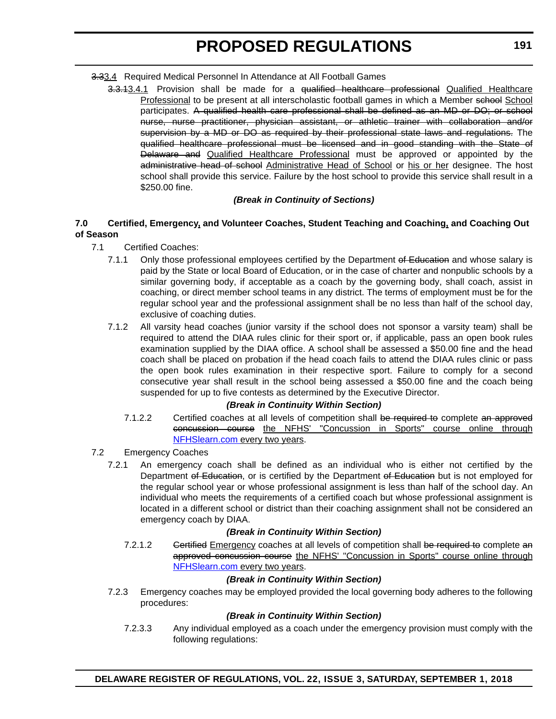- 3.33.4 Required Medical Personnel In Attendance at All Football Games
	- 3.3.13.4.1 Provision shall be made for a qualified healthcare professional Qualified Healthcare Professional to be present at all interscholastic football games in which a Member school School participates. A qualified health care professional shall be defined as an MD or DO; or school nurse, nurse practitioner, physician assistant, or athletic trainer with collaboration and/or supervision by a MD or DO as required by their professional state laws and regulations. The qualified healthcare professional must be licensed and in good standing with the State of Delaware and Qualified Healthcare Professional must be approved or appointed by the administrative head of school Administrative Head of School or his or her designee. The host school shall provide this service. Failure by the host school to provide this service shall result in a \$250.00 fine.

#### *(Break in Continuity of Sections)*

#### **7.0 Certified, Emergency, and Volunteer Coaches, Student Teaching and Coaching, and Coaching Out of Season**

- 7.1 Certified Coaches:
	- 7.1.1 Only those professional employees certified by the Department of Education and whose salary is paid by the State or local Board of Education, or in the case of charter and nonpublic schools by a similar governing body, if acceptable as a coach by the governing body, shall coach, assist in coaching, or direct member school teams in any district. The terms of employment must be for the regular school year and the professional assignment shall be no less than half of the school day, exclusive of coaching duties.
	- 7.1.2 All varsity head coaches (junior varsity if the school does not sponsor a varsity team) shall be required to attend the DIAA rules clinic for their sport or, if applicable, pass an open book rules examination supplied by the DIAA office. A school shall be assessed a \$50.00 fine and the head coach shall be placed on probation if the head coach fails to attend the DIAA rules clinic or pass the open book rules examination in their respective sport. Failure to comply for a second consecutive year shall result in the school being assessed a \$50.00 fine and the coach being suspended for up to five contests as determined by the Executive Director.

#### *(Break in Continuity Within Section)*

- 7.1.2.2 Certified coaches at all levels of competition shall be required to complete an approved concussion course the NFHS' "Concussion in Sports" course online through [NFHSlearn.com e](www.NFHSlearn.com)very two years.
- 7.2 Emergency Coaches
	- 7.2.1 An emergency coach shall be defined as an individual who is either not certified by the Department of Education, or is certified by the Department of Education but is not employed for the regular school year or whose professional assignment is less than half of the school day. An individual who meets the requirements of a certified coach but whose professional assignment is located in a different school or district than their coaching assignment shall not be considered an emergency coach by DIAA.

#### *(Break in Continuity Within Section)*

7.2.1.2 Gertified Emergency coaches at all levels of competition shall be required to complete an approved concussion course the NFHS' "Concussion in Sports" course online through [NFHSlearn.com e](www.NFHSlearn.com)very two years.

#### *(Break in Continuity Within Section)*

7.2.3 Emergency coaches may be employed provided the local governing body adheres to the following procedures:

#### *(Break in Continuity Within Section)*

7.2.3.3 Any individual employed as a coach under the emergency provision must comply with the following regulations: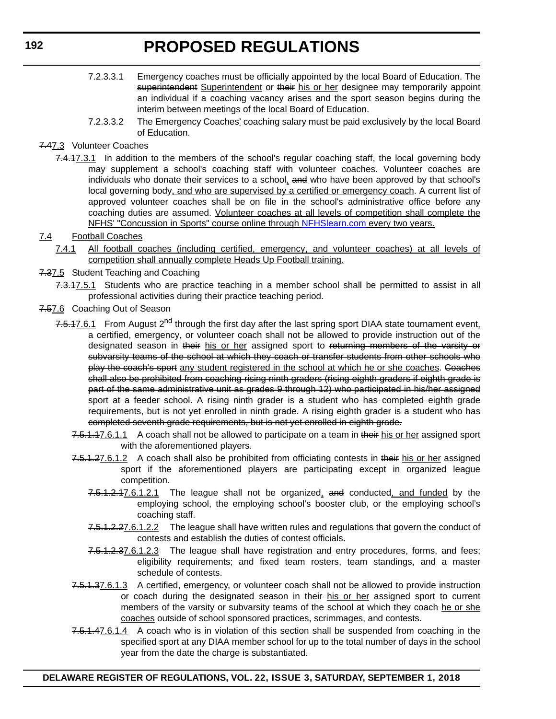- 7.2.3.3.1 Emergency coaches must be officially appointed by the local Board of Education. The superintendent Superintendent or their his or her designee may temporarily appoint an individual if a coaching vacancy arises and the sport season begins during the interim between meetings of the local Board of Education.
- 7.2.3.3.2 The Emergency Coaches' coaching salary must be paid exclusively by the local Board of Education.
- 7.47.3 Volunteer Coaches
	- 7.4.17.3.1 In addition to the members of the school's regular coaching staff, the local governing body may supplement a school's coaching staff with volunteer coaches. Volunteer coaches are individuals who donate their services to a school, and who have been approved by that school's local governing body, and who are supervised by a certified or emergency coach. A current list of approved volunteer coaches shall be on file in the school's administrative office before any coaching duties are assumed. Volunteer coaches at all levels of competition shall complete the NFHS' "Concussion in Sports" course online through [NFHSlearn.com](www.NFHSlearn.com) every two years.
- 7.4 Football Coaches
	- 7.4.1 All football coaches (including certified, emergency, and volunteer coaches) at all levels of competition shall annually complete Heads Up Football training.
- 7.37.5 Student Teaching and Coaching
	- 7.3.17.5.1 Students who are practice teaching in a member school shall be permitted to assist in all professional activities during their practice teaching period.
- 7.57.6 Coaching Out of Season
	- 7.5.17.6.1 From August 2<sup>nd</sup> through the first day after the last spring sport DIAA state tournament event, a certified, emergency, or volunteer coach shall not be allowed to provide instruction out of the designated season in their his or her assigned sport to returning members of the varsity or subvarsity teams of the school at which they coach or transfer students from other schools who play the coach's sport any student registered in the school at which he or she coaches. Coaches shall also be prohibited from coaching rising ninth graders (rising eighth graders if eighth grade is part of the same administrative unit as grades 9 through 12) who participated in his/her assigned sport at a feeder school. A rising ninth grader is a student who has completed eighth grade requirements, but is not yet enrolled in ninth grade. A rising eighth grader is a student who has completed seventh grade requirements, but is not yet enrolled in eighth grade.
		- 7.5.1.17.6.1.1 A coach shall not be allowed to participate on a team in their his or her assigned sport with the aforementioned players.
		- 7.5.1.27.6.1.2 A coach shall also be prohibited from officiating contests in their his or her assigned sport if the aforementioned players are participating except in organized league competition.
			- 7.5.1.2.17.6.1.2.1 The league shall not be organized, and conducted, and funded by the employing school, the employing school's booster club, or the employing school's coaching staff.
			- 7.5.1.2.27.6.1.2.2 The league shall have written rules and regulations that govern the conduct of contests and establish the duties of contest officials.
			- 7.5.1.2.37.6.1.2.3 The league shall have registration and entry procedures, forms, and fees; eligibility requirements; and fixed team rosters, team standings, and a master schedule of contests.
		- 7.5.1.37.6.1.3 A certified, emergency, or volunteer coach shall not be allowed to provide instruction or coach during the designated season in their his or her assigned sport to current members of the varsity or subvarsity teams of the school at which they coach he or she coaches outside of school sponsored practices, scrimmages, and contests.
		- 7.5.1.47.6.1.4 A coach who is in violation of this section shall be suspended from coaching in the specified sport at any DIAA member school for up to the total number of days in the school year from the date the charge is substantiated.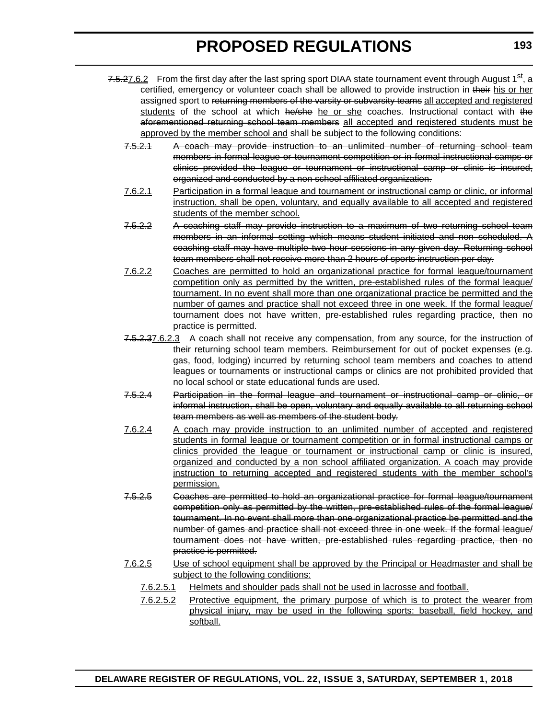- 7.5.27.6.2 From the first day after the last spring sport DIAA state tournament event through August 1<sup>st</sup>, a certified, emergency or volunteer coach shall be allowed to provide instruction in their his or her assigned sport to returning members of the varsity or subvarsity teams all accepted and registered students of the school at which he/she he or she coaches. Instructional contact with the aforementioned returning school team members all accepted and registered students must be approved by the member school and shall be subject to the following conditions:
	- 7.5.2.1 A coach may provide instruction to an unlimited number of returning school team members in formal league or tournament competition or in formal instructional camps or clinics provided the league or tournament or instructional camp or clinic is insured, organized and conducted by a non school affiliated organization.
	- 7.6.2.1 Participation in a formal league and tournament or instructional camp or clinic, or informal instruction, shall be open, voluntary, and equally available to all accepted and registered students of the member school.
	- 7.5.2.2 A coaching staff may provide instruction to a maximum of two returning school team members in an informal setting which means student initiated and non scheduled. A coaching staff may have multiple two hour sessions in any given day. Returning school team members shall not receive more than 2 hours of sports instruction per day.
	- 7.6.2.2 Coaches are permitted to hold an organizational practice for formal league/tournament competition only as permitted by the written, pre-established rules of the formal league/ tournament. In no event shall more than one organizational practice be permitted and the number of games and practice shall not exceed three in one week. If the formal league/ tournament does not have written, pre-established rules regarding practice, then no practice is permitted.
	- 7.5.2.37.6.2.3 A coach shall not receive any compensation, from any source, for the instruction of their returning school team members. Reimbursement for out of pocket expenses (e.g. gas, food, lodging) incurred by returning school team members and coaches to attend leagues or tournaments or instructional camps or clinics are not prohibited provided that no local school or state educational funds are used.
	- 7.5.2.4 Participation in the formal league and tournament or instructional camp or clinic, or informal instruction, shall be open, voluntary and equally available to all returning school team members as well as members of the student body.
	- 7.6.2.4 A coach may provide instruction to an unlimited number of accepted and registered students in formal league or tournament competition or in formal instructional camps or clinics provided the league or tournament or instructional camp or clinic is insured, organized and conducted by a non school affiliated organization. A coach may provide instruction to returning accepted and registered students with the member school's permission.
	- 7.5.2.5 Coaches are permitted to hold an organizational practice for formal league/tournament competition only as permitted by the written, pre-established rules of the formal league/ tournament. In no event shall more than one organizational practice be permitted and the number of games and practice shall not exceed three in one week. If the formal league/ tournament does not have written, pre-established rules regarding practice, then no practice is permitted.
	- 7.6.2.5 Use of school equipment shall be approved by the Principal or Headmaster and shall be subject to the following conditions:
		- 7.6.2.5.1 Helmets and shoulder pads shall not be used in lacrosse and football.
		- 7.6.2.5.2 Protective equipment, the primary purpose of which is to protect the wearer from physical injury, may be used in the following sports: baseball, field hockey, and softball.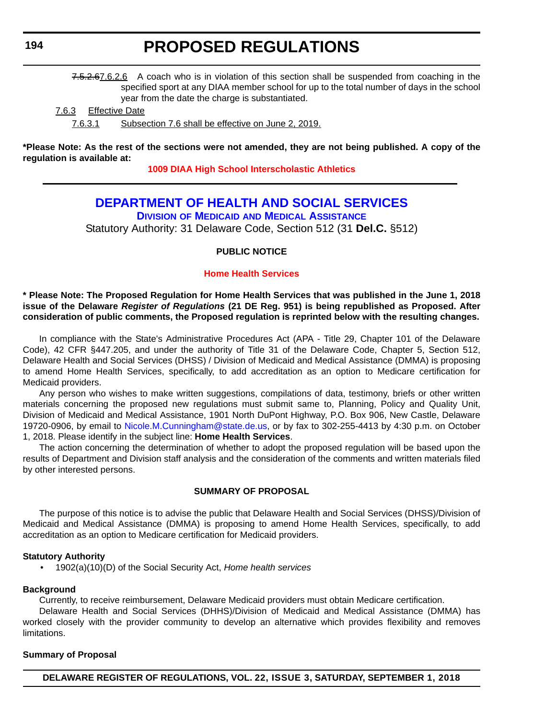<span id="page-21-0"></span>7.5.2.67.6.2.6 A coach who is in violation of this section shall be suspended from coaching in the specified sport at any DIAA member school for up to the total number of days in the school year from the date the charge is substantiated.

7.6.3 Effective Date

7.6.3.1 Subsection 7.6 shall be effective on June 2, 2019.

**\*Please Note: As the rest of the sections were not amended, they are not being published. A copy of the regulation is available at:**

**[1009 DIAA High School Interscholastic Athletics](http://regulations.delaware.gov/register/september2018/proposed/22 DE Reg 187 09-01-18.htm)** 

### **[DEPARTMENT OF HEALTH AND SOCIAL SERVICES](https://www.dhss.delaware.gov/dhss/index.html)**

**DIVISION OF MEDICAID [AND MEDICAL ASSISTANCE](https://www.dhss.delaware.gov/dhss/dmma/)**

Statutory Authority: 31 Delaware Code, Section 512 (31 **Del.C.** §512)

#### **PUBLIC NOTICE**

#### **[Home Health Services](#page-3-0)**

**\* Please Note: The Proposed Regulation for Home Health Services that was published in the June 1, 2018 issue of the Delaware** *Register of Regulations* **(21 DE Reg. 951) is being republished as Proposed. After consideration of public comments, the Proposed regulation is reprinted below with the resulting changes.**

In compliance with the State's Administrative Procedures Act (APA - Title 29, Chapter 101 of the Delaware Code), 42 CFR §447.205, and under the authority of Title 31 of the Delaware Code, Chapter 5, Section 512, Delaware Health and Social Services (DHSS) / Division of Medicaid and Medical Assistance (DMMA) is proposing to amend Home Health Services, specifically, to add accreditation as an option to Medicare certification for Medicaid providers.

Any person who wishes to make written suggestions, compilations of data, testimony, briefs or other written materials concerning the proposed new regulations must submit same to, Planning, Policy and Quality Unit, Division of Medicaid and Medical Assistance, 1901 North DuPont Highway, P.O. Box 906, New Castle, Delaware 19720-0906, by email to [Nicole.M.Cunningham@state.de.us](mailto:Nicole.M.Cunningham@state.de.us), or by fax to 302-255-4413 by 4:30 p.m. on October 1, 2018. Please identify in the subject line: **Home Health Services**.

The action concerning the determination of whether to adopt the proposed regulation will be based upon the results of Department and Division staff analysis and the consideration of the comments and written materials filed by other interested persons.

#### **SUMMARY OF PROPOSAL**

The purpose of this notice is to advise the public that Delaware Health and Social Services (DHSS)/Division of Medicaid and Medical Assistance (DMMA) is proposing to amend Home Health Services, specifically, to add accreditation as an option to Medicare certification for Medicaid providers.

#### **Statutory Authority**

• 1902(a)(10)(D) of the Social Security Act, *Home health services*

#### **Background**

Currently, to receive reimbursement, Delaware Medicaid providers must obtain Medicare certification.

Delaware Health and Social Services (DHHS)/Division of Medicaid and Medical Assistance (DMMA) has worked closely with the provider community to develop an alternative which provides flexibility and removes limitations.

#### **Summary of Proposal**

**DELAWARE REGISTER OF REGULATIONS, VOL. 22, ISSUE 3, SATURDAY, SEPTEMBER 1, 2018**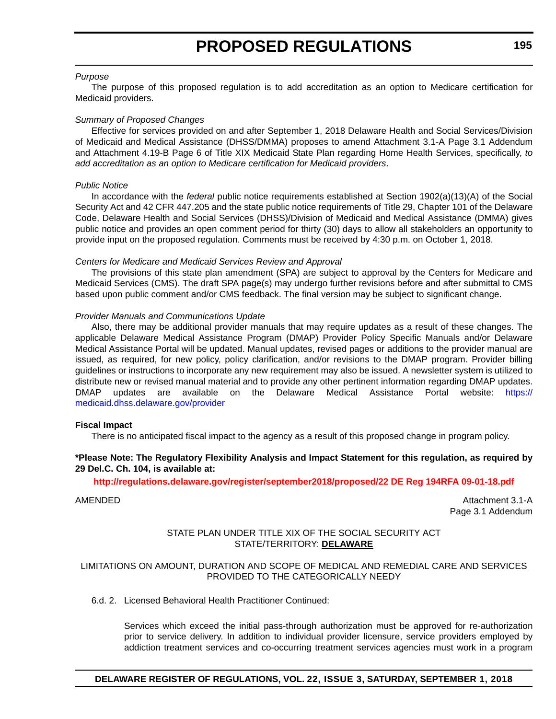#### *Purpose*

The purpose of this proposed regulation is to add accreditation as an option to Medicare certification for Medicaid providers.

#### *Summary of Proposed Changes*

Effective for services provided on and after September 1, 2018 Delaware Health and Social Services/Division of Medicaid and Medical Assistance (DHSS/DMMA) proposes to amend Attachment 3.1-A Page 3.1 Addendum and Attachment 4.19-B Page 6 of Title XIX Medicaid State Plan regarding Home Health Services, specifically, *to add accreditation as an option to Medicare certification for Medicaid providers*.

#### *Public Notice*

In accordance with the *federal* public notice requirements established at Section 1902(a)(13)(A) of the Social Security Act and 42 CFR 447.205 and the state public notice requirements of Title 29, Chapter 101 of the Delaware Code, Delaware Health and Social Services (DHSS)/Division of Medicaid and Medical Assistance (DMMA) gives public notice and provides an open comment period for thirty (30) days to allow all stakeholders an opportunity to provide input on the proposed regulation. Comments must be received by 4:30 p.m. on October 1, 2018.

#### *Centers for Medicare and Medicaid Services Review and Approval*

The provisions of this state plan amendment (SPA) are subject to approval by the Centers for Medicare and Medicaid Services (CMS). The draft SPA page(s) may undergo further revisions before and after submittal to CMS based upon public comment and/or CMS feedback. The final version may be subject to significant change.

#### *Provider Manuals and Communications Update*

Also, there may be additional provider manuals that may require updates as a result of these changes. The applicable Delaware Medical Assistance Program (DMAP) Provider Policy Specific Manuals and/or Delaware Medical Assistance Portal will be updated. Manual updates, revised pages or additions to the provider manual are issued, as required, for new policy, policy clarification, and/or revisions to the DMAP program. Provider billing guidelines or instructions to incorporate any new requirement may also be issued. A newsletter system is utilized to distribute new or revised manual material and to provide any other pertinent information regarding DMAP updates. DMAP updates are available on the Delaware Medical Assistance Portal website: [https://](https://medicaid.dhss.delaware.gov/provider) [medicaid.dhss.delaware.gov/provider](https://medicaid.dhss.delaware.gov/provider)

#### **Fiscal Impact**

There is no anticipated fiscal impact to the agency as a result of this proposed change in program policy.

#### **\*Please Note: The Regulatory Flexibility Analysis and Impact Statement for this regulation, as required by 29 Del.C. Ch. 104, is available at:**

#### **<http://regulations.delaware.gov/register/september2018/proposed/22 DE Reg 194RFA 09-01-18.pdf>**

AMENDED Attachment 3.1-A Page 3.1 Addendum

#### STATE PLAN UNDER TITLE XIX OF THE SOCIAL SECURITY ACT STATE/TERRITORY: **DELAWARE**

#### LIMITATIONS ON AMOUNT, DURATION AND SCOPE OF MEDICAL AND REMEDIAL CARE AND SERVICES PROVIDED TO THE CATEGORICALLY NEEDY

6.d. 2. Licensed Behavioral Health Practitioner Continued:

Services which exceed the initial pass-through authorization must be approved for re-authorization prior to service delivery. In addition to individual provider licensure, service providers employed by addiction treatment services and co-occurring treatment services agencies must work in a program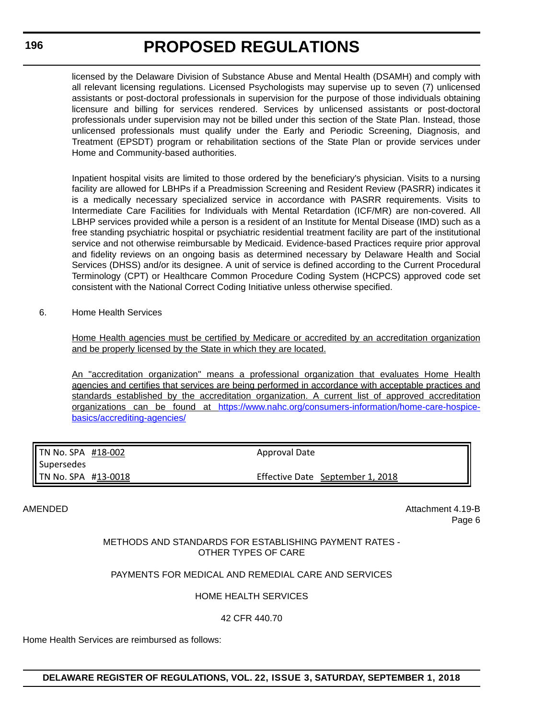licensed by the Delaware Division of Substance Abuse and Mental Health (DSAMH) and comply with all relevant licensing regulations. Licensed Psychologists may supervise up to seven (7) unlicensed assistants or post-doctoral professionals in supervision for the purpose of those individuals obtaining licensure and billing for services rendered. Services by unlicensed assistants or post-doctoral professionals under supervision may not be billed under this section of the State Plan. Instead, those unlicensed professionals must qualify under the Early and Periodic Screening, Diagnosis, and Treatment (EPSDT) program or rehabilitation sections of the State Plan or provide services under Home and Community-based authorities.

Inpatient hospital visits are limited to those ordered by the beneficiary's physician. Visits to a nursing facility are allowed for LBHPs if a Preadmission Screening and Resident Review (PASRR) indicates it is a medically necessary specialized service in accordance with PASRR requirements. Visits to Intermediate Care Facilities for Individuals with Mental Retardation (ICF/MR) are non-covered. All LBHP services provided while a person is a resident of an Institute for Mental Disease (IMD) such as a free standing psychiatric hospital or psychiatric residential treatment facility are part of the institutional service and not otherwise reimbursable by Medicaid. Evidence-based Practices require prior approval and fidelity reviews on an ongoing basis as determined necessary by Delaware Health and Social Services (DHSS) and/or its designee. A unit of service is defined according to the Current Procedural Terminology (CPT) or Healthcare Common Procedure Coding System (HCPCS) approved code set consistent with the National Correct Coding Initiative unless otherwise specified.

6. Home Health Services

Home Health agencies must be certified by Medicare or accredited by an accreditation organization and be properly licensed by the State in which they are located.

An "accreditation organization" means a professional organization that evaluates Home Health agencies and certifies that services are being performed in accordance with acceptable practices and standards established by the accreditation organization. A current list of approved accreditation organizations can be found at [https://www.nahc.org/consumers-information/home-care-hospice](https://www.nahc.org/consumers-information/home-care-hospice-basics/accrediting-agencies/)[basics/accrediting-agencies/](https://www.nahc.org/consumers-information/home-care-hospice-basics/accrediting-agencies/)

| <b>TN No. SPA <math>#18-002</math></b> | Approval Date                    |  |
|----------------------------------------|----------------------------------|--|
| Supersedes                             |                                  |  |
| TN No. SPA #13-0018                    | Effective Date September 1, 2018 |  |

AMENDED ATTACHMENT AT A 19-B Page 6

#### METHODS AND STANDARDS FOR ESTABLISHING PAYMENT RATES - OTHER TYPES OF CARE

#### PAYMENTS FOR MEDICAL AND REMEDIAL CARE AND SERVICES

#### HOME HEALTH SERVICES

42 CFR 440.70

Home Health Services are reimbursed as follows: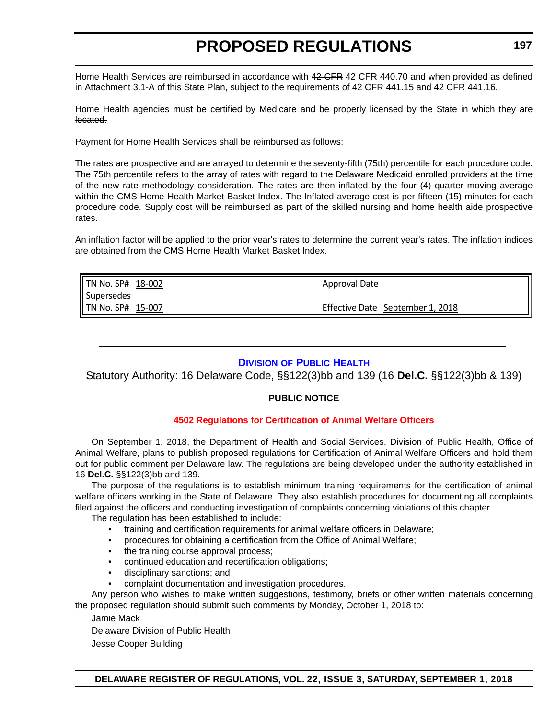<span id="page-24-0"></span>Home Health Services are reimbursed in accordance with 42 CFR 42 CFR 440.70 and when provided as defined in Attachment 3.1-A of this State Plan, subject to the requirements of 42 CFR 441.15 and 42 CFR 441.16.

Home Health agencies must be certified by Medicare and be properly licensed by the State in which they are located.

Payment for Home Health Services shall be reimbursed as follows:

The rates are prospective and are arrayed to determine the seventy-fifth (75th) percentile for each procedure code. The 75th percentile refers to the array of rates with regard to the Delaware Medicaid enrolled providers at the time of the new rate methodology consideration. The rates are then inflated by the four (4) quarter moving average within the CMS Home Health Market Basket Index. The Inflated average cost is per fifteen (15) minutes for each procedure code. Supply cost will be reimbursed as part of the skilled nursing and home health aide prospective rates.

An inflation factor will be applied to the prior year's rates to determine the current year's rates. The inflation indices are obtained from the CMS Home Health Market Basket Index.

| TN No. SP# 18-002 | Approval Date                    |
|-------------------|----------------------------------|
| <b>Supersedes</b> |                                  |
| TN No. SP# 15-007 | Effective Date September 1, 2018 |

#### **DIVISION [OF PUBLIC HEALTH](https://www.dhss.delaware.gov/dhss/dph/index.html)**

Statutory Authority: 16 Delaware Code, §§122(3)bb and 139 (16 **Del.C.** §§122(3)bb & 139)

#### **PUBLIC NOTICE**

#### **[4502 Regulations for Certification of Animal Welfare Officers](#page-3-0)**

On September 1, 2018, the Department of Health and Social Services, Division of Public Health, Office of Animal Welfare, plans to publish proposed regulations for Certification of Animal Welfare Officers and hold them out for public comment per Delaware law. The regulations are being developed under the authority established in 16 **Del.C.** §§122(3)bb and 139.

The purpose of the regulations is to establish minimum training requirements for the certification of animal welfare officers working in the State of Delaware. They also establish procedures for documenting all complaints filed against the officers and conducting investigation of complaints concerning violations of this chapter.

The regulation has been established to include:

- training and certification requirements for animal welfare officers in Delaware;
- procedures for obtaining a certification from the Office of Animal Welfare;
- the training course approval process:
- continued education and recertification obligations;
- disciplinary sanctions; and
- complaint documentation and investigation procedures.

Any person who wishes to make written suggestions, testimony, briefs or other written materials concerning the proposed regulation should submit such comments by Monday, October 1, 2018 to:

Jamie Mack

Delaware Division of Public Health

Jesse Cooper Building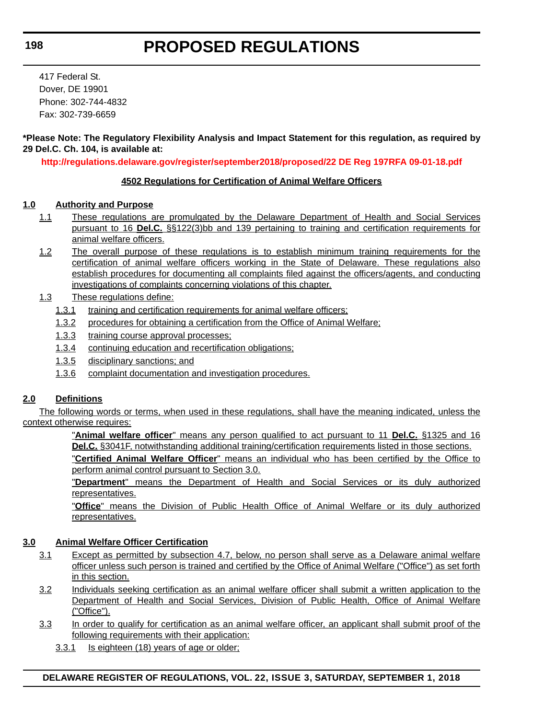417 Federal St. Dover, DE 19901 Phone: 302-744-4832 Fax: 302-739-6659

#### **\*Please Note: The Regulatory Flexibility Analysis and Impact Statement for this regulation, as required by 29 Del.C. Ch. 104, is available at:**

**<http://regulations.delaware.gov/register/september2018/proposed/22 DE Reg 197RFA 09-01-18.pdf>**

#### **4502 Regulations for Certification of Animal Welfare Officers**

#### **1.0 Authority and Purpose**

- 1.1 These regulations are promulgated by the Delaware Department of Health and Social Services pursuant to 16 **Del.C.** §§122(3)bb and 139 pertaining to training and certification requirements for animal welfare officers.
- 1.2 The overall purpose of these regulations is to establish minimum training requirements for the certification of animal welfare officers working in the State of Delaware. These regulations also establish procedures for documenting all complaints filed against the officers/agents, and conducting investigations of complaints concerning violations of this chapter.
- 1.3 These regulations define:
	- 1.3.1 training and certification requirements for animal welfare officers;
	- 1.3.2 procedures for obtaining a certification from the Office of Animal Welfare;
	- 1.3.3 training course approval processes;
	- 1.3.4 continuing education and recertification obligations;
	- 1.3.5 disciplinary sanctions; and
	- 1.3.6 complaint documentation and investigation procedures.

#### **2.0 Definitions**

The following words or terms, when used in these regulations, shall have the meaning indicated, unless the context otherwise requires:

> "**Animal welfare officer**" means any person qualified to act pursuant to 11 **Del.C.** §1325 and 16 **Del.C.** §3041F, notwithstanding additional training/certification requirements listed in those sections. "**Certified Animal Welfare Officer**" means an individual who has been certified by the Office to

perform animal control pursuant to Section 3.0.

"**Department**" means the Department of Health and Social Services or its duly authorized representatives.

"**Office**" means the Division of Public Health Office of Animal Welfare or its duly authorized representatives.

#### **3.0 Animal Welfare Officer Certification**

- 3.1 Except as permitted by subsection 4.7, below, no person shall serve as a Delaware animal welfare officer unless such person is trained and certified by the Office of Animal Welfare ("Office") as set forth in this section.
- 3.2 Individuals seeking certification as an animal welfare officer shall submit a written application to the Department of Health and Social Services, Division of Public Health, Office of Animal Welfare ("Office").
- 3.3 In order to qualify for certification as an animal welfare officer, an applicant shall submit proof of the following requirements with their application:
	- 3.3.1 Is eighteen (18) years of age or older;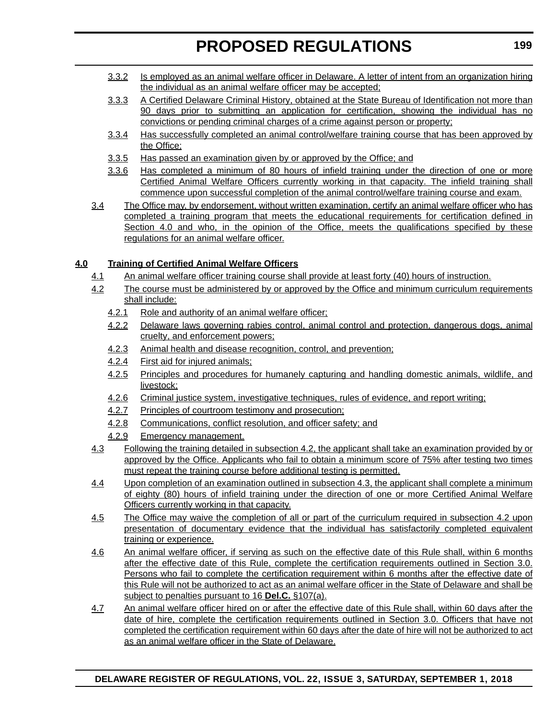- 3.3.2 Is employed as an animal welfare officer in Delaware. A letter of intent from an organization hiring the individual as an animal welfare officer may be accepted;
- 3.3.3 A Certified Delaware Criminal History, obtained at the State Bureau of Identification not more than 90 days prior to submitting an application for certification, showing the individual has no convictions or pending criminal charges of a crime against person or property;
- 3.3.4 Has successfully completed an animal control/welfare training course that has been approved by the Office;
- 3.3.5 Has passed an examination given by or approved by the Office; and
- 3.3.6 Has completed a minimum of 80 hours of infield training under the direction of one or more Certified Animal Welfare Officers currently working in that capacity. The infield training shall commence upon successful completion of the animal control/welfare training course and exam.
- 3.4 The Office may, by endorsement, without written examination, certify an animal welfare officer who has completed a training program that meets the educational requirements for certification defined in Section 4.0 and who, in the opinion of the Office, meets the qualifications specified by these regulations for an animal welfare officer.

#### **4.0 Training of Certified Animal Welfare Officers**

- 4.1 An animal welfare officer training course shall provide at least forty (40) hours of instruction.
- 4.2 The course must be administered by or approved by the Office and minimum curriculum requirements shall include:
	- 4.2.1 Role and authority of an animal welfare officer;
	- 4.2.2 Delaware laws governing rabies control, animal control and protection, dangerous dogs, animal cruelty, and enforcement powers;
	- 4.2.3 Animal health and disease recognition, control, and prevention;
	- 4.2.4 First aid for injured animals;
	- 4.2.5 Principles and procedures for humanely capturing and handling domestic animals, wildlife, and livestock;
	- 4.2.6 Criminal justice system, investigative techniques, rules of evidence, and report writing;
	- 4.2.7 Principles of courtroom testimony and prosecution;
	- 4.2.8 Communications, conflict resolution, and officer safety; and
	- 4.2.9 Emergency management.
- 4.3 Following the training detailed in subsection 4.2, the applicant shall take an examination provided by or approved by the Office. Applicants who fail to obtain a minimum score of 75% after testing two times must repeat the training course before additional testing is permitted.
- 4.4 Upon completion of an examination outlined in subsection 4.3, the applicant shall complete a minimum of eighty (80) hours of infield training under the direction of one or more Certified Animal Welfare Officers currently working in that capacity.
- 4.5 The Office may waive the completion of all or part of the curriculum required in subsection 4.2 upon presentation of documentary evidence that the individual has satisfactorily completed equivalent training or experience.
- 4.6 An animal welfare officer, if serving as such on the effective date of this Rule shall, within 6 months after the effective date of this Rule, complete the certification requirements outlined in Section 3.0. Persons who fail to complete the certification requirement within 6 months after the effective date of this Rule will not be authorized to act as an animal welfare officer in the State of Delaware and shall be subject to penalties pursuant to 16 **Del.C.** §107(a).
- 4.7 An animal welfare officer hired on or after the effective date of this Rule shall, within 60 days after the date of hire, complete the certification requirements outlined in Section 3.0. Officers that have not completed the certification requirement within 60 days after the date of hire will not be authorized to act as an animal welfare officer in the State of Delaware.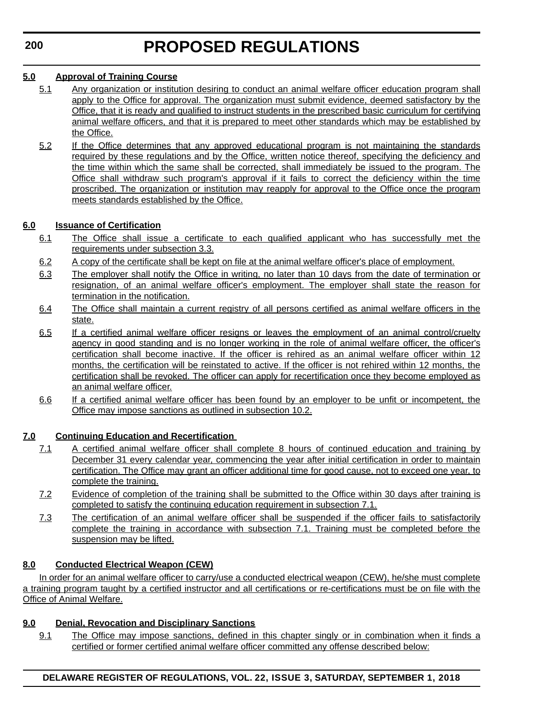#### **5.0 Approval of Training Course**

- 5.1 Any organization or institution desiring to conduct an animal welfare officer education program shall apply to the Office for approval. The organization must submit evidence, deemed satisfactory by the Office, that it is ready and qualified to instruct students in the prescribed basic curriculum for certifying animal welfare officers, and that it is prepared to meet other standards which may be established by the Office.
- 5.2 If the Office determines that any approved educational program is not maintaining the standards required by these regulations and by the Office, written notice thereof, specifying the deficiency and the time within which the same shall be corrected, shall immediately be issued to the program. The Office shall withdraw such program's approval if it fails to correct the deficiency within the time proscribed. The organization or institution may reapply for approval to the Office once the program meets standards established by the Office.

#### **6.0 Issuance of Certification**

- 6.1 The Office shall issue a certificate to each qualified applicant who has successfully met the requirements under subsection 3.3.
- 6.2 A copy of the certificate shall be kept on file at the animal welfare officer's place of employment.
- 6.3 The employer shall notify the Office in writing, no later than 10 days from the date of termination or resignation, of an animal welfare officer's employment. The employer shall state the reason for termination in the notification.
- 6.4 The Office shall maintain a current registry of all persons certified as animal welfare officers in the state.
- 6.5 If a certified animal welfare officer resigns or leaves the employment of an animal control/cruelty agency in good standing and is no longer working in the role of animal welfare officer, the officer's certification shall become inactive. If the officer is rehired as an animal welfare officer within 12 months, the certification will be reinstated to active. If the officer is not rehired within 12 months, the certification shall be revoked. The officer can apply for recertification once they become employed as an animal welfare officer.
- 6.6 If a certified animal welfare officer has been found by an employer to be unfit or incompetent, the Office may impose sanctions as outlined in subsection 10.2.

#### **7.0 Continuing Education and Recertification**

- 7.1 A certified animal welfare officer shall complete 8 hours of continued education and training by December 31 every calendar year, commencing the year after initial certification in order to maintain certification. The Office may grant an officer additional time for good cause, not to exceed one year, to complete the training.
- 7.2 Evidence of completion of the training shall be submitted to the Office within 30 days after training is completed to satisfy the continuing education requirement in subsection 7.1.
- 7.3 The certification of an animal welfare officer shall be suspended if the officer fails to satisfactorily complete the training in accordance with subsection 7.1. Training must be completed before the suspension may be lifted.

#### **8.0 Conducted Electrical Weapon (CEW)**

In order for an animal welfare officer to carry/use a conducted electrical weapon (CEW), he/she must complete a training program taught by a certified instructor and all certifications or re-certifications must be on file with the Office of Animal Welfare.

#### **9.0 Denial, Revocation and Disciplinary Sanctions**

9.1 The Office may impose sanctions, defined in this chapter singly or in combination when it finds a certified or former certified animal welfare officer committed any offense described below:

#### **DELAWARE REGISTER OF REGULATIONS, VOL. 22, ISSUE 3, SATURDAY, SEPTEMBER 1, 2018**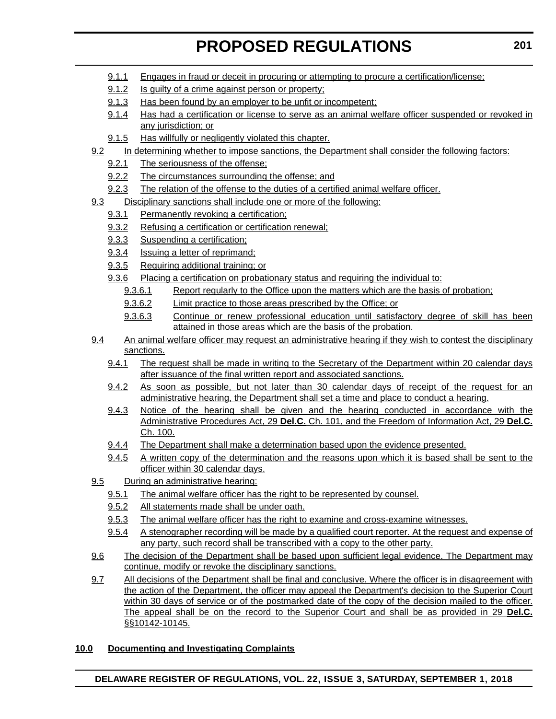- 9.1.1 Engages in fraud or deceit in procuring or attempting to procure a certification/license;
- 9.1.2 Is guilty of a crime against person or property;
- 9.1.3 Has been found by an employer to be unfit or incompetent;
- 9.1.4 Has had a certification or license to serve as an animal welfare officer suspended or revoked in any jurisdiction; or
- 9.1.5 Has willfully or negligently violated this chapter.
- 9.2 In determining whether to impose sanctions, the Department shall consider the following factors:
	- 9.2.1 The seriousness of the offense;
	- 9.2.2 The circumstances surrounding the offense; and
	- 9.2.3 The relation of the offense to the duties of a certified animal welfare officer.
- 9.3 Disciplinary sanctions shall include one or more of the following:
	- 9.3.1 Permanently revoking a certification;
	- 9.3.2 Refusing a certification or certification renewal;
	- 9.3.3 Suspending a certification;
	- 9.3.4 Issuing a letter of reprimand;
	- 9.3.5 Requiring additional training; or
	- 9.3.6 Placing a certification on probationary status and requiring the individual to:
		- 9.3.6.1 Report regularly to the Office upon the matters which are the basis of probation;
		- 9.3.6.2 Limit practice to those areas prescribed by the Office; or
		- 9.3.6.3 Continue or renew professional education until satisfactory degree of skill has been attained in those areas which are the basis of the probation.
- 9.4 An animal welfare officer may request an administrative hearing if they wish to contest the disciplinary sanctions.
	- 9.4.1 The request shall be made in writing to the Secretary of the Department within 20 calendar days after issuance of the final written report and associated sanctions.
	- 9.4.2 As soon as possible, but not later than 30 calendar days of receipt of the request for an administrative hearing, the Department shall set a time and place to conduct a hearing.
	- 9.4.3 Notice of the hearing shall be given and the hearing conducted in accordance with the Administrative Procedures Act, 29 **Del.C.** Ch. 101, and the Freedom of Information Act, 29 **Del.C.** Ch. 100.
	- 9.4.4 The Department shall make a determination based upon the evidence presented.
	- 9.4.5 A written copy of the determination and the reasons upon which it is based shall be sent to the officer within 30 calendar days.
- 9.5 During an administrative hearing:
	- 9.5.1 The animal welfare officer has the right to be represented by counsel.
	- 9.5.2 All statements made shall be under oath.
	- 9.5.3 The animal welfare officer has the right to examine and cross-examine witnesses.
	- 9.5.4 A stenographer recording will be made by a qualified court reporter. At the request and expense of any party, such record shall be transcribed with a copy to the other party.
- 9.6 The decision of the Department shall be based upon sufficient legal evidence. The Department may continue, modify or revoke the disciplinary sanctions.
- 9.7 All decisions of the Department shall be final and conclusive. Where the officer is in disagreement with the action of the Department, the officer may appeal the Department's decision to the Superior Court within 30 days of service or of the postmarked date of the copy of the decision mailed to the officer. The appeal shall be on the record to the Superior Court and shall be as provided in 29 **Del.C.** §§10142-10145.

#### **10.0 Documenting and Investigating Complaints**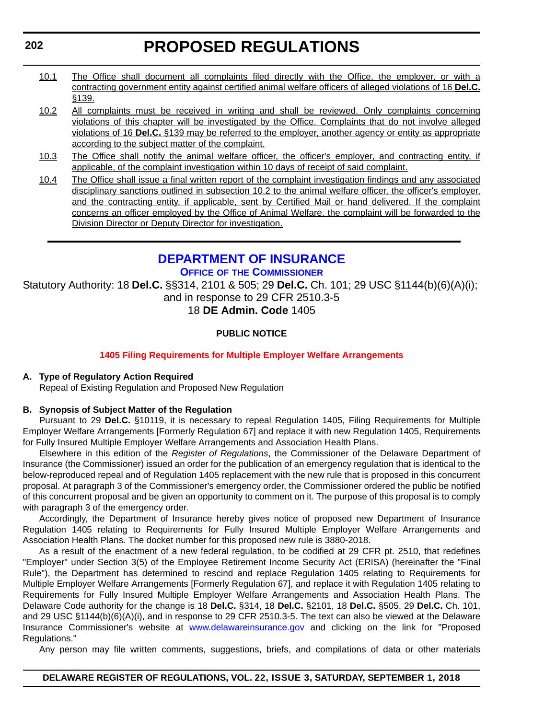- <span id="page-29-0"></span>10.1 The Office shall document all complaints filed directly with the Office, the employer, or with a contracting government entity against certified animal welfare officers of alleged violations of 16 **Del.C.** §139.
- 10.2 All complaints must be received in writing and shall be reviewed. Only complaints concerning violations of this chapter will be investigated by the Office. Complaints that do not involve alleged violations of 16 **Del.C.** §139 may be referred to the employer, another agency or entity as appropriate according to the subject matter of the complaint.
- 10.3 The Office shall notify the animal welfare officer, the officer's employer, and contracting entity, if applicable, of the complaint investigation within 10 days of receipt of said complaint.
- 10.4 The Office shall issue a final written report of the complaint investigation findings and any associated disciplinary sanctions outlined in subsection 10.2 to the animal welfare officer, the officer's employer, and the contracting entity, if applicable, sent by Certified Mail or hand delivered. If the complaint concerns an officer employed by the Office of Animal Welfare, the complaint will be forwarded to the Division Director or Deputy Director for investigation.

#### **[DEPARTMENT OF INSURANCE](https://insurance.delaware.gov/) OFFICE OF THE COMMISSIONER**

Statutory Authority: 18 **Del.C.** §§314, 2101 & 505; 29 **Del.C.** Ch. 101; 29 USC §1144(b)(6)(A)(i); and in response to 29 CFR 2510.3-5

18 **DE Admin. Code** 1405

#### **PUBLIC NOTICE**

#### **[1405 Filing Requirements for Multiple Employer Welfare Arrangements](#page-3-0)**

#### **A. Type of Regulatory Action Required**

Repeal of Existing Regulation and Proposed New Regulation

#### **B. Synopsis of Subject Matter of the Regulation**

Pursuant to 29 **Del.C.** §10119, it is necessary to repeal Regulation 1405, Filing Requirements for Multiple Employer Welfare Arrangements [Formerly Regulation 67] and replace it with new Regulation 1405, Requirements for Fully Insured Multiple Employer Welfare Arrangements and Association Health Plans.

Elsewhere in this edition of the *Register of Regulations*, the Commissioner of the Delaware Department of Insurance (the Commissioner) issued an order for the publication of an emergency regulation that is identical to the below-reproduced repeal and of Regulation 1405 replacement with the new rule that is proposed in this concurrent proposal. At paragraph 3 of the Commissioner's emergency order, the Commissioner ordered the public be notified of this concurrent proposal and be given an opportunity to comment on it. The purpose of this proposal is to comply with paragraph 3 of the emergency order.

Accordingly, the Department of Insurance hereby gives notice of proposed new Department of Insurance Regulation 1405 relating to Requirements for Fully Insured Multiple Employer Welfare Arrangements and Association Health Plans. The docket number for this proposed new rule is 3880-2018.

As a result of the enactment of a new federal regulation, to be codified at 29 CFR pt. 2510, that redefines "Employer" under Section 3(5) of the Employee Retirement Income Security Act (ERISA) (hereinafter the "Final Rule"), the Department has determined to rescind and replace Regulation 1405 relating to Requirements for Multiple Employer Welfare Arrangements [Formerly Regulation 67], and replace it with Regulation 1405 relating to Requirements for Fully Insured Multiple Employer Welfare Arrangements and Association Health Plans. The Delaware Code authority for the change is 18 **Del.C.** §314, 18 **Del.C.** §2101, 18 **Del.C.** §505, 29 **Del.C.** Ch. 101, and 29 USC §1144(b)(6)(A)(i), and in response to 29 CFR 2510.3-5. The text can also be viewed at the Delaware Insurance Commissioner's website at <www.delawareinsurance.gov> and clicking on the link for "Proposed Regulations."

Any person may file written comments, suggestions, briefs, and compilations of data or other materials

#### **DELAWARE REGISTER OF REGULATIONS, VOL. 22, ISSUE 3, SATURDAY, SEPTEMBER 1, 2018**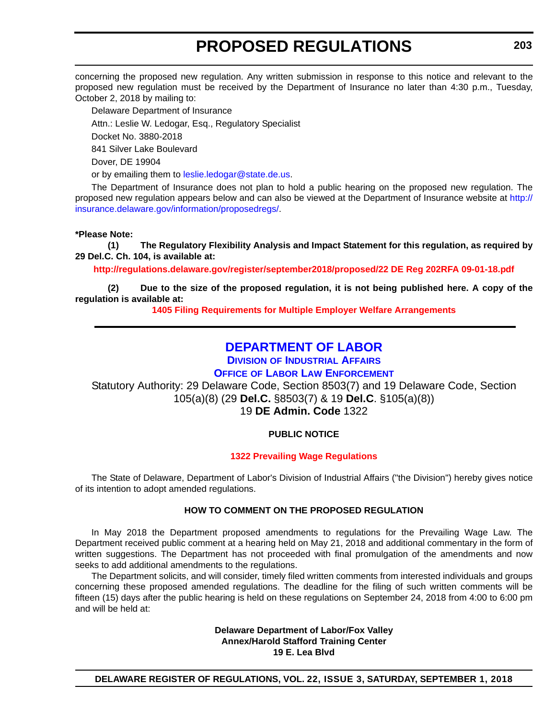<span id="page-30-0"></span>concerning the proposed new regulation. Any written submission in response to this notice and relevant to the proposed new regulation must be received by the Department of Insurance no later than 4:30 p.m., Tuesday, October 2, 2018 by mailing to:

Delaware Department of Insurance Attn.: Leslie W. Ledogar, Esq., Regulatory Specialist Docket No. 3880-2018

841 Silver Lake Boulevard

Dover, DE 19904

or by emailing them to [leslie.ledogar@state.de.us.](mailto:leslie.ledogar@state.de.us)

The Department of Insurance does not plan to hold a public hearing on the proposed new regulation. The proposed new regulation appears below and can also be viewed at the Department of Insurance website at [http://](http://insurance.delaware.gov/information/proposedregs/) [insurance.delaware.gov/information/proposedregs/](http://insurance.delaware.gov/information/proposedregs/).

#### **\*Please Note:**

**(1) The Regulatory Flexibility Analysis and Impact Statement for this regulation, as required by 29 Del.C. Ch. 104, is available at:**

**<http://regulations.delaware.gov/register/september2018/proposed/22 DE Reg 202RFA 09-01-18.pdf>**

**(2) Due to the size of the proposed regulation, it is not being published here. A copy of the regulation is available at:**

**[1405 Filing Requirements for Multiple Employer Welfare Arrangements](http://regulations.delaware.gov/register/september2018/proposed/22 DE Reg 202 09-01-18.htm)** 

#### **[DEPARTMENT OF LABOR](https://dia.delawareworks.com/)**

**DIVISION [OF INDUSTRIAL AFFAIRS](https://dia.delawareworks.com/)**

#### **OFFICE [OF LABOR LAW ENFORCEMENT](https://dia.delawareworks.com/)**

Statutory Authority: 29 Delaware Code, Section 8503(7) and 19 Delaware Code, Section 105(a)(8) (29 **Del.C.** §8503(7) & 19 **Del.C**. §105(a)(8))

19 **DE Admin. Code** 1322

#### **PUBLIC NOTICE**

#### **[1322 Prevailing Wage Regulations](#page-3-0)**

The State of Delaware, Department of Labor's Division of Industrial Affairs ("the Division") hereby gives notice of its intention to adopt amended regulations.

#### **HOW TO COMMENT ON THE PROPOSED REGULATION**

In May 2018 the Department proposed amendments to regulations for the Prevailing Wage Law. The Department received public comment at a hearing held on May 21, 2018 and additional commentary in the form of written suggestions. The Department has not proceeded with final promulgation of the amendments and now seeks to add additional amendments to the regulations.

The Department solicits, and will consider, timely filed written comments from interested individuals and groups concerning these proposed amended regulations. The deadline for the filing of such written comments will be fifteen (15) days after the public hearing is held on these regulations on September 24, 2018 from 4:00 to 6:00 pm and will be held at:

> **Delaware Department of Labor/Fox Valley Annex/Harold Stafford Training Center 19 E. Lea Blvd**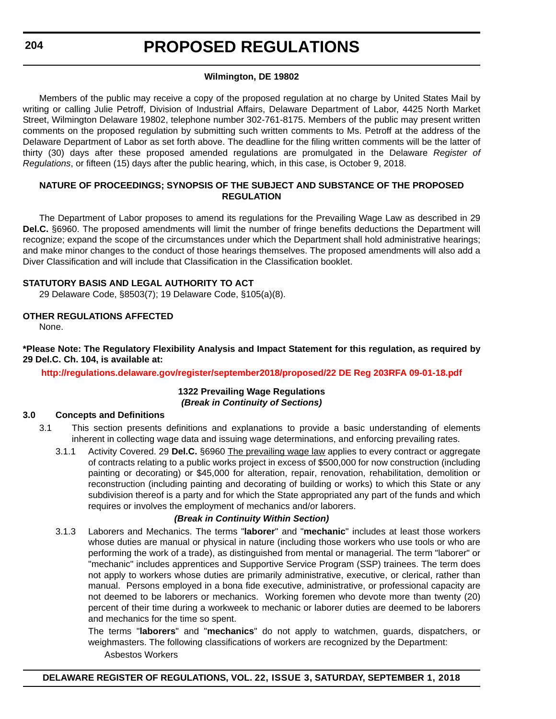#### **Wilmington, DE 19802**

Members of the public may receive a copy of the proposed regulation at no charge by United States Mail by writing or calling Julie Petroff, Division of Industrial Affairs, Delaware Department of Labor, 4425 North Market Street, Wilmington Delaware 19802, telephone number 302-761-8175. Members of the public may present written comments on the proposed regulation by submitting such written comments to Ms. Petroff at the address of the Delaware Department of Labor as set forth above. The deadline for the filing written comments will be the latter of thirty (30) days after these proposed amended regulations are promulgated in the Delaware *Register of Regulations*, or fifteen (15) days after the public hearing, which, in this case, is October 9, 2018.

#### **NATURE OF PROCEEDINGS; SYNOPSIS OF THE SUBJECT AND SUBSTANCE OF THE PROPOSED REGULATION**

The Department of Labor proposes to amend its regulations for the Prevailing Wage Law as described in 29 **Del.C.** §6960. The proposed amendments will limit the number of fringe benefits deductions the Department will recognize; expand the scope of the circumstances under which the Department shall hold administrative hearings; and make minor changes to the conduct of those hearings themselves. The proposed amendments will also add a Diver Classification and will include that Classification in the Classification booklet.

#### **STATUTORY BASIS AND LEGAL AUTHORITY TO ACT**

29 Delaware Code, §8503(7); 19 Delaware Code, §105(a)(8).

#### **OTHER REGULATIONS AFFECTED**

None.

#### **\*Please Note: The Regulatory Flexibility Analysis and Impact Statement for this regulation, as required by 29 Del.C. Ch. 104, is available at:**

**<http://regulations.delaware.gov/register/september2018/proposed/22 DE Reg 203RFA 09-01-18.pdf>**

#### **1322 Prevailing Wage Regulations** *(Break in Continuity of Sections)*

#### **3.0 Concepts and Definitions**

- 3.1 This section presents definitions and explanations to provide a basic understanding of elements inherent in collecting wage data and issuing wage determinations, and enforcing prevailing rates.
	- 3.1.1 Activity Covered. 29 **Del.C.** §6960 The prevailing wage law applies to every contract or aggregate of contracts relating to a public works project in excess of \$500,000 for now construction (including painting or decorating) or \$45,000 for alteration, repair, renovation, rehabilitation, demolition or reconstruction (including painting and decorating of building or works) to which this State or any subdivision thereof is a party and for which the State appropriated any part of the funds and which requires or involves the employment of mechanics and/or laborers.

#### *(Break in Continuity Within Section)*

3.1.3 Laborers and Mechanics. The terms "**laborer**" and "**mechanic**" includes at least those workers whose duties are manual or physical in nature (including those workers who use tools or who are performing the work of a trade), as distinguished from mental or managerial. The term "laborer" or "mechanic" includes apprentices and Supportive Service Program (SSP) trainees. The term does not apply to workers whose duties are primarily administrative, executive, or clerical, rather than manual. Persons employed in a bona fide executive, administrative, or professional capacity are not deemed to be laborers or mechanics. Working foremen who devote more than twenty (20) percent of their time during a workweek to mechanic or laborer duties are deemed to be laborers and mechanics for the time so spent.

The terms "**laborers**" and "**mechanics**" do not apply to watchmen, guards, dispatchers, or weighmasters. The following classifications of workers are recognized by the Department:

Asbestos Workers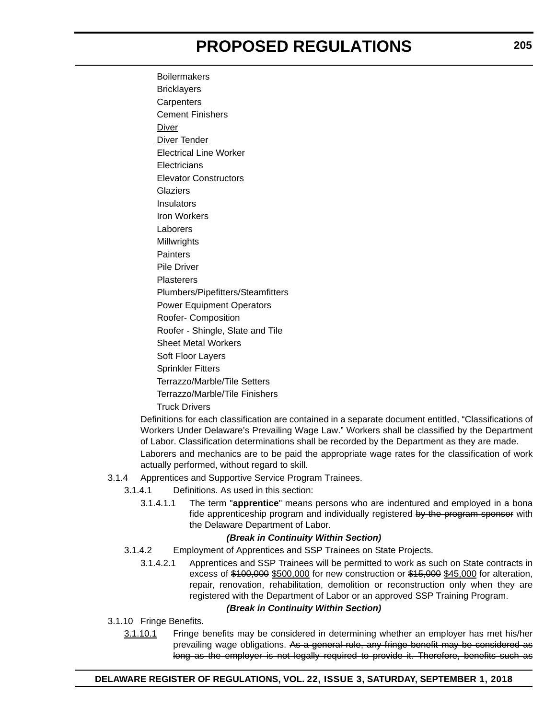**Boilermakers Bricklayers Carpenters** Cement Finishers Diver **Diver Tender** Electrical Line Worker **Electricians** Elevator Constructors **Glaziers Insulators** Iron Workers Laborers Millwrights **Painters** Pile Driver **Plasterers** Plumbers/Pipefitters/Steamfitters Power Equipment Operators Roofer- Composition Roofer - Shingle, Slate and Tile Sheet Metal Workers Soft Floor Layers Sprinkler Fitters Terrazzo/Marble/Tile Setters Terrazzo/Marble/Tile Finishers Truck Drivers

Definitions for each classification are contained in a separate document entitled, "Classifications of Workers Under Delaware's Prevailing Wage Law." Workers shall be classified by the Department of Labor. Classification determinations shall be recorded by the Department as they are made.

Laborers and mechanics are to be paid the appropriate wage rates for the classification of work actually performed, without regard to skill.

- 3.1.4 Apprentices and Supportive Service Program Trainees.
	- 3.1.4.1 Definitions. As used in this section:
		- 3.1.4.1.1 The term "**apprentice**" means persons who are indentured and employed in a bona fide apprenticeship program and individually registered by the program sponsor with the Delaware Department of Labor.

#### *(Break in Continuity Within Section)*

- 3.1.4.2 Employment of Apprentices and SSP Trainees on State Projects.
	- 3.1.4.2.1 Apprentices and SSP Trainees will be permitted to work as such on State contracts in excess of \$100,000 \$500,000 for new construction or \$15,000 \$45,000 for alteration, repair, renovation, rehabilitation, demolition or reconstruction only when they are registered with the Department of Labor or an approved SSP Training Program.

#### *(Break in Continuity Within Section)*

3.1.10 Fringe Benefits.

3.1.10.1 Fringe benefits may be considered in determining whether an employer has met his/her prevailing wage obligations. As a general rule, any fringe benefit may be considered as long as the employer is not legally required to provide it. Therefore, benefits such as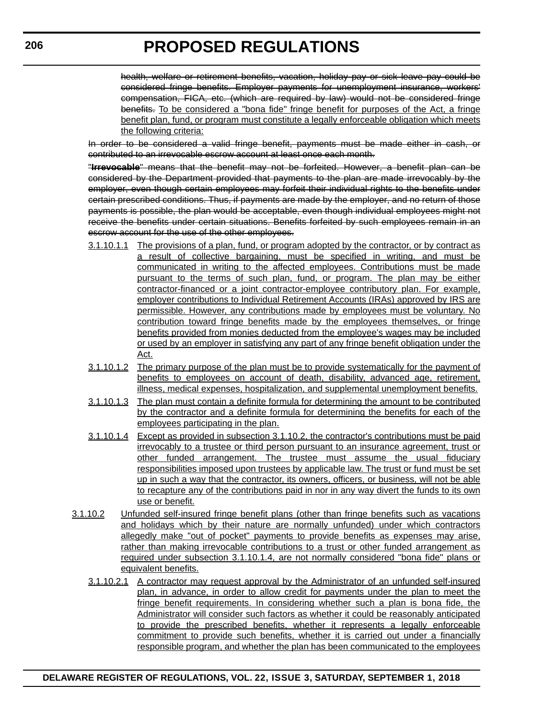health, welfare or retirement benefits, vacation, holiday pay or sick leave pay could be considered fringe benefits. Employer payments for unemployment insurance, workers' compensation, FICA, etc. (which are required by law) would not be considered fringe benefits. To be considered a "bona fide" fringe benefit for purposes of the Act, a fringe benefit plan, fund, or program must constitute a legally enforceable obligation which meets the following criteria:

In order to be considered a valid fringe benefit, payments must be made either in cash, or contributed to an irrevocable escrow account at least once each month.

"**Irrevocable**" means that the benefit may not be forfeited. However, a benefit plan can be considered by the Department provided that payments to the plan are made irrevocably by the employer, even though certain employees may forfeit their individual rights to the benefits under certain prescribed conditions. Thus, if payments are made by the employer, and no return of those payments is possible, the plan would be acceptable, even though individual employees might not receive the benefits under certain situations. Benefits forfeited by such employees remain in an escrow account for the use of the other employees.

- 3.1.10.1.1 The provisions of a plan, fund, or program adopted by the contractor, or by contract as a result of collective bargaining, must be specified in writing, and must be communicated in writing to the affected employees. Contributions must be made pursuant to the terms of such plan, fund, or program. The plan may be either contractor-financed or a joint contractor-employee contributory plan. For example, employer contributions to Individual Retirement Accounts (IRAs) approved by IRS are permissible. However, any contributions made by employees must be voluntary. No contribution toward fringe benefits made by the employees themselves, or fringe benefits provided from monies deducted from the employee's wages may be included or used by an employer in satisfying any part of any fringe benefit obligation under the Act.
- 3.1.10.1.2 The primary purpose of the plan must be to provide systematically for the payment of benefits to employees on account of death, disability, advanced age, retirement, illness, medical expenses, hospitalization, and supplemental unemployment benefits.
- 3.1.10.1.3 The plan must contain a definite formula for determining the amount to be contributed by the contractor and a definite formula for determining the benefits for each of the employees participating in the plan.
- 3.1.10.1.4 Except as provided in subsection 3.1.10.2, the contractor's contributions must be paid irrevocably to a trustee or third person pursuant to an insurance agreement, trust or other funded arrangement. The trustee must assume the usual fiduciary responsibilities imposed upon trustees by applicable law. The trust or fund must be set up in such a way that the contractor, its owners, officers, or business, will not be able to recapture any of the contributions paid in nor in any way divert the funds to its own use or benefit.
- 3.1.10.2 Unfunded self-insured fringe benefit plans (other than fringe benefits such as vacations and holidays which by their nature are normally unfunded) under which contractors allegedly make "out of pocket" payments to provide benefits as expenses may arise, rather than making irrevocable contributions to a trust or other funded arrangement as required under subsection 3.1.10.1.4, are not normally considered "bona fide" plans or equivalent benefits.
	- 3.1.10.2.1 A contractor may request approval by the Administrator of an unfunded self-insured plan, in advance, in order to allow credit for payments under the plan to meet the fringe benefit requirements. In considering whether such a plan is bona fide, the Administrator will consider such factors as whether it could be reasonably anticipated to provide the prescribed benefits, whether it represents a legally enforceable commitment to provide such benefits, whether it is carried out under a financially responsible program, and whether the plan has been communicated to the employees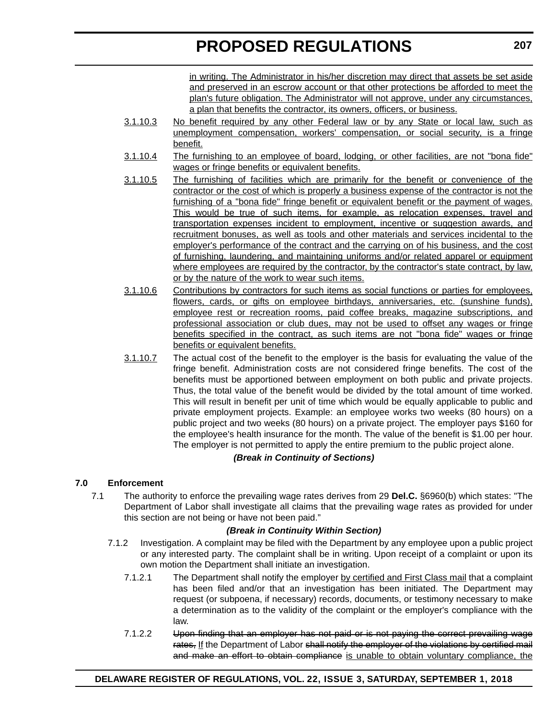in writing. The Administrator in his/her discretion may direct that assets be set aside and preserved in an escrow account or that other protections be afforded to meet the plan's future obligation. The Administrator will not approve, under any circumstances, a plan that benefits the contractor, its owners, officers, or business.

- 3.1.10.3 No benefit required by any other Federal law or by any State or local law, such as unemployment compensation, workers' compensation, or social security, is a fringe benefit.
- 3.1.10.4 The furnishing to an employee of board, lodging, or other facilities, are not "bona fide" wages or fringe benefits or equivalent benefits.
- 3.1.10.5 The furnishing of facilities which are primarily for the benefit or convenience of the contractor or the cost of which is properly a business expense of the contractor is not the furnishing of a "bona fide" fringe benefit or equivalent benefit or the payment of wages. This would be true of such items, for example, as relocation expenses, travel and transportation expenses incident to employment, incentive or suggestion awards, and recruitment bonuses, as well as tools and other materials and services incidental to the employer's performance of the contract and the carrying on of his business, and the cost of furnishing, laundering, and maintaining uniforms and/or related apparel or equipment where employees are required by the contractor, by the contractor's state contract, by law, or by the nature of the work to wear such items.
- 3.1.10.6 Contributions by contractors for such items as social functions or parties for employees, flowers, cards, or gifts on employee birthdays, anniversaries, etc. (sunshine funds), employee rest or recreation rooms, paid coffee breaks, magazine subscriptions, and professional association or club dues, may not be used to offset any wages or fringe benefits specified in the contract, as such items are not "bona fide" wages or fringe benefits or equivalent benefits.
- 3.1.10.7 The actual cost of the benefit to the employer is the basis for evaluating the value of the fringe benefit. Administration costs are not considered fringe benefits. The cost of the benefits must be apportioned between employment on both public and private projects. Thus, the total value of the benefit would be divided by the total amount of time worked. This will result in benefit per unit of time which would be equally applicable to public and private employment projects. Example: an employee works two weeks (80 hours) on a public project and two weeks (80 hours) on a private project. The employer pays \$160 for the employee's health insurance for the month. The value of the benefit is \$1.00 per hour. The employer is not permitted to apply the entire premium to the public project alone.

#### *(Break in Continuity of Sections)*

#### **7.0 Enforcement**

7.1 The authority to enforce the prevailing wage rates derives from 29 **Del.C.** §6960(b) which states: "The Department of Labor shall investigate all claims that the prevailing wage rates as provided for under this section are not being or have not been paid."

#### *(Break in Continuity Within Section)*

- 7.1.2 Investigation. A complaint may be filed with the Department by any employee upon a public project or any interested party. The complaint shall be in writing. Upon receipt of a complaint or upon its own motion the Department shall initiate an investigation.
	- 7.1.2.1 The Department shall notify the employer by certified and First Class mail that a complaint has been filed and/or that an investigation has been initiated. The Department may request (or subpoena, if necessary) records, documents, or testimony necessary to make a determination as to the validity of the complaint or the employer's compliance with the law.
	- 7.1.2.2 Upon finding that an employer has not paid or is not paying the correct prevailing wage rates, If the Department of Labor shall notify the employer of the violations by certified mail and make an effort to obtain compliance is unable to obtain voluntary compliance, the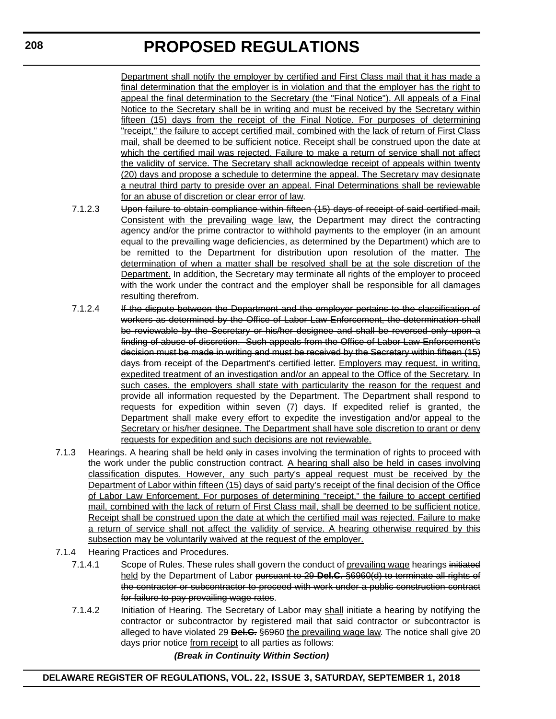Department shall notify the employer by certified and First Class mail that it has made a final determination that the employer is in violation and that the employer has the right to appeal the final determination to the Secretary (the "Final Notice"). All appeals of a Final Notice to the Secretary shall be in writing and must be received by the Secretary within fifteen (15) days from the receipt of the Final Notice. For purposes of determining "receipt," the failure to accept certified mail, combined with the lack of return of First Class mail, shall be deemed to be sufficient notice. Receipt shall be construed upon the date at which the certified mail was rejected. Failure to make a return of service shall not affect the validity of service. The Secretary shall acknowledge receipt of appeals within twenty (20) days and propose a schedule to determine the appeal. The Secretary may designate a neutral third party to preside over an appeal. Final Determinations shall be reviewable for an abuse of discretion or clear error of law.

- 7.1.2.3 Upon failure to obtain compliance within fifteen (15) days of receipt of said certified mail, Consistent with the prevailing wage law, the Department may direct the contracting agency and/or the prime contractor to withhold payments to the employer (in an amount equal to the prevailing wage deficiencies, as determined by the Department) which are to be remitted to the Department for distribution upon resolution of the matter. The determination of when a matter shall be resolved shall be at the sole discretion of the Department. In addition, the Secretary may terminate all rights of the employer to proceed with the work under the contract and the employer shall be responsible for all damages resulting therefrom.
- 7.1.2.4 If the dispute between the Department and the employer pertains to the classification of workers as determined by the Office of Labor Law Enforcement, the determination shall be reviewable by the Secretary or his/her designee and shall be reversed only upon a finding of abuse of discretion. Such appeals from the Office of Labor Law Enforcement's decision must be made in writing and must be received by the Secretary within fifteen (15) days from receipt of the Department's certified letter. Employers may request, in writing, expedited treatment of an investigation and/or an appeal to the Office of the Secretary. In such cases, the employers shall state with particularity the reason for the request and provide all information requested by the Department. The Department shall respond to requests for expedition within seven (7) days. If expedited relief is granted, the Department shall make every effort to expedite the investigation and/or appeal to the Secretary or his/her designee. The Department shall have sole discretion to grant or deny requests for expedition and such decisions are not reviewable.
- 7.1.3 Hearings. A hearing shall be held only in cases involving the termination of rights to proceed with the work under the public construction contract. A hearing shall also be held in cases involving classification disputes. However, any such party's appeal request must be received by the Department of Labor within fifteen (15) days of said party's receipt of the final decision of the Office of Labor Law Enforcement. For purposes of determining "receipt," the failure to accept certified mail, combined with the lack of return of First Class mail, shall be deemed to be sufficient notice. Receipt shall be construed upon the date at which the certified mail was rejected. Failure to make a return of service shall not affect the validity of service. A hearing otherwise required by this subsection may be voluntarily waived at the request of the employer.
- 7.1.4 Hearing Practices and Procedures.
	- 7.1.4.1 Scope of Rules. These rules shall govern the conduct of prevailing wage hearings initiated held by the Department of Labor pursuant to 29 **Del.C.** §6960(d) to terminate all rights of the contractor or subcontractor to proceed with work under a public construction contract for failure to pay prevailing wage rates.
	- 7.1.4.2 Initiation of Hearing. The Secretary of Labor may shall initiate a hearing by notifying the contractor or subcontractor by registered mail that said contractor or subcontractor is alleged to have violated 29 **Del.C.** §6960 the prevailing wage law. The notice shall give 20 days prior notice from receipt to all parties as follows:

#### *(Break in Continuity Within Section)*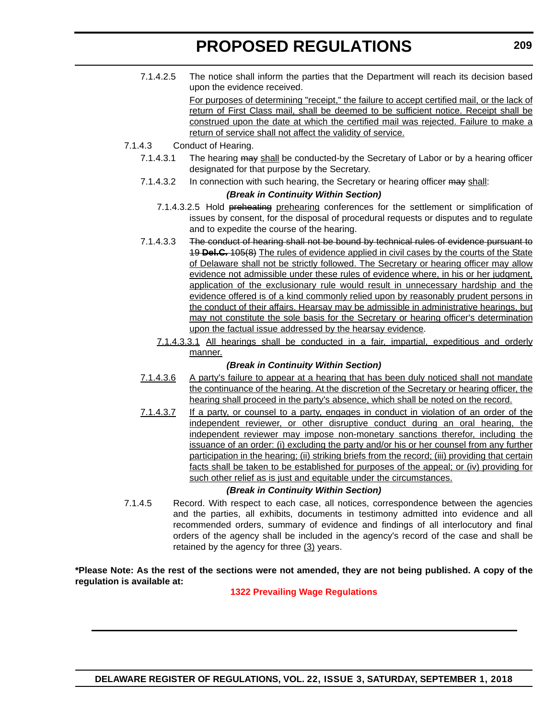7.1.4.2.5 The notice shall inform the parties that the Department will reach its decision based upon the evidence received.

> For purposes of determining "receipt," the failure to accept certified mail, or the lack of return of First Class mail, shall be deemed to be sufficient notice. Receipt shall be construed upon the date at which the certified mail was rejected. Failure to make a return of service shall not affect the validity of service.

- 7.1.4.3 Conduct of Hearing.
	- 7.1.4.3.1 The hearing may shall be conducted-by the Secretary of Labor or by a hearing officer designated for that purpose by the Secretary.
	- 7.1.4.3.2 In connection with such hearing, the Secretary or hearing officer may shall:

#### *(Break in Continuity Within Section)*

- 7.1.4.3.2.5 Hold preheating prehearing conferences for the settlement or simplification of issues by consent, for the disposal of procedural requests or disputes and to regulate and to expedite the course of the hearing.
- 7.1.4.3.3 The conduct of hearing shall not be bound by technical rules of evidence pursuant to 19 **Del.C.** 105(8) The rules of evidence applied in civil cases by the courts of the State of Delaware shall not be strictly followed. The Secretary or hearing officer may allow evidence not admissible under these rules of evidence where, in his or her judgment, application of the exclusionary rule would result in unnecessary hardship and the evidence offered is of a kind commonly relied upon by reasonably prudent persons in the conduct of their affairs. Hearsay may be admissible in administrative hearings, but may not constitute the sole basis for the Secretary or hearing officer's determination upon the factual issue addressed by the hearsay evidence.
	- 7.1.4.3.3.1 All hearings shall be conducted in a fair, impartial, expeditious and orderly manner.

#### *(Break in Continuity Within Section)*

- 7.1.4.3.6 A party's failure to appear at a hearing that has been duly noticed shall not mandate the continuance of the hearing. At the discretion of the Secretary or hearing officer, the hearing shall proceed in the party's absence, which shall be noted on the record.
- 7.1.4.3.7 If a party, or counsel to a party, engages in conduct in violation of an order of the independent reviewer, or other disruptive conduct during an oral hearing, the independent reviewer may impose non-monetary sanctions therefor, including the issuance of an order: (i) excluding the party and/or his or her counsel from any further participation in the hearing; (ii) striking briefs from the record; (iii) providing that certain facts shall be taken to be established for purposes of the appeal; or (iv) providing for such other relief as is just and equitable under the circumstances.

#### *(Break in Continuity Within Section)*

7.1.4.5 Record. With respect to each case, all notices, correspondence between the agencies and the parties, all exhibits, documents in testimony admitted into evidence and all recommended orders, summary of evidence and findings of all interlocutory and final orders of the agency shall be included in the agency's record of the case and shall be retained by the agency for three  $(3)$  years.

**\*Please Note: As the rest of the sections were not amended, they are not being published. A copy of the regulation is available at:**

#### **[1322 Prevailing Wage Regulations](http://regulations.delaware.gov/register/september2018/proposed/22 DE Reg 203 09-01-18.htm)**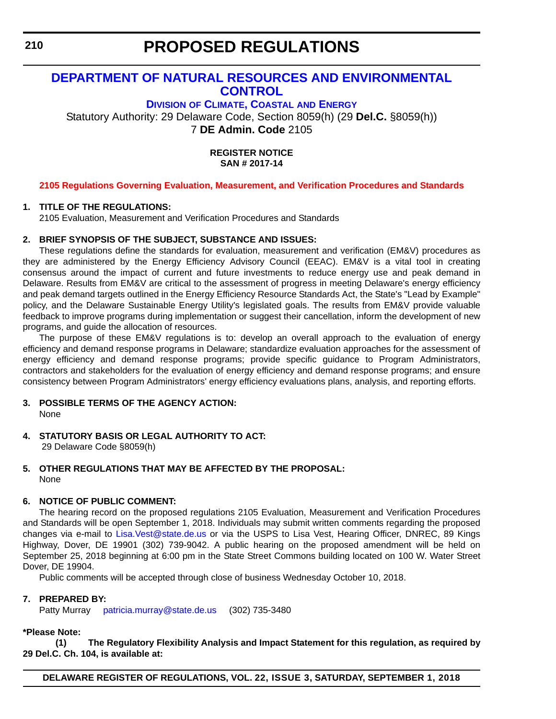#### <span id="page-37-0"></span>**[DEPARTMENT OF NATURAL RESOURCES AND ENVIRONMENTAL](https://dnrec.alpha.delaware.gov/)  CONTROL**

**DIVISION [OF CLIMATE, COASTAL](https://dnrec.alpha.delaware.gov/energy-climate/) AND ENERGY** Statutory Authority: 29 Delaware Code, Section 8059(h) (29 **Del.C.** §8059(h))

7 **DE Admin. Code** 2105

**REGISTER NOTICE SAN # 2017-14**

#### **[2105 Regulations Governing Evaluation, Measurement, and Verification Procedures and Standards](#page-3-0)**

#### **1. TITLE OF THE REGULATIONS:**

2105 Evaluation, Measurement and Verification Procedures and Standards

#### **2. BRIEF SYNOPSIS OF THE SUBJECT, SUBSTANCE AND ISSUES:**

These regulations define the standards for evaluation, measurement and verification (EM&V) procedures as they are administered by the Energy Efficiency Advisory Council (EEAC). EM&V is a vital tool in creating consensus around the impact of current and future investments to reduce energy use and peak demand in Delaware. Results from EM&V are critical to the assessment of progress in meeting Delaware's energy efficiency and peak demand targets outlined in the Energy Efficiency Resource Standards Act, the State's "Lead by Example" policy, and the Delaware Sustainable Energy Utility's legislated goals. The results from EM&V provide valuable feedback to improve programs during implementation or suggest their cancellation, inform the development of new programs, and guide the allocation of resources.

The purpose of these EM&V regulations is to: develop an overall approach to the evaluation of energy efficiency and demand response programs in Delaware; standardize evaluation approaches for the assessment of energy efficiency and demand response programs; provide specific guidance to Program Administrators, contractors and stakeholders for the evaluation of energy efficiency and demand response programs; and ensure consistency between Program Administrators' energy efficiency evaluations plans, analysis, and reporting efforts.

- **3. POSSIBLE TERMS OF THE AGENCY ACTION:** None
- **4. STATUTORY BASIS OR LEGAL AUTHORITY TO ACT:** 29 Delaware Code §8059(h)
- **5. OTHER REGULATIONS THAT MAY BE AFFECTED BY THE PROPOSAL:** None

#### **6. NOTICE OF PUBLIC COMMENT:**

The hearing record on the proposed regulations 2105 Evaluation, Measurement and Verification Procedures [and Standards will be open September 1, 2018. Individuals may submit written comments regarding the proposed](mailto: Lisa.Vest@state.de.us) [changes via e-mail to L](mailto: Lisa.Vest@state.de.us)isa.Vest@state.de.us or via the USPS to Lisa Vest, Hearing Officer, DNREC, 89 Kings Highway, Dover, DE 19901 (302) 739-9042. A public hearing on the proposed amendment will be held on September 25, 2018 beginning at 6:00 pm in the State Street Commons building located on 100 W. Water Street Dover, DE 19904.

Public comments will be accepted through close of business Wednesday October 10, 2018.

#### **7. PREPARED BY:**

[Patty Murray p](mailto:patricia.murray@state.de.us)atricia.murray@state.de.us (302) 735-3480

#### **\*Please Note:**

**(1) The Regulatory Flexibility Analysis and Impact Statement for this regulation, as required by 29 Del.C. Ch. 104, is available at:**

**DELAWARE REGISTER OF REGULATIONS, VOL. 22, ISSUE 3, SATURDAY, SEPTEMBER 1, 2018**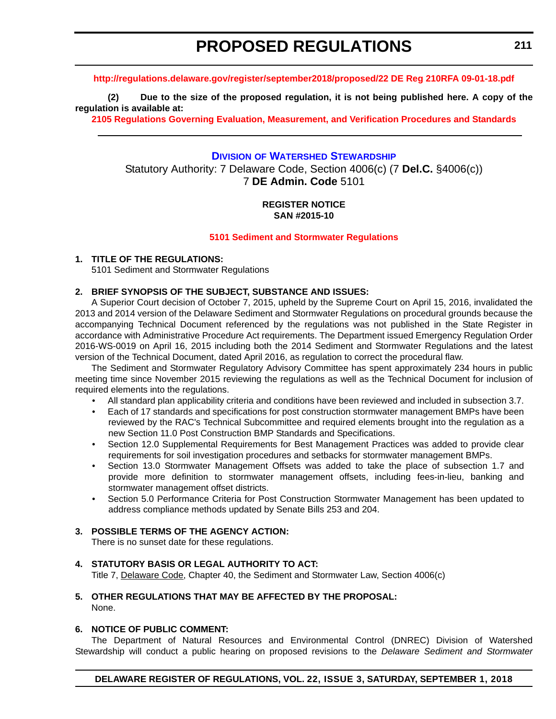#### <span id="page-38-0"></span>**<http://regulations.delaware.gov/register/september2018/proposed/22 DE Reg 210RFA 09-01-18.pdf>**

**(2) Due to the size of the proposed regulation, it is not being published here. A copy of the regulation is available at:**

**[2105 Regulations Governing Evaluation, Measurement, and Verification Procedures and Standards](http://regulations.delaware.gov/register/september2018/proposed/22 DE Reg 210 09-01-18.htm)** 

#### **DIVISION [OF WATERSHED STEWARDSHIP](https://dnrec.alpha.delaware.gov/watershed-stewardship/)**

Statutory Authority: 7 Delaware Code, Section 4006(c) (7 **Del.C.** §4006(c)) 7 **DE Admin. Code** 5101

#### **REGISTER NOTICE SAN #2015-10**

#### **[5101 Sediment and Stormwater Regulations](#page-3-0)**

#### **1. TITLE OF THE REGULATIONS:**

5101 Sediment and Stormwater Regulations

#### **2. BRIEF SYNOPSIS OF THE SUBJECT, SUBSTANCE AND ISSUES:**

A Superior Court decision of October 7, 2015, upheld by the Supreme Court on April 15, 2016, invalidated the 2013 and 2014 version of the Delaware Sediment and Stormwater Regulations on procedural grounds because the accompanying Technical Document referenced by the regulations was not published in the State Register in accordance with Administrative Procedure Act requirements. The Department issued Emergency Regulation Order 2016-WS-0019 on April 16, 2015 including both the 2014 Sediment and Stormwater Regulations and the latest version of the Technical Document, dated April 2016, as regulation to correct the procedural flaw.

The Sediment and Stormwater Regulatory Advisory Committee has spent approximately 234 hours in public meeting time since November 2015 reviewing the regulations as well as the Technical Document for inclusion of required elements into the regulations.

- All standard plan applicability criteria and conditions have been reviewed and included in subsection 3.7.
- Each of 17 standards and specifications for post construction stormwater management BMPs have been reviewed by the RAC's Technical Subcommittee and required elements brought into the regulation as a new Section 11.0 Post Construction BMP Standards and Specifications.
- Section 12.0 Supplemental Requirements for Best Management Practices was added to provide clear requirements for soil investigation procedures and setbacks for stormwater management BMPs.
- Section 13.0 Stormwater Management Offsets was added to take the place of subsection 1.7 and provide more definition to stormwater management offsets, including fees-in-lieu, banking and stormwater management offset districts.
- Section 5.0 Performance Criteria for Post Construction Stormwater Management has been updated to address compliance methods updated by Senate Bills 253 and 204.

#### **3. POSSIBLE TERMS OF THE AGENCY ACTION:**

There is no sunset date for these regulations.

#### **4. STATUTORY BASIS OR LEGAL AUTHORITY TO ACT:**

Title 7, Delaware Code, Chapter 40, the Sediment and Stormwater Law, Section 4006(c)

#### **5. OTHER REGULATIONS THAT MAY BE AFFECTED BY THE PROPOSAL:** None.

#### **6. NOTICE OF PUBLIC COMMENT:**

The Department of Natural Resources and Environmental Control (DNREC) Division of Watershed Stewardship will conduct a public hearing on proposed revisions to the *Delaware Sediment and Stormwater*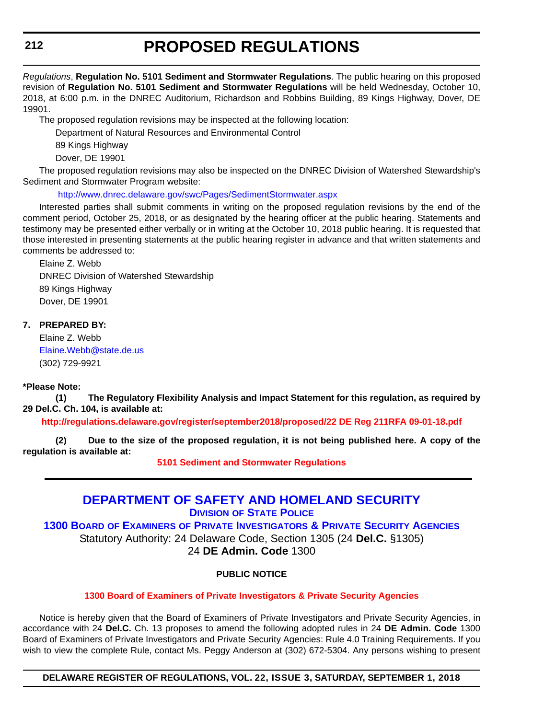<span id="page-39-0"></span>*Regulations*, **Regulation No. 5101 Sediment and Stormwater Regulations**. The public hearing on this proposed revision of **Regulation No. 5101 Sediment and Stormwater Regulations** will be held Wednesday, October 10, 2018, at 6:00 p.m. in the DNREC Auditorium, Richardson and Robbins Building, 89 Kings Highway, Dover, DE 19901.

The proposed regulation revisions may be inspected at the following location:

Department of Natural Resources and Environmental Control

89 Kings Highway

Dover, DE 19901

The proposed regulation revisions may also be inspected on the DNREC Division of Watershed Stewardship's Sediment and Stormwater Program website:

<http://www.dnrec.delaware.gov/swc/Pages/SedimentStormwater.aspx>

Interested parties shall submit comments in writing on the proposed regulation revisions by the end of the comment period, October 25, 2018, or as designated by the hearing officer at the public hearing. Statements and testimony may be presented either verbally or in writing at the October 10, 2018 public hearing. It is requested that those interested in presenting statements at the public hearing register in advance and that written statements and comments be addressed to:

Elaine Z. Webb DNREC Division of Watershed Stewardship 89 Kings Highway Dover, DE 19901

#### **7. PREPARED BY:**

Elaine Z. Webb [Elaine.Webb@state.de.us](mailto:Elaine.Webb@state.de.us) (302) 729-9921

#### **\*Please Note:**

**(1) The Regulatory Flexibility Analysis and Impact Statement for this regulation, as required by 29 Del.C. Ch. 104, is available at:**

**<http://regulations.delaware.gov/register/september2018/proposed/22 DE Reg 211RFA 09-01-18.pdf>**

**(2) Due to the size of the proposed regulation, it is not being published here. A copy of the regulation is available at:**

**[5101 Sediment and Stormwater Regulations](http://regulations.delaware.gov/register/september2018/proposed/22 DE Reg 211 09-01-18.htm)** 

#### **[DEPARTMENT OF SAFETY AND HOMELAND SECURITY](https://dshs.delaware.gov/) DIVISION [OF STATE POLICE](http://dsp.delaware.gov/)**

**1300 BOARD OF EXAMINERS [OF PRIVATE INVESTIGATORS & PRIVATE SECURITY AGENCIES](http://dsp.delaware.gov/)** Statutory Authority: 24 Delaware Code, Section 1305 (24 **Del.C.** §1305)

24 **DE Admin. Code** 1300

#### **PUBLIC NOTICE**

#### **[1300 Board of Examiners of Private Investigators & Private Security Agencies](#page-3-0)**

Notice is hereby given that the Board of Examiners of Private Investigators and Private Security Agencies, in accordance with 24 **Del.C.** Ch. 13 proposes to amend the following adopted rules in 24 **DE Admin. Code** 1300 Board of Examiners of Private Investigators and Private Security Agencies: Rule 4.0 Training Requirements. If you wish to view the complete Rule, contact Ms. Peggy Anderson at (302) 672-5304. Any persons wishing to present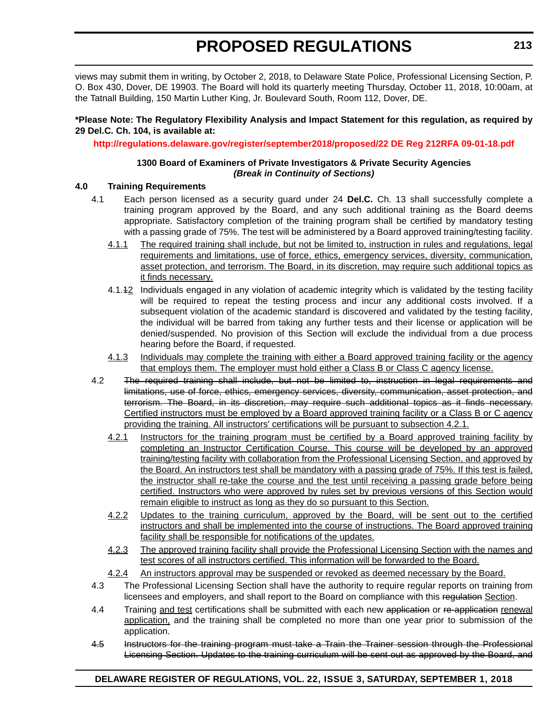views may submit them in writing, by October 2, 2018, to Delaware State Police, Professional Licensing Section, P. O. Box 430, Dover, DE 19903. The Board will hold its quarterly meeting Thursday, October 11, 2018, 10:00am, at the Tatnall Building, 150 Martin Luther King, Jr. Boulevard South, Room 112, Dover, DE.

#### **\*Please Note: The Regulatory Flexibility Analysis and Impact Statement for this regulation, as required by 29 Del.C. Ch. 104, is available at:**

#### **<http://regulations.delaware.gov/register/september2018/proposed/22 DE Reg 212RFA 09-01-18.pdf>**

#### **1300 Board of Examiners of Private Investigators & Private Security Agencies** *(Break in Continuity of Sections)*

#### **4.0 Training Requirements**

- 4.1 Each person licensed as a security guard under 24 **Del.C.** Ch. 13 shall successfully complete a training program approved by the Board, and any such additional training as the Board deems appropriate. Satisfactory completion of the training program shall be certified by mandatory testing with a passing grade of 75%. The test will be administered by a Board approved training/testing facility.
	- 4.1.1 The required training shall include, but not be limited to, instruction in rules and regulations, legal requirements and limitations, use of force, ethics, emergency services, diversity, communication, asset protection, and terrorism. The Board, in its discretion, may require such additional topics as it finds necessary.
	- 4.1.12 Individuals engaged in any violation of academic integrity which is validated by the testing facility will be required to repeat the testing process and incur any additional costs involved. If a subsequent violation of the academic standard is discovered and validated by the testing facility, the individual will be barred from taking any further tests and their license or application will be denied/suspended. No provision of this Section will exclude the individual from a due process hearing before the Board, if requested.
	- 4.1.3 Individuals may complete the training with either a Board approved training facility or the agency that employs them. The employer must hold either a Class B or Class C agency license.
- 4.2 The required training shall include, but not be limited to, instruction in legal requirements and limitations, use of force, ethics, emergency services, diversity, communication, asset protection, and terrorism. The Board, in its discretion, may require such additional topics as it finds necessary. Certified instructors must be employed by a Board approved training facility or a Class B or C agency providing the training. All instructors' certifications will be pursuant to subsection 4.2.1.
	- 4.2.1 Instructors for the training program must be certified by a Board approved training facility by completing an Instructor Certification Course. This course will be developed by an approved training/testing facility with collaboration from the Professional Licensing Section, and approved by the Board. An instructors test shall be mandatory with a passing grade of 75%. If this test is failed, the instructor shall re-take the course and the test until receiving a passing grade before being certified. Instructors who were approved by rules set by previous versions of this Section would remain eligible to instruct as long as they do so pursuant to this Section.
	- 4.2.2 Updates to the training curriculum, approved by the Board, will be sent out to the certified instructors and shall be implemented into the course of instructions. The Board approved training facility shall be responsible for notifications of the updates.
	- 4.2.3 The approved training facility shall provide the Professional Licensing Section with the names and test scores of all instructors certified. This information will be forwarded to the Board.
	- 4.2.4 An instructors approval may be suspended or revoked as deemed necessary by the Board.
- 4.3 The Professional Licensing Section shall have the authority to require regular reports on training from licensees and employers, and shall report to the Board on compliance with this regulation Section.
- 4.4 Training and test certifications shall be submitted with each new application or re-application renewal application, and the training shall be completed no more than one year prior to submission of the application.
- 4.5 Instructors for the training program must take a Train the Trainer session through the Professional Licensing Section. Updates to the training curriculum will be sent out as approved by the Board, and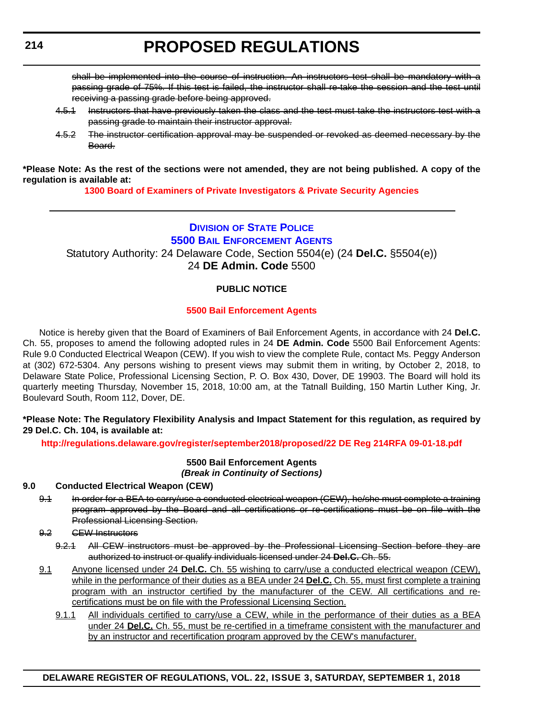<span id="page-41-0"></span>shall be implemented into the course of instruction. An instructors test shall be mandatory with a passing grade of 75%. If this test is failed, the instructor shall re-take the session and the test until receiving a passing grade before being approved.

- 4.5.1 Instructors that have previously taken the class and the test must take the instructors test with a passing grade to maintain their instructor approval.
- 4.5.2 The instructor certification approval may be suspended or revoked as deemed necessary by the Board.

**\*Please Note: As the rest of the sections were not amended, they are not being published. A copy of the regulation is available at:**

**[1300 Board of Examiners of Private Investigators & Private Security Agencies](http://regulations.delaware.gov/register/september2018/proposed/22 DE Reg 212 09-01-18.htm)** 

#### **DIVISION [OF STATE POLICE](http://dsp.delaware.gov/) [5500 BAIL ENFORCEMENT AGENTS](http://dsp.delaware.gov/)** Statutory Authority: 24 Delaware Code, Section 5504(e) (24 **Del.C.** §5504(e)) 24 **DE Admin. Code** 5500

#### **PUBLIC NOTICE**

#### **[5500 Bail Enforcement Agents](#page-3-0)**

Notice is hereby given that the Board of Examiners of Bail Enforcement Agents, in accordance with 24 **Del.C.** Ch. 55, proposes to amend the following adopted rules in 24 **DE Admin. Code** 5500 Bail Enforcement Agents: Rule 9.0 Conducted Electrical Weapon (CEW). If you wish to view the complete Rule, contact Ms. Peggy Anderson at (302) 672-5304. Any persons wishing to present views may submit them in writing, by October 2, 2018, to Delaware State Police, Professional Licensing Section, P. O. Box 430, Dover, DE 19903. The Board will hold its quarterly meeting Thursday, November 15, 2018, 10:00 am, at the Tatnall Building, 150 Martin Luther King, Jr. Boulevard South, Room 112, Dover, DE.

#### **\*Please Note: The Regulatory Flexibility Analysis and Impact Statement for this regulation, as required by 29 Del.C. Ch. 104, is available at:**

**<http://regulations.delaware.gov/register/september2018/proposed/22 DE Reg 214RFA 09-01-18.pdf>**

#### **5500 Bail Enforcement Agents** *(Break in Continuity of Sections)*

#### **9.0 Conducted Electrical Weapon (CEW)**

- 9.1 In order for a BEA to carry/use a conducted electrical weapon (CEW), he/she must complete a training program approved by the Board and all certifications or re-certifications must be on file with the Professional Licensing Section.
- 9.2 CEW Instructors
	- 9.2.1 All CEW instructors must be approved by the Professional Licensing Section before they are authorized to instruct or qualify individuals licensed under 24 **Del.C.** Ch. 55.
- 9.1 Anyone licensed under 24 **Del.C.** Ch. 55 wishing to carry/use a conducted electrical weapon (CEW), while in the performance of their duties as a BEA under 24 **Del.C.** Ch. 55, must first complete a training program with an instructor certified by the manufacturer of the CEW. All certifications and recertifications must be on file with the Professional Licensing Section.
	- 9.1.1 All individuals certified to carry/use a CEW, while in the performance of their duties as a BEA under 24 **Del.C.** Ch. 55, must be re-certified in a timeframe consistent with the manufacturer and by an instructor and recertification program approved by the CEW's manufacturer.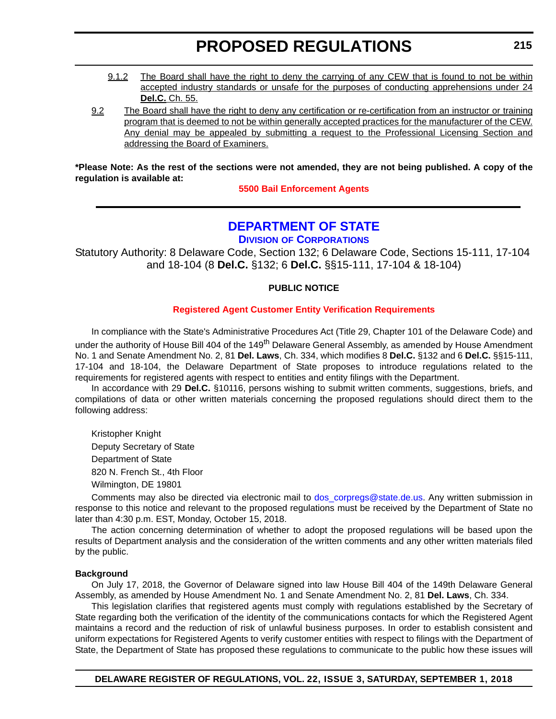- <span id="page-42-0"></span>9.1.2 The Board shall have the right to deny the carrying of any CEW that is found to not be within accepted industry standards or unsafe for the purposes of conducting apprehensions under 24 **Del.C.** Ch. 55.
- 9.2 The Board shall have the right to deny any certification or re-certification from an instructor or training program that is deemed to not be within generally accepted practices for the manufacturer of the CEW. Any denial may be appealed by submitting a request to the Professional Licensing Section and addressing the Board of Examiners.

**\*Please Note: As the rest of the sections were not amended, they are not being published. A copy of the regulation is available at:**

**[5500 Bail Enforcement Agents](http://regulations.delaware.gov/register/september2018/proposed/22 DE Reg 214 09-01-18.htm)** 

### **[DEPARTMENT OF STATE](https://sos.delaware.gov/)**

**DIVISION [OF CORPORATIONS](https://corp.delaware.gov/)**

Statutory Authority: 8 Delaware Code, Section 132; 6 Delaware Code, Sections 15-111, 17-104 and 18-104 (8 **Del.C.** §132; 6 **Del.C.** §§15-111, 17-104 & 18-104)

#### **PUBLIC NOTICE**

#### **[Registered Agent Customer Entity Verification Requirements](#page-3-0)**

In compliance with the State's Administrative Procedures Act (Title 29, Chapter 101 of the Delaware Code) and under the authority of House Bill 404 of the 149<sup>th</sup> Delaware General Assembly, as amended by House Amendment No. 1 and Senate Amendment No. 2, 81 **Del. Laws**, Ch. 334, which modifies 8 **Del.C.** §132 and 6 **Del.C.** §§15-111, 17-104 and 18-104, the Delaware Department of State proposes to introduce regulations related to the requirements for registered agents with respect to entities and entity filings with the Department.

In accordance with 29 **Del.C.** §10116, persons wishing to submit written comments, suggestions, briefs, and compilations of data or other written materials concerning the proposed regulations should direct them to the following address:

Kristopher Knight Deputy Secretary of State Department of State 820 N. French St., 4th Floor Wilmington, DE 19801

Comments may also be directed via electronic mail to dos corpregs@state.de.us. Any written submission in response to this notice and relevant to the proposed regulations must be received by the Department of State no later than 4:30 p.m. EST, Monday, October 15, 2018.

The action concerning determination of whether to adopt the proposed regulations will be based upon the results of Department analysis and the consideration of the written comments and any other written materials filed by the public.

#### **Background**

On July 17, 2018, the Governor of Delaware signed into law House Bill 404 of the 149th Delaware General Assembly, as amended by House Amendment No. 1 and Senate Amendment No. 2, 81 **Del. Laws**, Ch. 334.

This legislation clarifies that registered agents must comply with regulations established by the Secretary of State regarding both the verification of the identity of the communications contacts for which the Registered Agent maintains a record and the reduction of risk of unlawful business purposes. In order to establish consistent and uniform expectations for Registered Agents to verify customer entities with respect to filings with the Department of State, the Department of State has proposed these regulations to communicate to the public how these issues will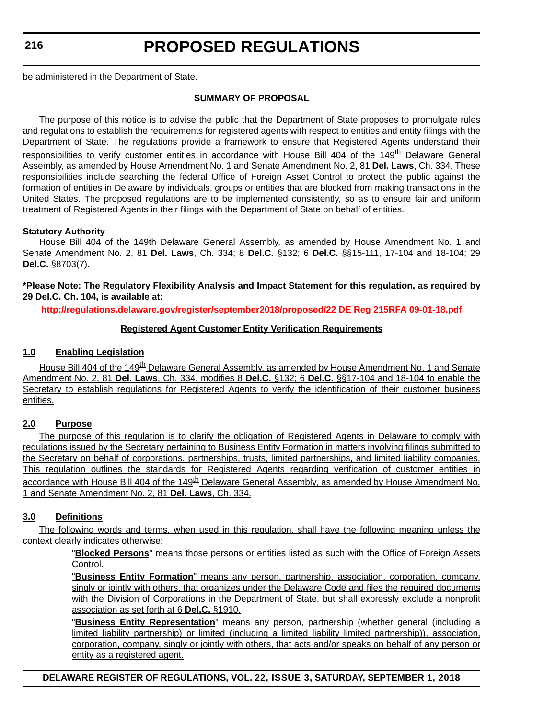**216**

### **PROPOSED REGULATIONS**

be administered in the Department of State.

#### **SUMMARY OF PROPOSAL**

The purpose of this notice is to advise the public that the Department of State proposes to promulgate rules and regulations to establish the requirements for registered agents with respect to entities and entity filings with the Department of State. The regulations provide a framework to ensure that Registered Agents understand their responsibilities to verify customer entities in accordance with House Bill 404 of the 149<sup>th</sup> Delaware General Assembly, as amended by House Amendment No. 1 and Senate Amendment No. 2, 81 **Del. Laws**, Ch. 334. These responsibilities include searching the federal Office of Foreign Asset Control to protect the public against the formation of entities in Delaware by individuals, groups or entities that are blocked from making transactions in the United States. The proposed regulations are to be implemented consistently, so as to ensure fair and uniform treatment of Registered Agents in their filings with the Department of State on behalf of entities.

#### **Statutory Authority**

House Bill 404 of the 149th Delaware General Assembly, as amended by House Amendment No. 1 and Senate Amendment No. 2, 81 **Del. Laws**, Ch. 334; 8 **Del.C.** §132; 6 **Del.C.** §§15-111, 17-104 and 18-104; 29 **Del.C.** §8703(7).

**\*Please Note: The Regulatory Flexibility Analysis and Impact Statement for this regulation, as required by 29 Del.C. Ch. 104, is available at:**

**<http://regulations.delaware.gov/register/september2018/proposed/22 DE Reg 215RFA 09-01-18.pdf>**

#### **Registered Agent Customer Entity Verification Requirements**

#### **1.0 Enabling Legislation**

House Bill 404 of the 149<sup>th</sup> Delaware General Assembly, as amended by House Amendment No. 1 and Senate Amendment No. 2, 81 **Del. Laws**, Ch. 334, modifies 8 **Del.C.** §132; 6 **Del.C.** §§17-104 and 18-104 to enable the Secretary to establish regulations for Registered Agents to verify the identification of their customer business entities.

#### **2.0 Purpose**

The purpose of this regulation is to clarify the obligation of Registered Agents in Delaware to comply with regulations issued by the Secretary pertaining to Business Entity Formation in matters involving filings submitted to the Secretary on behalf of corporations, partnerships, trusts, limited partnerships, and limited liability companies. This regulation outlines the standards for Registered Agents regarding verification of customer entities in accordance with House Bill 404 of the 149<sup>th</sup> Delaware General Assembly, as amended by House Amendment No. 1 and Senate Amendment No. 2, 81 **Del. Laws**, Ch. 334.

#### **3.0 Definitions**

The following words and terms, when used in this regulation, shall have the following meaning unless the context clearly indicates otherwise:

> "**Blocked Persons**" means those persons or entities listed as such with the Office of Foreign Assets Control.

> "**Business Entity Formation**" means any person, partnership, association, corporation, company, singly or jointly with others, that organizes under the Delaware Code and files the required documents with the Division of Corporations in the Department of State, but shall expressly exclude a nonprofit association as set forth at 6 **Del.C.** §1910.

> "**Business Entity Representation**" means any person, partnership (whether general (including a limited liability partnership) or limited (including a limited liability limited partnership)), association, corporation, company, singly or jointly with others, that acts and/or speaks on behalf of any person or entity as a registered agent.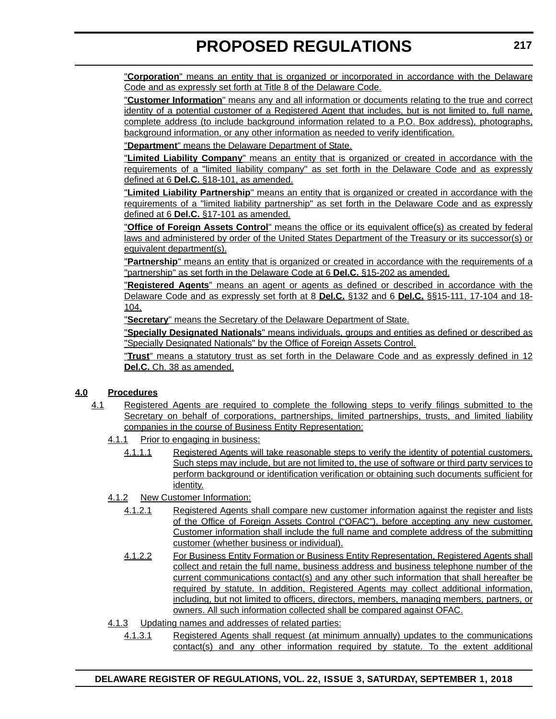"**Corporation**" means an entity that is organized or incorporated in accordance with the Delaware Code and as expressly set forth at Title 8 of the Delaware Code.

"**Customer Information**" means any and all information or documents relating to the true and correct identity of a potential customer of a Registered Agent that includes, but is not limited to, full name, complete address (to include background information related to a P.O. Box address), photographs, background information, or any other information as needed to verify identification.

"**Department**" means the Delaware Department of State.

"**Limited Liability Company**" means an entity that is organized or created in accordance with the requirements of a "limited liability company" as set forth in the Delaware Code and as expressly defined at 6 **Del.C.** §18-101, as amended.

"**Limited Liability Partnership**" means an entity that is organized or created in accordance with the requirements of a "limited liability partnership" as set forth in the Delaware Code and as expressly defined at 6 **Del.C.** §17-101 as amended.

"**Office of Foreign Assets Control**" means the office or its equivalent office(s) as created by federal laws and administered by order of the United States Department of the Treasury or its successor(s) or equivalent department(s).

"**Partnership**" means an entity that is organized or created in accordance with the requirements of a "partnership" as set forth in the Delaware Code at 6 **Del.C.** §15-202 as amended.

"**Registered Agents**" means an agent or agents as defined or described in accordance with the Delaware Code and as expressly set forth at 8 **Del.C.** §132 and 6 **Del.C.** §§15-111, 17-104 and 18- 104.

"**Secretary**" means the Secretary of the Delaware Department of State.

"**Specially Designated Nationals**" means individuals, groups and entities as defined or described as "Specially Designated Nationals" by the Office of Foreign Assets Control.

"**Trust**" means a statutory trust as set forth in the Delaware Code and as expressly defined in 12 **Del.C.** Ch. 38 as amended.

#### **4.0 Procedures**

- 4.1 Registered Agents are required to complete the following steps to verify filings submitted to the Secretary on behalf of corporations, partnerships, limited partnerships, trusts, and limited liability companies in the course of Business Entity Representation:
	- 4.1.1 Prior to engaging in business:
		- 4.1.1.1 Registered Agents will take reasonable steps to verify the identity of potential customers. Such steps may include, but are not limited to, the use of software or third party services to perform background or identification verification or obtaining such documents sufficient for identity.
	- 4.1.2 New Customer Information:
		- 4.1.2.1 Registered Agents shall compare new customer information against the register and lists of the Office of Foreign Assets Control ("OFAC"), before accepting any new customer. Customer information shall include the full name and complete address of the submitting customer (whether business or individual).
		- 4.1.2.2 For Business Entity Formation or Business Entity Representation, Registered Agents shall collect and retain the full name, business address and business telephone number of the current communications contact(s) and any other such information that shall hereafter be required by statute. In addition, Registered Agents may collect additional information, including, but not limited to officers, directors, members, managing members, partners, or owners. All such information collected shall be compared against OFAC.
	- 4.1.3 Updating names and addresses of related parties:
		- 4.1.3.1 Registered Agents shall request (at minimum annually) updates to the communications contact(s) and any other information required by statute. To the extent additional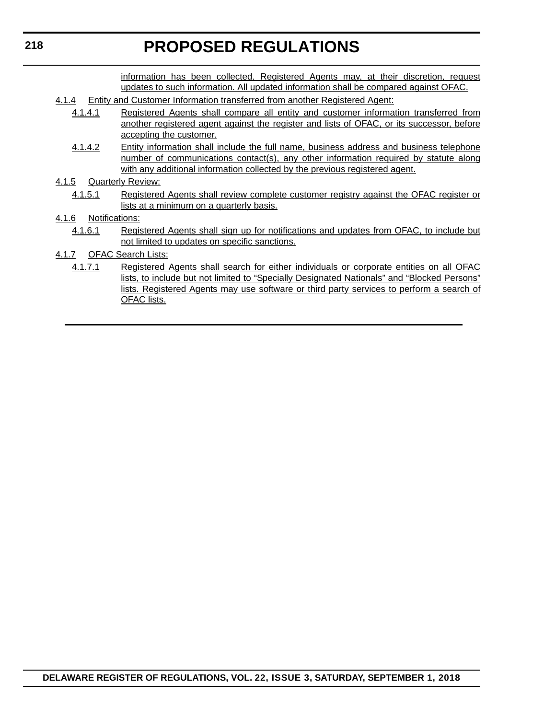information has been collected, Registered Agents may, at their discretion, request updates to such information. All updated information shall be compared against OFAC.

- 4.1.4 Entity and Customer Information transferred from another Registered Agent:
	- 4.1.4.1 Registered Agents shall compare all entity and customer information transferred from another registered agent against the register and lists of OFAC, or its successor, before accepting the customer.
	- 4.1.4.2 Entity information shall include the full name, business address and business telephone number of communications contact(s), any other information required by statute along with any additional information collected by the previous registered agent.
- 4.1.5 Quarterly Review:
	- 4.1.5.1 Registered Agents shall review complete customer registry against the OFAC register or lists at a minimum on a quarterly basis.
- 4.1.6 Notifications:
	- 4.1.6.1 Registered Agents shall sign up for notifications and updates from OFAC, to include but not limited to updates on specific sanctions.
- 4.1.7 OFAC Search Lists:
	- 4.1.7.1 Registered Agents shall search for either individuals or corporate entities on all OFAC lists, to include but not limited to "Specially Designated Nationals" and "Blocked Persons" lists. Registered Agents may use software or third party services to perform a search of OFAC lists.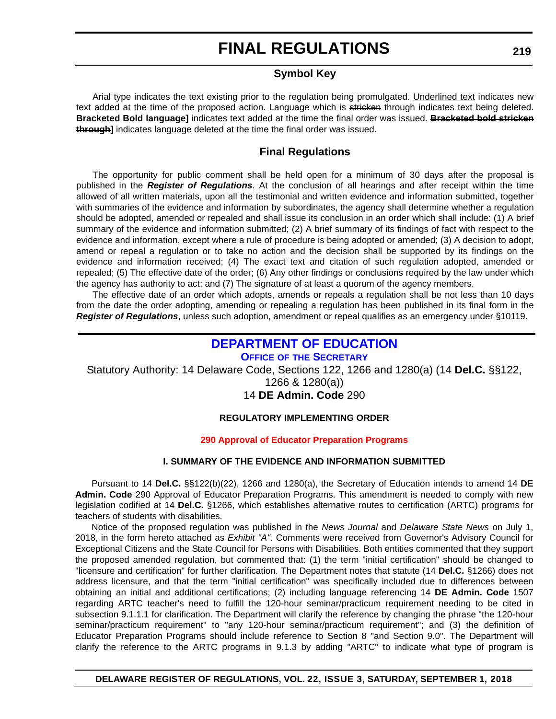#### **Symbol Key**

<span id="page-46-0"></span>Arial type indicates the text existing prior to the regulation being promulgated. Underlined text indicates new text added at the time of the proposed action. Language which is stricken through indicates text being deleted. **Bracketed Bold language]** indicates text added at the time the final order was issued. **Bracketed bold stricken through]** indicates language deleted at the time the final order was issued.

#### **Final Regulations**

The opportunity for public comment shall be held open for a minimum of 30 days after the proposal is published in the *Register of Regulations*. At the conclusion of all hearings and after receipt within the time allowed of all written materials, upon all the testimonial and written evidence and information submitted, together with summaries of the evidence and information by subordinates, the agency shall determine whether a regulation should be adopted, amended or repealed and shall issue its conclusion in an order which shall include: (1) A brief summary of the evidence and information submitted; (2) A brief summary of its findings of fact with respect to the evidence and information, except where a rule of procedure is being adopted or amended; (3) A decision to adopt, amend or repeal a regulation or to take no action and the decision shall be supported by its findings on the evidence and information received; (4) The exact text and citation of such regulation adopted, amended or repealed; (5) The effective date of the order; (6) Any other findings or conclusions required by the law under which the agency has authority to act; and (7) The signature of at least a quorum of the agency members.

The effective date of an order which adopts, amends or repeals a regulation shall be not less than 10 days from the date the order adopting, amending or repealing a regulation has been published in its final form in the *Register of Regulations*, unless such adoption, amendment or repeal qualifies as an emergency under §10119.

### **[DEPARTMENT OF EDUCATION](https://www.doe.k12.de.us/)**

**OFFICE OF [THE SECRETARY](https://pubapps.doe.k12.de.us/EducationalDirectoryPublic/pages/DDOE/Branches.aspx?page=branches&BID=1)**

Statutory Authority: 14 Delaware Code, Sections 122, 1266 and 1280(a) (14 **Del.C.** §§122,

1266 & 1280(a))

14 **DE Admin. Code** 290

#### **REGULATORY IMPLEMENTING ORDER**

#### **[290 Approval of Educator Preparation Programs](#page-4-0)**

#### **I. SUMMARY OF THE EVIDENCE AND INFORMATION SUBMITTED**

Pursuant to 14 **Del.C.** §§122(b)(22), 1266 and 1280(a), the Secretary of Education intends to amend 14 **DE Admin. Code** 290 Approval of Educator Preparation Programs. This amendment is needed to comply with new legislation codified at 14 **Del.C.** §1266, which establishes alternative routes to certification (ARTC) programs for teachers of students with disabilities.

Notice of the proposed regulation was published in the *News Journal* and *Delaware State News* on July 1, 2018, in the form hereto attached as *Exhibit "A"*. Comments were received from Governor's Advisory Council for Exceptional Citizens and the State Council for Persons with Disabilities. Both entities commented that they support the proposed amended regulation, but commented that: (1) the term "initial certification" should be changed to "licensure and certification" for further clarification. The Department notes that statute (14 **Del.C.** §1266) does not address licensure, and that the term "initial certification" was specifically included due to differences between obtaining an initial and additional certifications; (2) including language referencing 14 **DE Admin. Code** 1507 regarding ARTC teacher's need to fulfill the 120-hour seminar/practicum requirement needing to be cited in subsection 9.1.1.1 for clarification. The Department will clarify the reference by changing the phrase "the 120-hour seminar/practicum requirement" to "any 120-hour seminar/practicum requirement"; and (3) the definition of Educator Preparation Programs should include reference to Section 8 "and Section 9.0". The Department will clarify the reference to the ARTC programs in 9.1.3 by adding "ARTC" to indicate what type of program is

**219**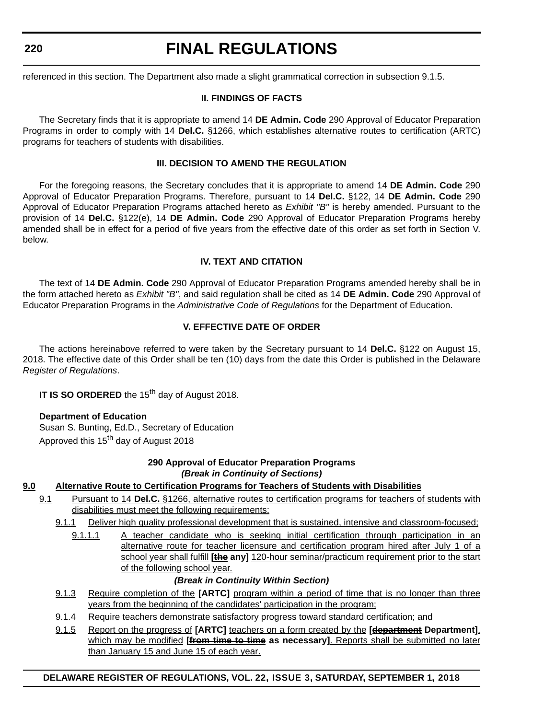**220**

### **FINAL REGULATIONS**

referenced in this section. The Department also made a slight grammatical correction in subsection 9.1.5.

#### **II. FINDINGS OF FACTS**

The Secretary finds that it is appropriate to amend 14 **DE Admin. Code** 290 Approval of Educator Preparation Programs in order to comply with 14 **Del.C.** §1266, which establishes alternative routes to certification (ARTC) programs for teachers of students with disabilities.

#### **III. DECISION TO AMEND THE REGULATION**

For the foregoing reasons, the Secretary concludes that it is appropriate to amend 14 **DE Admin. Code** 290 Approval of Educator Preparation Programs. Therefore, pursuant to 14 **Del.C.** §122, 14 **DE Admin. Code** 290 Approval of Educator Preparation Programs attached hereto as *Exhibit "B"* is hereby amended. Pursuant to the provision of 14 **Del.C.** §122(e), 14 **DE Admin. Code** 290 Approval of Educator Preparation Programs hereby amended shall be in effect for a period of five years from the effective date of this order as set forth in Section V. below.

#### **IV. TEXT AND CITATION**

The text of 14 **DE Admin. Code** 290 Approval of Educator Preparation Programs amended hereby shall be in the form attached hereto as *Exhibit "B"*, and said regulation shall be cited as 14 **DE Admin. Code** 290 Approval of Educator Preparation Programs in the *Administrative Code of Regulations* for the Department of Education.

#### **V. EFFECTIVE DATE OF ORDER**

The actions hereinabove referred to were taken by the Secretary pursuant to 14 **Del.C.** §122 on August 15, 2018. The effective date of this Order shall be ten (10) days from the date this Order is published in the Delaware *Register of Regulations*.

**IT IS SO ORDERED** the 15<sup>th</sup> day of August 2018.

#### **Department of Education**

Susan S. Bunting, Ed.D., Secretary of Education Approved this 15<sup>th</sup> day of August 2018

#### **290 Approval of Educator Preparation Programs** *(Break in Continuity of Sections)*

#### **9.0 Alternative Route to Certification Programs for Teachers of Students with Disabilities**

- 9.1 Pursuant to 14 **Del.C.** §1266, alternative routes to certification programs for teachers of students with disabilities must meet the following requirements:
	- 9.1.1 Deliver high quality professional development that is sustained, intensive and classroom-focused;
		- 9.1.1.1 A teacher candidate who is seeking initial certification through participation in an alternative route for teacher licensure and certification program hired after July 1 of a school year shall fulfill **[the any]** 120-hour seminar/practicum requirement prior to the start of the following school year.

#### *(Break in Continuity Within Section)*

- 9.1.3 Require completion of the **[ARTC]** program within a period of time that is no longer than three years from the beginning of the candidates' participation in the program;
- 9.1.4 Require teachers demonstrate satisfactory progress toward standard certification; and
- 9.1.5 Report on the progress of **[ARTC]** teachers on a form created by the **[department Department]**, which may be modified **[from time to time as necessary]**. Reports shall be submitted no later than January 15 and June 15 of each year.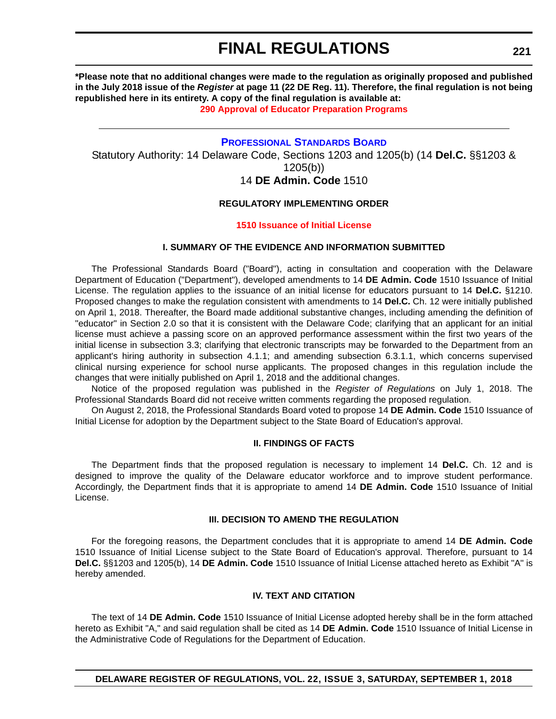<span id="page-48-0"></span>**\*Please note that no additional changes were made to the regulation as originally proposed and published in the July 2018 issue of the** *Register* **at page 11 (22 DE Reg. 11). Therefore, the final regulation is not being republished here in its entirety. A copy of the final regulation is available at:**

**[290 Approval of Educator Preparation Programs](http://regulations.delaware.gov/register/september2018/final/22 DE Reg 219 09-01-18.htm)** 

#### **[PROFESSIONAL STANDARDS BOARD](https://pubapps.doe.k12.de.us/EducationalDirectoryPublic/pages/DDOE/WorkGroupStaff.aspx?page=branches&WGID=75&BID=1)**

Statutory Authority: 14 Delaware Code, Sections 1203 and 1205(b) (14 **Del.C.** §§1203 & 1205(b)) 14 **DE Admin. Code** 1510

#### **REGULATORY IMPLEMENTING ORDER**

#### **[1510 Issuance of Initial License](#page-4-0)**

#### **I. SUMMARY OF THE EVIDENCE AND INFORMATION SUBMITTED**

The Professional Standards Board ("Board"), acting in consultation and cooperation with the Delaware Department of Education ("Department"), developed amendments to 14 **DE Admin. Code** 1510 Issuance of Initial License. The regulation applies to the issuance of an initial license for educators pursuant to 14 **Del.C.** §1210. Proposed changes to make the regulation consistent with amendments to 14 **Del.C.** Ch. 12 were initially published on April 1, 2018. Thereafter, the Board made additional substantive changes, including amending the definition of "educator" in Section 2.0 so that it is consistent with the Delaware Code; clarifying that an applicant for an initial license must achieve a passing score on an approved performance assessment within the first two years of the initial license in subsection 3.3; clarifying that electronic transcripts may be forwarded to the Department from an applicant's hiring authority in subsection 4.1.1; and amending subsection 6.3.1.1, which concerns supervised clinical nursing experience for school nurse applicants. The proposed changes in this regulation include the changes that were initially published on April 1, 2018 and the additional changes.

Notice of the proposed regulation was published in the *Register of Regulations* on July 1, 2018. The Professional Standards Board did not receive written comments regarding the proposed regulation.

On August 2, 2018, the Professional Standards Board voted to propose 14 **DE Admin. Code** 1510 Issuance of Initial License for adoption by the Department subject to the State Board of Education's approval.

#### **II. FINDINGS OF FACTS**

The Department finds that the proposed regulation is necessary to implement 14 **Del.C.** Ch. 12 and is designed to improve the quality of the Delaware educator workforce and to improve student performance. Accordingly, the Department finds that it is appropriate to amend 14 **DE Admin. Code** 1510 Issuance of Initial License.

#### **III. DECISION TO AMEND THE REGULATION**

For the foregoing reasons, the Department concludes that it is appropriate to amend 14 **DE Admin. Code** 1510 Issuance of Initial License subject to the State Board of Education's approval. Therefore, pursuant to 14 **Del.C.** §§1203 and 1205(b), 14 **DE Admin. Code** 1510 Issuance of Initial License attached hereto as Exhibit "A" is hereby amended.

#### **IV. TEXT AND CITATION**

The text of 14 **DE Admin. Code** 1510 Issuance of Initial License adopted hereby shall be in the form attached hereto as Exhibit "A," and said regulation shall be cited as 14 **DE Admin. Code** 1510 Issuance of Initial License in the Administrative Code of Regulations for the Department of Education.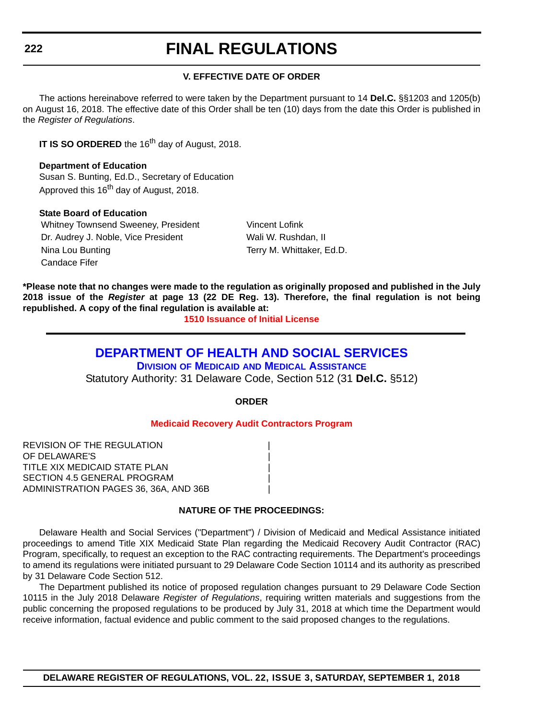#### **V. EFFECTIVE DATE OF ORDER**

<span id="page-49-0"></span>The actions hereinabove referred to were taken by the Department pursuant to 14 **Del.C.** §§1203 and 1205(b) on August 16, 2018. The effective date of this Order shall be ten (10) days from the date this Order is published in the *Register of Regulations*.

**IT IS SO ORDERED** the 16<sup>th</sup> day of August, 2018.

**Department of Education** Susan S. Bunting, Ed.D., Secretary of Education Approved this 16<sup>th</sup> day of August, 2018.

#### **State Board of Education**

Whitney Townsend Sweeney, President Vincent Lofink Dr. Audrey J. Noble, Vice President Wali W. Rushdan, II Nina Lou Bunting Terry M. Whittaker, Ed.D. Candace Fifer

**\*Please note that no changes were made to the regulation as originally proposed and published in the July 2018 issue of the** *Register* **at page 13 (22 DE Reg. 13). Therefore, the final regulation is not being republished. A copy of the final regulation is available at:**

**[1510 Issuance of Initial License](http://regulations.delaware.gov/register/september2018/final/22 DE Reg 221 09-01-18.htm)** 

#### **[DEPARTMENT OF HEALTH AND SOCIAL SERVICES](https://www.dhss.delaware.gov/dhss/index.html) DIVISION OF MEDICAID [AND MEDICAL ASSISTANCE](https://www.dhss.delaware.gov/dhss/dmma/)**

Statutory Authority: 31 Delaware Code, Section 512 (31 **Del.C.** §512)

**ORDER**

#### **[Medicaid Recovery Audit Contractors Program](#page-4-0)**

REVISION OF THE REGULATION | OF DELAWARE'S | TITLE XIX MEDICAID STATE PLAN | SECTION 4.5 GENERAL PROGRAM ADMINISTRATION PAGES 36, 36A, AND 36B |

#### **NATURE OF THE PROCEEDINGS:**

Delaware Health and Social Services ("Department") / Division of Medicaid and Medical Assistance initiated proceedings to amend Title XIX Medicaid State Plan regarding the Medicaid Recovery Audit Contractor (RAC) Program, specifically, to request an exception to the RAC contracting requirements. The Department's proceedings to amend its regulations were initiated pursuant to 29 Delaware Code Section 10114 and its authority as prescribed by 31 Delaware Code Section 512.

The Department published its notice of proposed regulation changes pursuant to 29 Delaware Code Section 10115 in the July 2018 Delaware *Register of Regulations*, requiring written materials and suggestions from the public concerning the proposed regulations to be produced by July 31, 2018 at which time the Department would receive information, factual evidence and public comment to the said proposed changes to the regulations.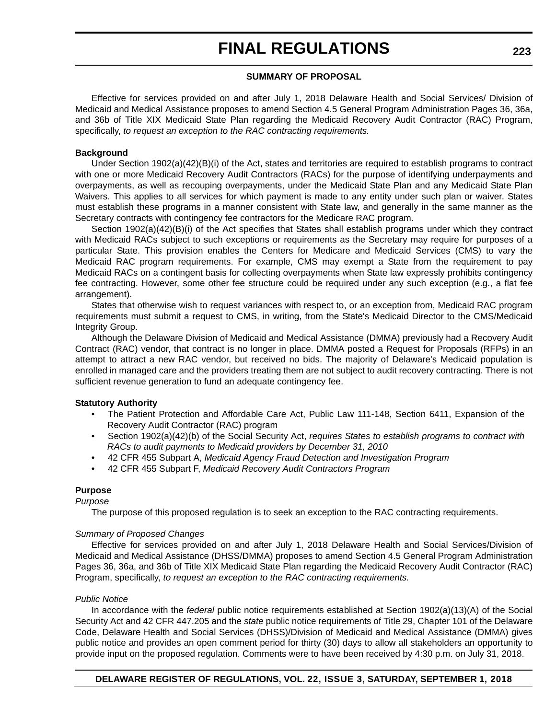#### **SUMMARY OF PROPOSAL**

Effective for services provided on and after July 1, 2018 Delaware Health and Social Services/ Division of Medicaid and Medical Assistance proposes to amend Section 4.5 General Program Administration Pages 36, 36a, and 36b of Title XIX Medicaid State Plan regarding the Medicaid Recovery Audit Contractor (RAC) Program, specifically, *to request an exception to the RAC contracting requirements.*

#### **Background**

Under Section 1902(a)(42)(B)(i) of the Act, states and territories are required to establish programs to contract with one or more Medicaid Recovery Audit Contractors (RACs) for the purpose of identifying underpayments and overpayments, as well as recouping overpayments, under the Medicaid State Plan and any Medicaid State Plan Waivers. This applies to all services for which payment is made to any entity under such plan or waiver. States must establish these programs in a manner consistent with State law, and generally in the same manner as the Secretary contracts with contingency fee contractors for the Medicare RAC program.

Section 1902(a)(42)(B)(i) of the Act specifies that States shall establish programs under which they contract with Medicaid RACs subject to such exceptions or requirements as the Secretary may require for purposes of a particular State. This provision enables the Centers for Medicare and Medicaid Services (CMS) to vary the Medicaid RAC program requirements. For example, CMS may exempt a State from the requirement to pay Medicaid RACs on a contingent basis for collecting overpayments when State law expressly prohibits contingency fee contracting. However, some other fee structure could be required under any such exception (e.g., a flat fee arrangement).

States that otherwise wish to request variances with respect to, or an exception from, Medicaid RAC program requirements must submit a request to CMS, in writing, from the State's Medicaid Director to the CMS/Medicaid Integrity Group.

Although the Delaware Division of Medicaid and Medical Assistance (DMMA) previously had a Recovery Audit Contract (RAC) vendor, that contract is no longer in place. DMMA posted a Request for Proposals (RFPs) in an attempt to attract a new RAC vendor, but received no bids. The majority of Delaware's Medicaid population is enrolled in managed care and the providers treating them are not subject to audit recovery contracting. There is not sufficient revenue generation to fund an adequate contingency fee.

#### **Statutory Authority**

- The Patient Protection and Affordable Care Act, Public Law 111-148, Section 6411, Expansion of the Recovery Audit Contractor (RAC) program
- Section 1902(a)(42)(b) of the Social Security Act, *requires States to establish programs to contract with RACs to audit payments to Medicaid providers by December 31, 2010*
- 42 CFR 455 Subpart A, *Medicaid Agency Fraud Detection and Investigation Program*
- 42 CFR 455 Subpart F, *Medicaid Recovery Audit Contractors Program*

#### **Purpose**

*Purpose*

The purpose of this proposed regulation is to seek an exception to the RAC contracting requirements.

#### *Summary of Proposed Changes*

Effective for services provided on and after July 1, 2018 Delaware Health and Social Services/Division of Medicaid and Medical Assistance (DHSS/DMMA) proposes to amend Section 4.5 General Program Administration Pages 36, 36a, and 36b of Title XIX Medicaid State Plan regarding the Medicaid Recovery Audit Contractor (RAC) Program, specifically, *to request an exception to the RAC contracting requirements.*

#### *Public Notice*

In accordance with the *federal* public notice requirements established at Section 1902(a)(13)(A) of the Social Security Act and 42 CFR 447.205 and the *state* public notice requirements of Title 29, Chapter 101 of the Delaware Code, Delaware Health and Social Services (DHSS)/Division of Medicaid and Medical Assistance (DMMA) gives public notice and provides an open comment period for thirty (30) days to allow all stakeholders an opportunity to provide input on the proposed regulation. Comments were to have been received by 4:30 p.m. on July 31, 2018.

#### **DELAWARE REGISTER OF REGULATIONS, VOL. 22, ISSUE 3, SATURDAY, SEPTEMBER 1, 2018**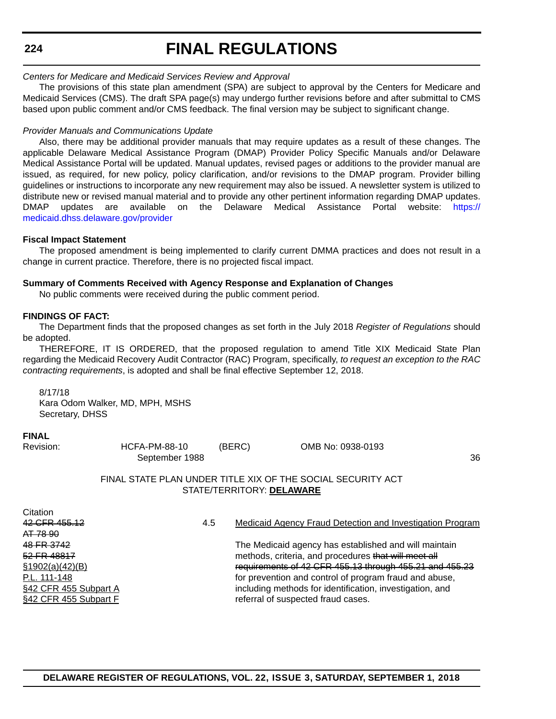#### **224**

### **FINAL REGULATIONS**

#### *Centers for Medicare and Medicaid Services Review and Approval*

The provisions of this state plan amendment (SPA) are subject to approval by the Centers for Medicare and Medicaid Services (CMS). The draft SPA page(s) may undergo further revisions before and after submittal to CMS based upon public comment and/or CMS feedback. The final version may be subject to significant change.

#### *Provider Manuals and Communications Update*

Also, there may be additional provider manuals that may require updates as a result of these changes. The applicable Delaware Medical Assistance Program (DMAP) Provider Policy Specific Manuals and/or Delaware Medical Assistance Portal will be updated. Manual updates, revised pages or additions to the provider manual are issued, as required, for new policy, policy clarification, and/or revisions to the DMAP program. Provider billing guidelines or instructions to incorporate any new requirement may also be issued. A newsletter system is utilized to distribute new or revised manual material and to provide any other pertinent information regarding DMAP updates. DMAP updates are available on the Delaware Medical Assistance Portal website: [https://](https://medicaid.dhss.delaware.gov/provider) [medicaid.dhss.delaware.gov/provider](https://medicaid.dhss.delaware.gov/provider)

#### **Fiscal Impact Statement**

The proposed amendment is being implemented to clarify current DMMA practices and does not result in a change in current practice. Therefore, there is no projected fiscal impact.

#### **Summary of Comments Received with Agency Response and Explanation of Changes**

No public comments were received during the public comment period.

#### **FINDINGS OF FACT:**

The Department finds that the proposed changes as set forth in the July 2018 *Register of Regulations* should be adopted.

THEREFORE, IT IS ORDERED, that the proposed regulation to amend Title XIX Medicaid State Plan regarding the Medicaid Recovery Audit Contractor (RAC) Program, specifically, *to request an exception to the RAC contracting requirements*, is adopted and shall be final effective September 12, 2018.

8/17/18

Kara Odom Walker, MD, MPH, MSHS Secretary, DHSS

#### **FINAL**

Revision: HCFA-PM-88-10 (BERC) OMB No: 0938-0193 September 1988 36 and 30 and 30 and 30 and 30 and 30 and 30 and 30 and 30 and 30 and 30 and 30 and 30 and 30 and 30 and 30 and 30 and 30 and 30 and 30 and 30 and 30 and 30 and 30 and 30 and 30 and 30 and 30 and 30 and 30 a

#### FINAL STATE PLAN UNDER TITLE XIX OF THE SOCIAL SECURITY ACT STATE/TERRITORY: **DELAWARE**

**Citation** AT 78 90

42 CFR 455.12 4.5 Medicaid Agency Fraud Detection and Investigation Program

48 FR 3742 The Medicaid agency has established and will maintain 52 FR 48817 methods, criteria, and procedures that will meet all §1902(a)(42)(B) requirements of 42 CFR 455.13 through 455.21 and 455.23 P.L. 111-148 for prevention and control of program fraud and abuse, §42 CFR 455 Subpart A including methods for identification, investigation, and §42 CFR 455 Subpart F referral of suspected fraud cases.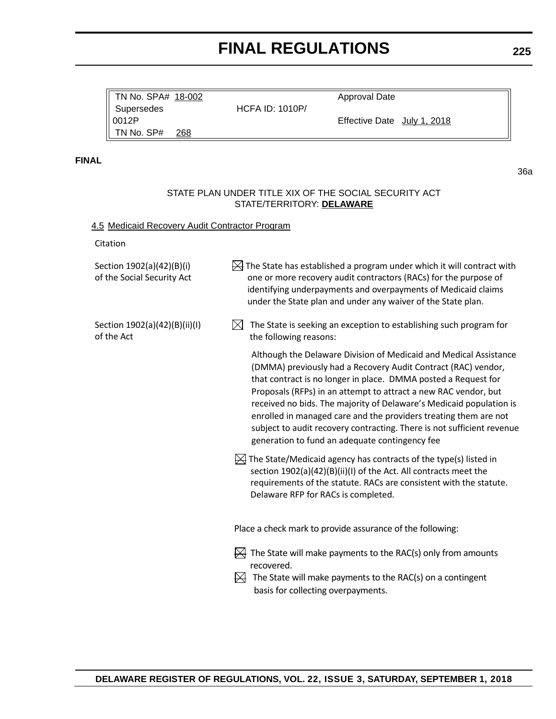Approval Date

TN No. SPA# 18-002

|              | TN No. SPA# 18-002                                      | <b>HCFA ID: 1010P/</b>                           | Approval Date                                                                                                                                                                                                                                                                                                                                                                                                                                                                                                                                  |     |
|--------------|---------------------------------------------------------|--------------------------------------------------|------------------------------------------------------------------------------------------------------------------------------------------------------------------------------------------------------------------------------------------------------------------------------------------------------------------------------------------------------------------------------------------------------------------------------------------------------------------------------------------------------------------------------------------------|-----|
|              | Supersedes<br>0012P                                     |                                                  | Effective Date July 1, 2018                                                                                                                                                                                                                                                                                                                                                                                                                                                                                                                    |     |
|              | TN No. SP#<br>268                                       |                                                  |                                                                                                                                                                                                                                                                                                                                                                                                                                                                                                                                                |     |
| <b>FINAL</b> |                                                         |                                                  |                                                                                                                                                                                                                                                                                                                                                                                                                                                                                                                                                | 36a |
|              |                                                         | STATE/TERRITORY: DELAWARE                        | STATE PLAN UNDER TITLE XIX OF THE SOCIAL SECURITY ACT                                                                                                                                                                                                                                                                                                                                                                                                                                                                                          |     |
|              | 4.5 Medicaid Recovery Audit Contractor Program          |                                                  |                                                                                                                                                                                                                                                                                                                                                                                                                                                                                                                                                |     |
|              | Citation                                                |                                                  |                                                                                                                                                                                                                                                                                                                                                                                                                                                                                                                                                |     |
|              | Section 1902(a)(42)(B)(i)<br>of the Social Security Act |                                                  | $\frac{1}{2}$ The State has established a program under which it will contract with<br>one or more recovery audit contractors (RACs) for the purpose of<br>identifying underpayments and overpayments of Medicaid claims<br>under the State plan and under any waiver of the State plan.                                                                                                                                                                                                                                                       |     |
|              | Section 1902(a)(42)(B)(ii)(I)<br>of the Act             | $\bowtie$<br>the following reasons:              | The State is seeking an exception to establishing such program for                                                                                                                                                                                                                                                                                                                                                                                                                                                                             |     |
|              |                                                         |                                                  | Although the Delaware Division of Medicaid and Medical Assistance<br>(DMMA) previously had a Recovery Audit Contract (RAC) vendor,<br>that contract is no longer in place. DMMA posted a Request for<br>Proposals (RFPs) in an attempt to attract a new RAC vendor, but<br>received no bids. The majority of Delaware's Medicaid population is<br>enrolled in managed care and the providers treating them are not<br>subject to audit recovery contracting. There is not sufficient revenue<br>generation to fund an adequate contingency fee |     |
|              |                                                         | Delaware RFP for RACs is completed.              | $\mathbb H$ The State/Medicaid agency has contracts of the type(s) listed in<br>section 1902(a)(42)(B)(ii)(I) of the Act. All contracts meet the<br>requirements of the statute. RACs are consistent with the statute.                                                                                                                                                                                                                                                                                                                         |     |
|              |                                                         |                                                  | Place a check mark to provide assurance of the following:                                                                                                                                                                                                                                                                                                                                                                                                                                                                                      |     |
|              |                                                         | recovered.<br>basis for collecting overpayments. | $\overline{\bowtie}$ The State will make payments to the RAC(s) only from amounts<br>$\overrightarrow{H}$ The State will make payments to the RAC(s) on a contingent                                                                                                                                                                                                                                                                                                                                                                           |     |
|              |                                                         |                                                  |                                                                                                                                                                                                                                                                                                                                                                                                                                                                                                                                                |     |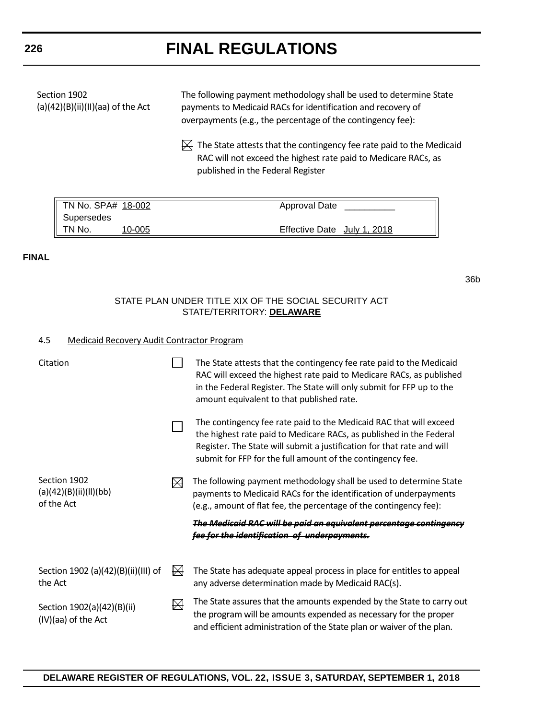| Section 1902<br>$(a)(42)(B)(ii)(II)(aa)$ of the Act | The following payment methodology shall be used to determine State<br>payments to Medicaid RACs for identification and recovery of<br>overpayments (e.g., the percentage of the contingency fee): |
|-----------------------------------------------------|---------------------------------------------------------------------------------------------------------------------------------------------------------------------------------------------------|
|                                                     | $\mathbb{H}$ The State attests that the contingency fee rate paid to the Medicaid<br>RAC will not exceed the highest rate paid to Medicare RACs, as<br>published in the Federal Register          |

| TN No. SPA# 18-002 |        | Approval Date               |  |
|--------------------|--------|-----------------------------|--|
| Supersedes         |        |                             |  |
| $\parallel$ TN No. | 10-005 | Effective Date July 1, 2018 |  |

#### **FINAL**

36b

#### STATE PLAN UNDER TITLE XIX OF THE SOCIAL SECURITY ACT STATE/TERRITORY: **DELAWARE**

#### 4.5 Medicaid Recovery Audit Contractor Program

| Citation                                             |             | The State attests that the contingency fee rate paid to the Medicaid<br>RAC will exceed the highest rate paid to Medicare RACs, as published<br>in the Federal Register. The State will only submit for FFP up to the<br>amount equivalent to that published rate.                |
|------------------------------------------------------|-------------|-----------------------------------------------------------------------------------------------------------------------------------------------------------------------------------------------------------------------------------------------------------------------------------|
|                                                      |             | The contingency fee rate paid to the Medicaid RAC that will exceed<br>the highest rate paid to Medicare RACs, as published in the Federal<br>Register. The State will submit a justification for that rate and will<br>submit for FFP for the full amount of the contingency fee. |
| Section 1902<br>(a)(42)(B)(ii)(II)(bb)<br>of the Act |             | The following payment methodology shall be used to determine State<br>payments to Medicaid RACs for the identification of underpayments<br>(e.g., amount of flat fee, the percentage of the contingency fee):                                                                     |
|                                                      |             | The Medicaid RAC will be paid an equivalent percentage contingency<br>fee for the identification of underpayments.                                                                                                                                                                |
| Section 1902 (a)(42)(B)(ii)(III) of<br>the Act       | $\boxtimes$ | The State has adequate appeal process in place for entitles to appeal<br>any adverse determination made by Medicaid RAC(s).                                                                                                                                                       |
| Section 1902(a)(42)(B)(ii)<br>(IV)(aa) of the Act    | ₩           | The State assures that the amounts expended by the State to carry out<br>the program will be amounts expended as necessary for the proper<br>and efficient administration of the State plan or waiver of the plan.                                                                |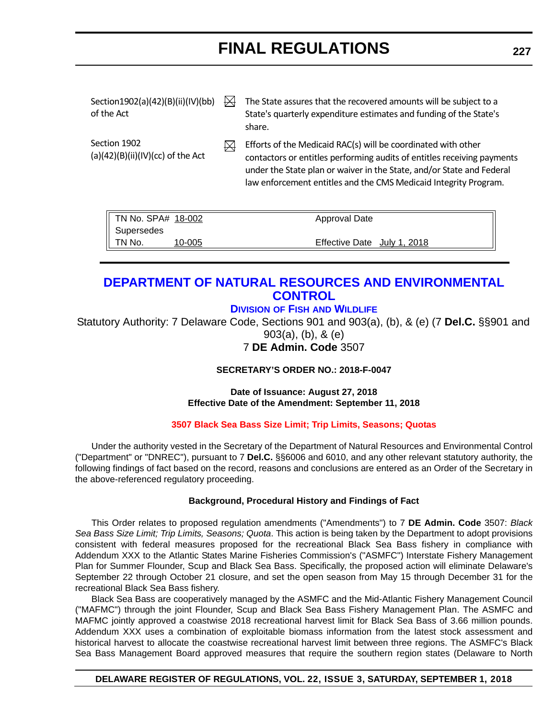<span id="page-54-0"></span>

| Section1902(a)(42)(B)(ii)(IV)(bb)<br>of the Act      | $\boxtimes$ | The State assures that the recovered amounts will be subject to a<br>State's quarterly expenditure estimates and funding of the State's<br>share.                                                                                                                                     |
|------------------------------------------------------|-------------|---------------------------------------------------------------------------------------------------------------------------------------------------------------------------------------------------------------------------------------------------------------------------------------|
| Section 1902<br>(a) $(42)(B)(ii)(IV)(cc)$ of the Act | M           | Efforts of the Medicaid RAC(s) will be coordinated with other<br>contactors or entitles performing audits of entitles receiving payments<br>under the State plan or waiver in the State, and/or State and Federal<br>law enforcement entitles and the CMS Medicaid Integrity Program. |

| $\parallel$ TN No. SPA# 18-002 |        | Approval Date               |
|--------------------------------|--------|-----------------------------|
| $\parallel$ Supersedes         |        |                             |
| $\parallel$ TN No.             | 10-005 | Effective Date July 1, 2018 |

#### **[DEPARTMENT OF NATURAL RESOURCES AND ENVIRONMENTAL](https://dnrec.alpha.delaware.gov/)  CONTROL**

#### **DIVISION OF FISH [AND WILDLIFE](https://dnrec.alpha.delaware.gov/fish-wildlife/)**

Statutory Authority: 7 Delaware Code, Sections 901 and 903(a), (b), & (e) (7 **Del.C.** §§901 and 903(a), (b), & (e) 7 **DE Admin. Code** 3507

#### **SECRETARY'S ORDER NO.: 2018-F-0047**

**Date of Issuance: August 27, 2018 Effective Date of the Amendment: September 11, 2018**

#### **[3507 Black Sea Bass Size Limit; Trip Limits, Seasons; Quotas](#page-4-0)**

Under the authority vested in the Secretary of the Department of Natural Resources and Environmental Control ("Department" or "DNREC"), pursuant to 7 **Del.C.** §§6006 and 6010, and any other relevant statutory authority, the following findings of fact based on the record, reasons and conclusions are entered as an Order of the Secretary in the above-referenced regulatory proceeding.

#### **Background, Procedural History and Findings of Fact**

This Order relates to proposed regulation amendments ("Amendments") to 7 **DE Admin. Code** 3507: *Black Sea Bass Size Limit; Trip Limits, Seasons; Quota*. This action is being taken by the Department to adopt provisions consistent with federal measures proposed for the recreational Black Sea Bass fishery in compliance with Addendum XXX to the Atlantic States Marine Fisheries Commission's ("ASMFC") Interstate Fishery Management Plan for Summer Flounder, Scup and Black Sea Bass. Specifically, the proposed action will eliminate Delaware's September 22 through October 21 closure, and set the open season from May 15 through December 31 for the recreational Black Sea Bass fishery.

Black Sea Bass are cooperatively managed by the ASMFC and the Mid-Atlantic Fishery Management Council ("MAFMC") through the joint Flounder, Scup and Black Sea Bass Fishery Management Plan. The ASMFC and MAFMC jointly approved a coastwise 2018 recreational harvest limit for Black Sea Bass of 3.66 million pounds. Addendum XXX uses a combination of exploitable biomass information from the latest stock assessment and historical harvest to allocate the coastwise recreational harvest limit between three regions. The ASMFC's Black Sea Bass Management Board approved measures that require the southern region states (Delaware to North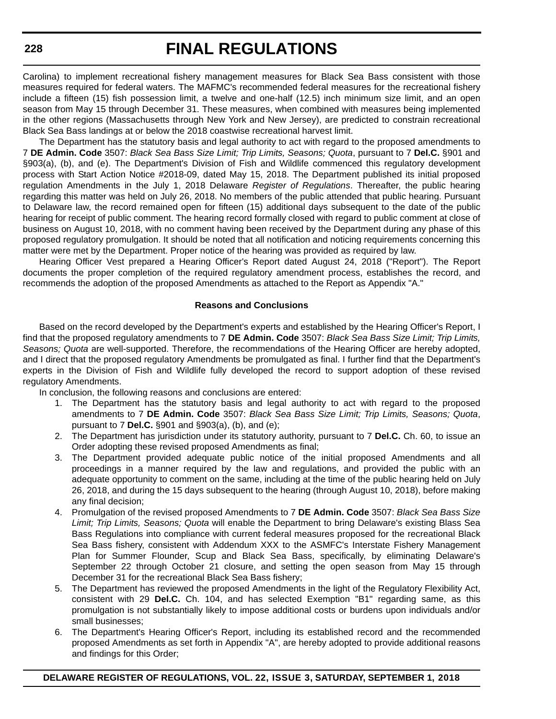Carolina) to implement recreational fishery management measures for Black Sea Bass consistent with those measures required for federal waters. The MAFMC's recommended federal measures for the recreational fishery include a fifteen (15) fish possession limit, a twelve and one-half (12.5) inch minimum size limit, and an open season from May 15 through December 31. These measures, when combined with measures being implemented in the other regions (Massachusetts through New York and New Jersey), are predicted to constrain recreational Black Sea Bass landings at or below the 2018 coastwise recreational harvest limit.

The Department has the statutory basis and legal authority to act with regard to the proposed amendments to 7 **DE Admin. Code** 3507: *Black Sea Bass Size Limit; Trip Limits, Seasons; Quota*, pursuant to 7 **Del.C.** §901 and §903(a), (b), and (e). The Department's Division of Fish and Wildlife commenced this regulatory development process with Start Action Notice #2018-09, dated May 15, 2018. The Department published its initial proposed regulation Amendments in the July 1, 2018 Delaware *Register of Regulations*. Thereafter, the public hearing regarding this matter was held on July 26, 2018. No members of the public attended that public hearing. Pursuant to Delaware law, the record remained open for fifteen (15) additional days subsequent to the date of the public hearing for receipt of public comment. The hearing record formally closed with regard to public comment at close of business on August 10, 2018, with no comment having been received by the Department during any phase of this proposed regulatory promulgation. It should be noted that all notification and noticing requirements concerning this matter were met by the Department. Proper notice of the hearing was provided as required by law.

Hearing Officer Vest prepared a Hearing Officer's Report dated August 24, 2018 ("Report"). The Report documents the proper completion of the required regulatory amendment process, establishes the record, and recommends the adoption of the proposed Amendments as attached to the Report as Appendix "A."

#### **Reasons and Conclusions**

Based on the record developed by the Department's experts and established by the Hearing Officer's Report, I find that the proposed regulatory amendments to 7 **DE Admin. Code** 3507: *Black Sea Bass Size Limit; Trip Limits, Seasons; Quota* are well-supported. Therefore, the recommendations of the Hearing Officer are hereby adopted, and I direct that the proposed regulatory Amendments be promulgated as final. I further find that the Department's experts in the Division of Fish and Wildlife fully developed the record to support adoption of these revised regulatory Amendments.

In conclusion, the following reasons and conclusions are entered:

- 1. The Department has the statutory basis and legal authority to act with regard to the proposed amendments to 7 **DE Admin. Code** 3507: *Black Sea Bass Size Limit; Trip Limits, Seasons; Quota*, pursuant to 7 **Del.C.** §901 and §903(a), (b), and (e);
- 2. The Department has jurisdiction under its statutory authority, pursuant to 7 **Del.C.** Ch. 60, to issue an Order adopting these revised proposed Amendments as final;
- 3. The Department provided adequate public notice of the initial proposed Amendments and all proceedings in a manner required by the law and regulations, and provided the public with an adequate opportunity to comment on the same, including at the time of the public hearing held on July 26, 2018, and during the 15 days subsequent to the hearing (through August 10, 2018), before making any final decision;
- 4. Promulgation of the revised proposed Amendments to 7 **DE Admin. Code** 3507: *Black Sea Bass Size Limit; Trip Limits, Seasons; Quota* will enable the Department to bring Delaware's existing Blass Sea Bass Regulations into compliance with current federal measures proposed for the recreational Black Sea Bass fishery, consistent with Addendum XXX to the ASMFC's Interstate Fishery Management Plan for Summer Flounder, Scup and Black Sea Bass, specifically, by eliminating Delaware's September 22 through October 21 closure, and setting the open season from May 15 through December 31 for the recreational Black Sea Bass fishery;
- 5. The Department has reviewed the proposed Amendments in the light of the Regulatory Flexibility Act, consistent with 29 **Del.C.** Ch. 104, and has selected Exemption "B1" regarding same, as this promulgation is not substantially likely to impose additional costs or burdens upon individuals and/or small businesses;
- 6. The Department's Hearing Officer's Report, including its established record and the recommended proposed Amendments as set forth in Appendix "A", are hereby adopted to provide additional reasons and findings for this Order;

**228**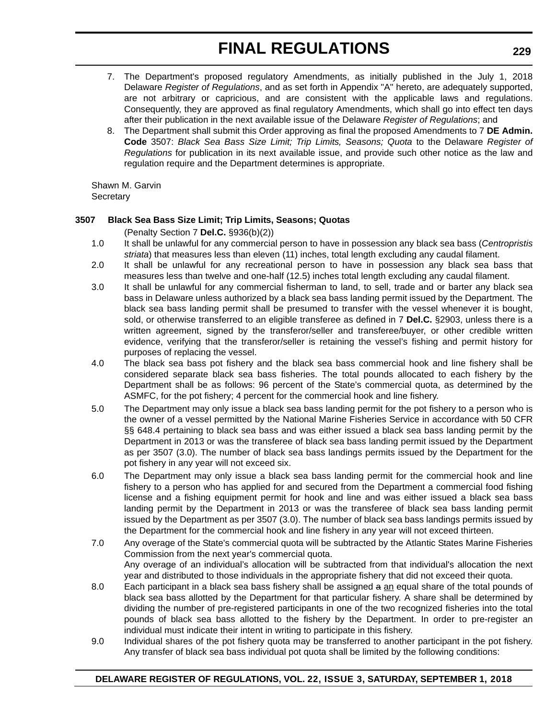- 7. The Department's proposed regulatory Amendments, as initially published in the July 1, 2018 Delaware *Register of Regulations*, and as set forth in Appendix "A" hereto, are adequately supported, are not arbitrary or capricious, and are consistent with the applicable laws and regulations. Consequently, they are approved as final regulatory Amendments, which shall go into effect ten days after their publication in the next available issue of the Delaware *Register of Regulations*; and
- 8. The Department shall submit this Order approving as final the proposed Amendments to 7 **DE Admin. Code** 3507: *Black Sea Bass Size Limit; Trip Limits, Seasons; Quota* to the Delaware *Register of Regulations* for publication in its next available issue, and provide such other notice as the law and regulation require and the Department determines is appropriate.

Shawn M. Garvin **Secretary** 

#### **3507 Black Sea Bass Size Limit; Trip Limits, Seasons; Quotas**

(Penalty Section 7 **Del.C.** §936(b)(2))

- 1.0 It shall be unlawful for any commercial person to have in possession any black sea bass (*Centropristis striata*) that measures less than eleven (11) inches, total length excluding any caudal filament.
- 2.0 It shall be unlawful for any recreational person to have in possession any black sea bass that measures less than twelve and one-half (12.5) inches total length excluding any caudal filament.
- 3.0 It shall be unlawful for any commercial fisherman to land, to sell, trade and or barter any black sea bass in Delaware unless authorized by a black sea bass landing permit issued by the Department. The black sea bass landing permit shall be presumed to transfer with the vessel whenever it is bought, sold, or otherwise transferred to an eligible transferee as defined in 7 **Del.C.** §2903, unless there is a written agreement, signed by the transferor/seller and transferee/buyer, or other credible written evidence, verifying that the transferor/seller is retaining the vessel's fishing and permit history for purposes of replacing the vessel.
- 4.0 The black sea bass pot fishery and the black sea bass commercial hook and line fishery shall be considered separate black sea bass fisheries. The total pounds allocated to each fishery by the Department shall be as follows: 96 percent of the State's commercial quota, as determined by the ASMFC, for the pot fishery; 4 percent for the commercial hook and line fishery.
- 5.0 The Department may only issue a black sea bass landing permit for the pot fishery to a person who is the owner of a vessel permitted by the National Marine Fisheries Service in accordance with 50 CFR §§ 648.4 pertaining to black sea bass and was either issued a black sea bass landing permit by the Department in 2013 or was the transferee of black sea bass landing permit issued by the Department as per 3507 (3.0). The number of black sea bass landings permits issued by the Department for the pot fishery in any year will not exceed six.
- 6.0 The Department may only issue a black sea bass landing permit for the commercial hook and line fishery to a person who has applied for and secured from the Department a commercial food fishing license and a fishing equipment permit for hook and line and was either issued a black sea bass landing permit by the Department in 2013 or was the transferee of black sea bass landing permit issued by the Department as per 3507 (3.0). The number of black sea bass landings permits issued by the Department for the commercial hook and line fishery in any year will not exceed thirteen.
- 7.0 Any overage of the State's commercial quota will be subtracted by the Atlantic States Marine Fisheries Commission from the next year's commercial quota. Any overage of an individual's allocation will be subtracted from that individual's allocation the next year and distributed to those individuals in the appropriate fishery that did not exceed their quota.
- 8.0 Each participant in a black sea bass fishery shall be assigned a an equal share of the total pounds of black sea bass allotted by the Department for that particular fishery. A share shall be determined by dividing the number of pre-registered participants in one of the two recognized fisheries into the total pounds of black sea bass allotted to the fishery by the Department. In order to pre-register an individual must indicate their intent in writing to participate in this fishery.
- 9.0 Individual shares of the pot fishery quota may be transferred to another participant in the pot fishery. Any transfer of black sea bass individual pot quota shall be limited by the following conditions: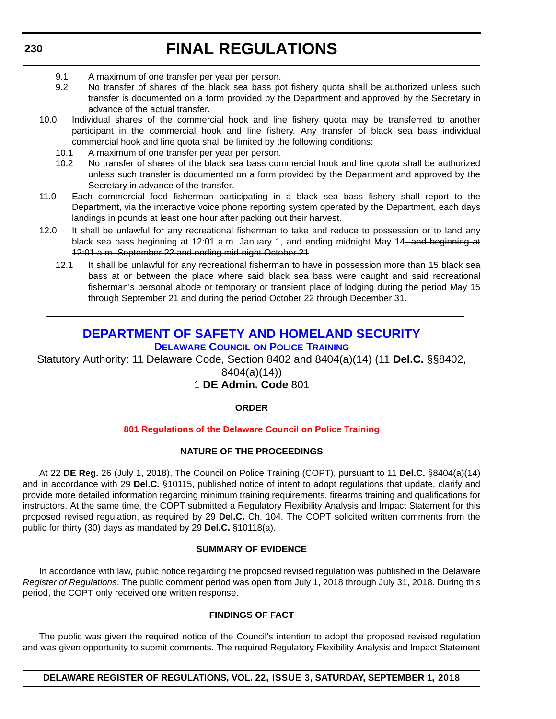- <span id="page-57-0"></span>9.1 A maximum of one transfer per year per person.
- 9.2 No transfer of shares of the black sea bass pot fishery quota shall be authorized unless such transfer is documented on a form provided by the Department and approved by the Secretary in advance of the actual transfer.
- 10.0 Individual shares of the commercial hook and line fishery quota may be transferred to another participant in the commercial hook and line fishery. Any transfer of black sea bass individual commercial hook and line quota shall be limited by the following conditions:
	- 10.1 A maximum of one transfer per year per person.
	- 10.2 No transfer of shares of the black sea bass commercial hook and line quota shall be authorized unless such transfer is documented on a form provided by the Department and approved by the Secretary in advance of the transfer.
- 11.0 Each commercial food fisherman participating in a black sea bass fishery shall report to the Department, via the interactive voice phone reporting system operated by the Department, each days landings in pounds at least one hour after packing out their harvest.
- 12.0 It shall be unlawful for any recreational fisherman to take and reduce to possession or to land any black sea bass beginning at 12:01 a.m. January 1, and ending midnight May 14, and beginning at 12:01 a.m. September 22 and ending mid-night October 21.
	- 12.1 It shall be unlawful for any recreational fisherman to have in possession more than 15 black sea bass at or between the place where said black sea bass were caught and said recreational fisherman's personal abode or temporary or transient place of lodging during the period May 15 through September 21 and during the period October 22 through December 31.

#### **[DEPARTMENT OF SAFETY AND HOMELAND SECURITY](https://dshs.delaware.gov/)**

**[DELAWARE COUNCIL](https://dshs.delaware.gov/) ON POLICE TRAINING**

Statutory Authority: 11 Delaware Code, Section 8402 and 8404(a)(14) (11 **Del.C.** §§8402,

8404(a)(14))

1 **DE Admin. Code** 801

#### **ORDER**

#### **[801 Regulations of the Delaware Council on Police Training](#page-4-0)**

#### **NATURE OF THE PROCEEDINGS**

At 22 **DE Reg.** 26 (July 1, 2018), The Council on Police Training (COPT), pursuant to 11 **Del.C.** §8404(a)(14) and in accordance with 29 **Del.C.** §10115, published notice of intent to adopt regulations that update, clarify and provide more detailed information regarding minimum training requirements, firearms training and qualifications for instructors. At the same time, the COPT submitted a Regulatory Flexibility Analysis and Impact Statement for this proposed revised regulation, as required by 29 **Del.C.** Ch. 104. The COPT solicited written comments from the public for thirty (30) days as mandated by 29 **Del.C.** §10118(a).

#### **SUMMARY OF EVIDENCE**

In accordance with law, public notice regarding the proposed revised regulation was published in the Delaware *Register of Regulations*. The public comment period was open from July 1, 2018 through July 31, 2018. During this period, the COPT only received one written response.

#### **FINDINGS OF FACT**

The public was given the required notice of the Council's intention to adopt the proposed revised regulation and was given opportunity to submit comments. The required Regulatory Flexibility Analysis and Impact Statement

#### **DELAWARE REGISTER OF REGULATIONS, VOL. 22, ISSUE 3, SATURDAY, SEPTEMBER 1, 2018**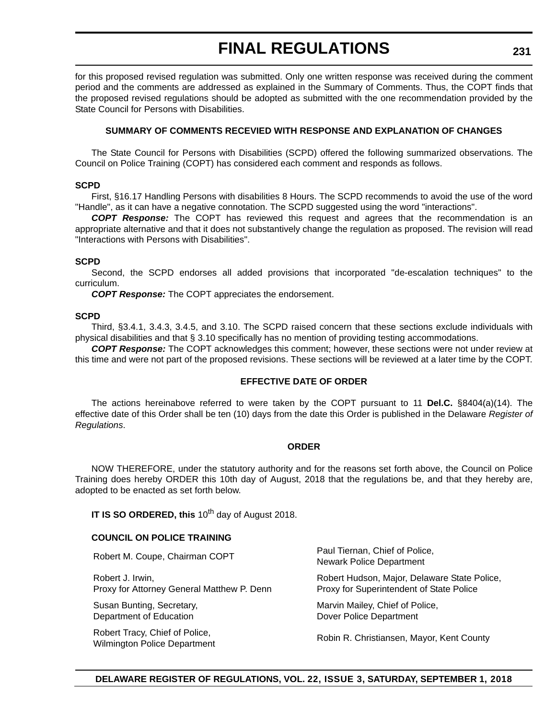for this proposed revised regulation was submitted. Only one written response was received during the comment period and the comments are addressed as explained in the Summary of Comments. Thus, the COPT finds that the proposed revised regulations should be adopted as submitted with the one recommendation provided by the State Council for Persons with Disabilities.

#### **SUMMARY OF COMMENTS RECEVIED WITH RESPONSE AND EXPLANATION OF CHANGES**

The State Council for Persons with Disabilities (SCPD) offered the following summarized observations. The Council on Police Training (COPT) has considered each comment and responds as follows.

#### **SCPD**

First, §16.17 Handling Persons with disabilities 8 Hours. The SCPD recommends to avoid the use of the word "Handle", as it can have a negative connotation. The SCPD suggested using the word "interactions".

*COPT Response:* The COPT has reviewed this request and agrees that the recommendation is an appropriate alternative and that it does not substantively change the regulation as proposed. The revision will read "Interactions with Persons with Disabilities".

#### **SCPD**

Second, the SCPD endorses all added provisions that incorporated "de-escalation techniques" to the curriculum.

*COPT Response:* The COPT appreciates the endorsement.

#### **SCPD**

Third, §3.4.1, 3.4.3, 3.4.5, and 3.10. The SCPD raised concern that these sections exclude individuals with physical disabilities and that § 3.10 specifically has no mention of providing testing accommodations.

*COPT Response:* The COPT acknowledges this comment; however, these sections were not under review at this time and were not part of the proposed revisions. These sections will be reviewed at a later time by the COPT.

#### **EFFECTIVE DATE OF ORDER**

The actions hereinabove referred to were taken by the COPT pursuant to 11 **Del.C.** §8404(a)(14). The effective date of this Order shall be ten (10) days from the date this Order is published in the Delaware *Register of Regulations*.

#### **ORDER**

NOW THEREFORE, under the statutory authority and for the reasons set forth above, the Council on Police Training does hereby ORDER this 10th day of August, 2018 that the regulations be, and that they hereby are, adopted to be enacted as set forth below.

**IT IS SO ORDERED, this** 10<sup>th</sup> day of August 2018.

#### **COUNCIL ON POLICE TRAINING**

Robert J. Irwin, Proxy for Attorney General Matthew P. Denn

Susan Bunting, Secretary, Department of Education

Robert Tracy, Chief of Police, Robert Hacy, Chief of Folice,<br>Wilmington Police Department Robin R. Christiansen, Mayor, Kent County

Robert M. Coupe, Chairman COPT Paul Tiernan, Chief of Police, Newark Police Department

> Robert Hudson, Major, Delaware State Police, Proxy for Superintendent of State Police

Marvin Mailey, Chief of Police, Dover Police Department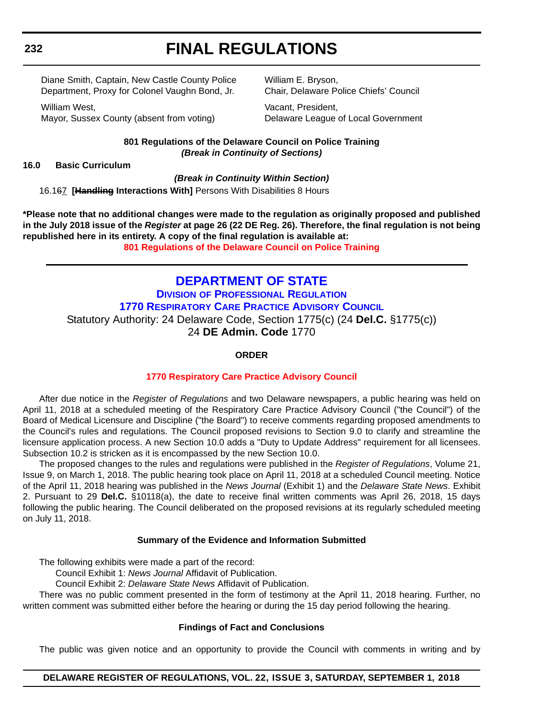<span id="page-59-0"></span>Diane Smith, Captain, New Castle County Police Department, Proxy for Colonel Vaughn Bond, Jr.

William West, Mayor, Sussex County (absent from voting) William E. Bryson, Chair, Delaware Police Chiefs' Council

Vacant, President, Delaware League of Local Government

**801 Regulations of the Delaware Council on Police Training** *(Break in Continuity of Sections)*

#### **16.0 Basic Curriculum**

#### *(Break in Continuity Within Section)*

16.167 **[Handling Interactions With]** Persons With Disabilities 8 Hours

**\*Please note that no additional changes were made to the regulation as originally proposed and published in the July 2018 issue of the** *Register* **at page 26 (22 DE Reg. 26). Therefore, the final regulation is not being republished here in its entirety. A copy of the final regulation is available at: [801 Regulations of the Delaware Council on Police Training](http://regulations.delaware.gov/register/september2018/final/22 DE Reg 230 09-01-18.htm)** 

#### **[DEPARTMENT OF STATE](https://sos.delaware.gov/)**

**DIVISION [OF PROFESSIONAL REGULATION](https://dpr.delaware.gov/) [1770 RESPIRATORY CARE PRACTICE ADVISORY COUNCIL](https://dpr.delaware.gov/)** Statutory Authority: 24 Delaware Code, Section 1775(c) (24 **Del.C.** §1775(c)) 24 **DE Admin. Code** 1770

#### **ORDER**

#### **[1770 Respiratory Care Practice Advisory Council](#page-4-0)**

After due notice in the *Register of Regulations* and two Delaware newspapers, a public hearing was held on April 11, 2018 at a scheduled meeting of the Respiratory Care Practice Advisory Council ("the Council") of the Board of Medical Licensure and Discipline ("the Board") to receive comments regarding proposed amendments to the Council's rules and regulations. The Council proposed revisions to Section 9.0 to clarify and streamline the licensure application process. A new Section 10.0 adds a "Duty to Update Address" requirement for all licensees. Subsection 10.2 is stricken as it is encompassed by the new Section 10.0.

The proposed changes to the rules and regulations were published in the *Register of Regulations*, Volume 21, Issue 9, on March 1, 2018. The public hearing took place on April 11, 2018 at a scheduled Council meeting. Notice of the April 11, 2018 hearing was published in the *News Journal* (Exhibit 1) and the *Delaware State News*. Exhibit 2. Pursuant to 29 **Del.C.** §10118(a), the date to receive final written comments was April 26, 2018, 15 days following the public hearing. The Council deliberated on the proposed revisions at its regularly scheduled meeting on July 11, 2018.

#### **Summary of the Evidence and Information Submitted**

The following exhibits were made a part of the record:

Council Exhibit 1: *News Journal* Affidavit of Publication.

Council Exhibit 2: *Delaware State News* Affidavit of Publication.

There was no public comment presented in the form of testimony at the April 11, 2018 hearing. Further, no written comment was submitted either before the hearing or during the 15 day period following the hearing.

#### **Findings of Fact and Conclusions**

The public was given notice and an opportunity to provide the Council with comments in writing and by

#### **DELAWARE REGISTER OF REGULATIONS, VOL. 22, ISSUE 3, SATURDAY, SEPTEMBER 1, 2018**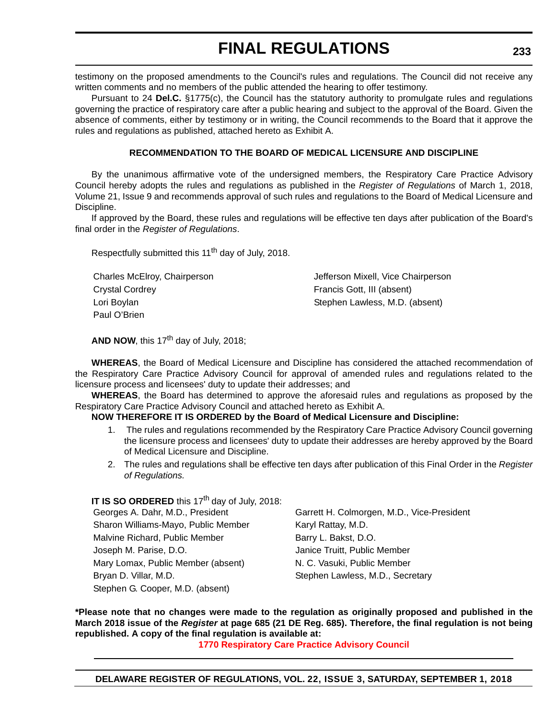testimony on the proposed amendments to the Council's rules and regulations. The Council did not receive any written comments and no members of the public attended the hearing to offer testimony.

Pursuant to 24 **Del.C.** §1775(c), the Council has the statutory authority to promulgate rules and regulations governing the practice of respiratory care after a public hearing and subject to the approval of the Board. Given the absence of comments, either by testimony or in writing, the Council recommends to the Board that it approve the rules and regulations as published, attached hereto as Exhibit A.

#### **RECOMMENDATION TO THE BOARD OF MEDICAL LICENSURE AND DISCIPLINE**

By the unanimous affirmative vote of the undersigned members, the Respiratory Care Practice Advisory Council hereby adopts the rules and regulations as published in the *Register of Regulations* of March 1, 2018, Volume 21, Issue 9 and recommends approval of such rules and regulations to the Board of Medical Licensure and Discipline.

If approved by the Board, these rules and regulations will be effective ten days after publication of the Board's final order in the *Register of Regulations*.

Respectfully submitted this 11<sup>th</sup> day of July, 2018.

| Charles McElroy, Chairperson | Jefferson Mixell, Vice Chairperson |
|------------------------------|------------------------------------|
| Crystal Cordrey              | Francis Gott, III (absent)         |
| Lori Boylan                  | Stephen Lawless, M.D. (absent)     |
| Paul O'Brien                 |                                    |

AND NOW, this 17<sup>th</sup> day of July, 2018:

**WHEREAS**, the Board of Medical Licensure and Discipline has considered the attached recommendation of the Respiratory Care Practice Advisory Council for approval of amended rules and regulations related to the licensure process and licensees' duty to update their addresses; and

**WHEREAS**, the Board has determined to approve the aforesaid rules and regulations as proposed by the Respiratory Care Practice Advisory Council and attached hereto as Exhibit A.

#### **NOW THEREFORE IT IS ORDERED by the Board of Medical Licensure and Discipline:**

- 1. The rules and regulations recommended by the Respiratory Care Practice Advisory Council governing the licensure process and licensees' duty to update their addresses are hereby approved by the Board of Medical Licensure and Discipline.
- 2. The rules and regulations shall be effective ten days after publication of this Final Order in the *Register of Regulations.*

#### **IT IS SO ORDERED** this 17<sup>th</sup> day of July, 2018:

| Georges A. Dahr, M.D., President    | Garrett H. Colmorgen, M.D., Vice-President |
|-------------------------------------|--------------------------------------------|
| Sharon Williams-Mayo, Public Member | Karyl Rattay, M.D.                         |
| Malvine Richard, Public Member      | Barry L. Bakst, D.O.                       |
| Joseph M. Parise, D.O.              | Janice Truitt, Public Member               |
| Mary Lomax, Public Member (absent)  | N. C. Vasuki, Public Member                |
| Bryan D. Villar, M.D.               | Stephen Lawless, M.D., Secretary           |
| Stephen G. Cooper, M.D. (absent)    |                                            |

**\*Please note that no changes were made to the regulation as originally proposed and published in the March 2018 issue of the** *Register* **at page 685 (21 DE Reg. 685). Therefore, the final regulation is not being republished. A copy of the final regulation is available at:**

**[1770 Respiratory Care Practice Advisory Council](http://regulations.delaware.gov/register/september2018/final/22 DE Reg 232 09-01-18.htm)**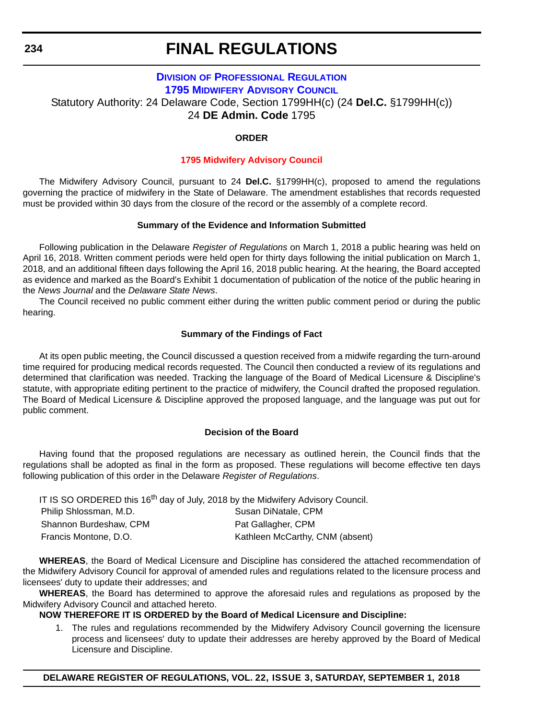#### **DIVISION [OF PROFESSIONAL REGULATION](https://dpr.delaware.gov/) [1795 MIDWIFERY ADVISORY COUNCIL](https://dpr.delaware.gov/)** Statutory Authority: 24 Delaware Code, Section 1799HH(c) (24 **Del.C.** §1799HH(c)) 24 **DE Admin. Code** 1795

#### **ORDER**

#### **[1795 Midwifery Advisory Council](#page-4-0)**

The Midwifery Advisory Council, pursuant to 24 **Del.C.** §1799HH(c), proposed to amend the regulations governing the practice of midwifery in the State of Delaware. The amendment establishes that records requested must be provided within 30 days from the closure of the record or the assembly of a complete record.

#### **Summary of the Evidence and Information Submitted**

Following publication in the Delaware *Register of Regulations* on March 1, 2018 a public hearing was held on April 16, 2018. Written comment periods were held open for thirty days following the initial publication on March 1, 2018, and an additional fifteen days following the April 16, 2018 public hearing. At the hearing, the Board accepted as evidence and marked as the Board's Exhibit 1 documentation of publication of the notice of the public hearing in the *News Journal* and the *Delaware State News*.

The Council received no public comment either during the written public comment period or during the public hearing.

#### **Summary of the Findings of Fact**

At its open public meeting, the Council discussed a question received from a midwife regarding the turn-around time required for producing medical records requested. The Council then conducted a review of its regulations and determined that clarification was needed. Tracking the language of the Board of Medical Licensure & Discipline's statute, with appropriate editing pertinent to the practice of midwifery, the Council drafted the proposed regulation. The Board of Medical Licensure & Discipline approved the proposed language, and the language was put out for public comment.

#### **Decision of the Board**

Having found that the proposed regulations are necessary as outlined herein, the Council finds that the regulations shall be adopted as final in the form as proposed. These regulations will become effective ten days following publication of this order in the Delaware *Register of Regulations*.

| IT IS SO ORDERED this 16 <sup>th</sup> day of July, 2018 by the Midwifery Advisory Council. |                                 |
|---------------------------------------------------------------------------------------------|---------------------------------|
| Philip Shlossman, M.D.                                                                      | Susan DiNatale, CPM             |
| Shannon Burdeshaw, CPM                                                                      | Pat Gallagher, CPM              |
| Francis Montone, D.O.                                                                       | Kathleen McCarthy, CNM (absent) |

**WHEREAS**, the Board of Medical Licensure and Discipline has considered the attached recommendation of the Midwifery Advisory Council for approval of amended rules and regulations related to the licensure process and licensees' duty to update their addresses; and

**WHEREAS**, the Board has determined to approve the aforesaid rules and regulations as proposed by the Midwifery Advisory Council and attached hereto.

#### **NOW THEREFORE IT IS ORDERED by the Board of Medical Licensure and Discipline:**

1. The rules and regulations recommended by the Midwifery Advisory Council governing the licensure process and licensees' duty to update their addresses are hereby approved by the Board of Medical Licensure and Discipline.

<span id="page-61-0"></span>**234**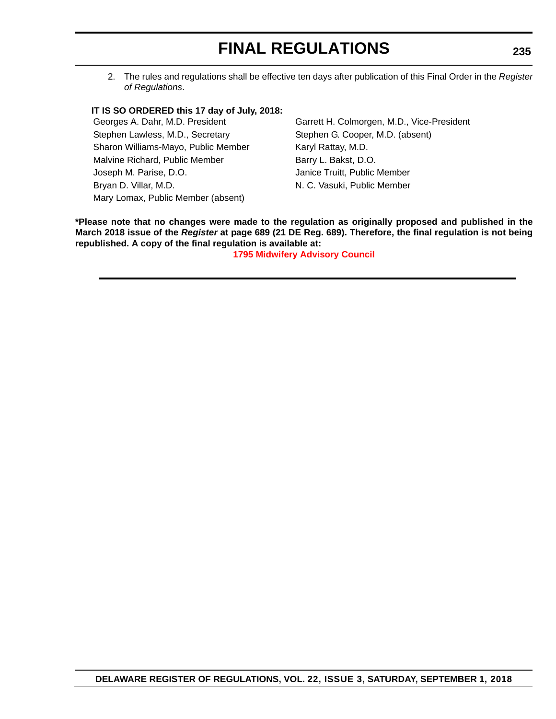2. The rules and regulations shall be effective ten days after publication of this Final Order in the *Register of Regulations*.

#### **IT IS SO ORDERED this 17 day of July, 2018:**

Stephen Lawless, M.D., Secretary Stephen G. Cooper, M.D. (absent) Sharon Williams-Mayo, Public Member Karyl Rattay, M.D. Malvine Richard, Public Member Barry L. Bakst, D.O. Joseph M. Parise, D.O. Janice Truitt, Public Member Bryan D. Villar, M.D. N. N. C. Vasuki, Public Member Mary Lomax, Public Member (absent)

Georges A. Dahr, M.D. President Garrett H. Colmorgen, M.D., Vice-President

**\*Please note that no changes were made to the regulation as originally proposed and published in the March 2018 issue of the** *Register* **at page 689 (21 DE Reg. 689). Therefore, the final regulation is not being republished. A copy of the final regulation is available at:**

**[1795 Midwifery Advisory Council](http://regulations.delaware.gov/register/september2018/final/22 DE Reg 234 09-01-18.htm)**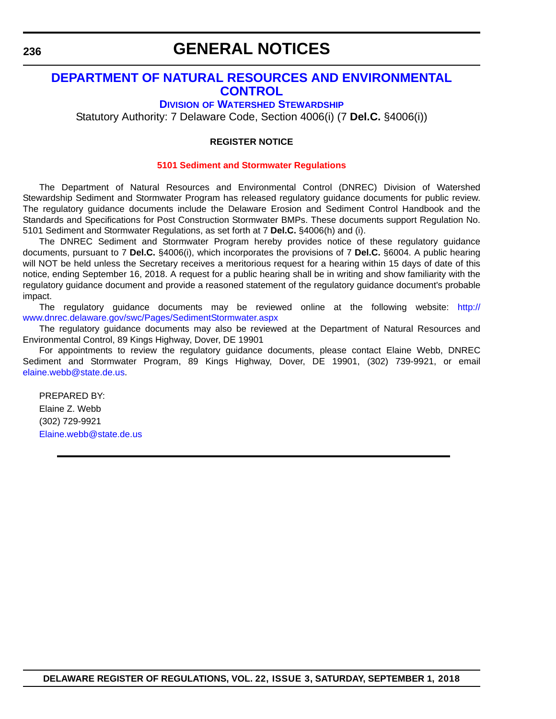### **GENERAL NOTICES**

#### <span id="page-63-0"></span>**[DEPARTMENT OF NATURAL RESOURCES AND ENVIRONMENTAL](https://dnrec.alpha.delaware.gov/)  CONTROL**

#### **DIVISION [OF WATERSHED STEWARDSHIP](https://dnrec.alpha.delaware.gov/watershed-stewardship/)**

Statutory Authority: 7 Delaware Code, Section 4006(i) (7 **Del.C.** §4006(i))

#### **REGISTER NOTICE**

#### **[5101 Sediment and Stormwater Regulations](#page-4-0)**

The Department of Natural Resources and Environmental Control (DNREC) Division of Watershed Stewardship Sediment and Stormwater Program has released regulatory guidance documents for public review. The regulatory guidance documents include the Delaware Erosion and Sediment Control Handbook and the Standards and Specifications for Post Construction Stormwater BMPs. These documents support Regulation No. 5101 Sediment and Stormwater Regulations, as set forth at 7 **Del.C.** §4006(h) and (i).

The DNREC Sediment and Stormwater Program hereby provides notice of these regulatory guidance documents, pursuant to 7 **Del.C.** §4006(i), which incorporates the provisions of 7 **Del.C.** §6004. A public hearing will NOT be held unless the Secretary receives a meritorious request for a hearing within 15 days of date of this notice, ending September 16, 2018. A request for a public hearing shall be in writing and show familiarity with the regulatory guidance document and provide a reasoned statement of the regulatory guidance document's probable impact.

The regulatory guidance documents may be reviewed online at the following website: [http://](http://www.dnrec.delaware.gov/swc/Pages/SedimentStormwater.aspx) [www.dnrec.delaware.gov/swc/Pages/SedimentStormwater.aspx](http://www.dnrec.delaware.gov/swc/Pages/SedimentStormwater.aspx)

The regulatory guidance documents may also be reviewed at the Department of Natural Resources and Environmental Control, 89 Kings Highway, Dover, DE 19901

For appointments to review the regulatory guidance documents, please contact Elaine Webb, DNREC Sediment and Stormwater Program, 89 Kings Highway, Dover, DE 19901, (302) 739-9921, or email [elaine.webb@state.de.us](mailto:elaine.webb@state.de.us).

PREPARED BY: Elaine Z. Webb (302) 729-9921 [Elaine.webb@state.de.us](mailto:Elaine.webb@state.de.us)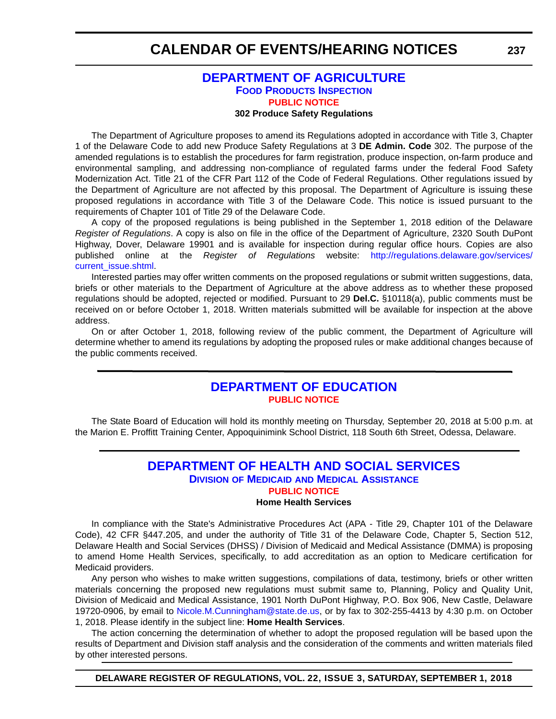#### **[DEPARTMENT OF AGRICULTURE](https://agriculture.delaware.gov/food-products-inspection/) [FOOD PRODUCTS INSPECTION](https://agriculture.delaware.gov/food-products-inspection/) [PUBLIC NOTICE](#page-4-0) 302 Produce Safety Regulations**

<span id="page-64-0"></span>The Department of Agriculture proposes to amend its Regulations adopted in accordance with Title 3, Chapter 1 of the Delaware Code to add new Produce Safety Regulations at 3 **DE Admin. Code** 302. The purpose of the amended regulations is to establish the procedures for farm registration, produce inspection, on-farm produce and environmental sampling, and addressing non-compliance of regulated farms under the federal Food Safety Modernization Act. Title 21 of the CFR Part 112 of the Code of Federal Regulations. Other regulations issued by the Department of Agriculture are not affected by this proposal. The Department of Agriculture is issuing these proposed regulations in accordance with Title 3 of the Delaware Code. This notice is issued pursuant to the requirements of Chapter 101 of Title 29 of the Delaware Code.

#### A copy of the proposed regulations is being published in the September 1, 2018 edition of the Delaware *Register of Regulations*. A copy is also on file in the office of the Department of Agriculture, 2320 South DuPont Highway, Dover, Delaware 19901 and is available for inspection during regular office hours. Copies are also published online at the *Register of Regulations* website: [http://regulations.delaware.gov/services/](http://regulations.delaware.gov/services/current_issue.shtml) [current\\_issue.shtml](http://regulations.delaware.gov/services/current_issue.shtml)

Interested parties may offer written comments on the proposed regulations or submit written suggestions, data, briefs or other materials to the Department of Agriculture at the above address as to whether these proposed regulations should be adopted, rejected or modified. Pursuant to 29 **Del.C.** §10118(a), public comments must be received on or before October 1, 2018. Written materials submitted will be available for inspection at the above address.

On or after October 1, 2018, following review of the public comment, the Department of Agriculture will determine whether to amend its regulations by adopting the proposed rules or make additional changes because of the public comments received.

#### **[DEPARTMENT OF EDUCATION](https://www.doe.k12.de.us/) [PUBLIC NOTICE](#page-4-0)**

The State Board of Education will hold its monthly meeting on Thursday, September 20, 2018 at 5:00 p.m. at the Marion E. Proffitt Training Center, Appoquinimink School District, 118 South 6th Street, Odessa, Delaware.

#### **[DEPARTMENT OF HEALTH AND SOCIAL SERVICES](https://www.dhss.delaware.gov/dhss/index.html) DIVISION OF MEDICAID [AND MEDICAL ASSISTANCE](https://www.dhss.delaware.gov/dhss/dmma/) [PUBLIC NOTICE](#page-4-0)**

#### **Home Health Services**

In compliance with the State's Administrative Procedures Act (APA - Title 29, Chapter 101 of the Delaware Code), 42 CFR §447.205, and under the authority of Title 31 of the Delaware Code, Chapter 5, Section 512, Delaware Health and Social Services (DHSS) / Division of Medicaid and Medical Assistance (DMMA) is proposing to amend Home Health Services, specifically, to add accreditation as an option to Medicare certification for Medicaid providers.

Any person who wishes to make written suggestions, compilations of data, testimony, briefs or other written materials concerning the proposed new regulations must submit same to, Planning, Policy and Quality Unit, Division of Medicaid and Medical Assistance, 1901 North DuPont Highway, P.O. Box 906, New Castle, Delaware 19720-0906, by email to [Nicole.M.Cunningham@state.de.us,](mailto:Nicole.M.Cunningham@state.de.us) or by fax to 302-255-4413 by 4:30 p.m. on October 1, 2018. Please identify in the subject line: **Home Health Services**.

The action concerning the determination of whether to adopt the proposed regulation will be based upon the results of Department and Division staff analysis and the consideration of the comments and written materials filed by other interested persons.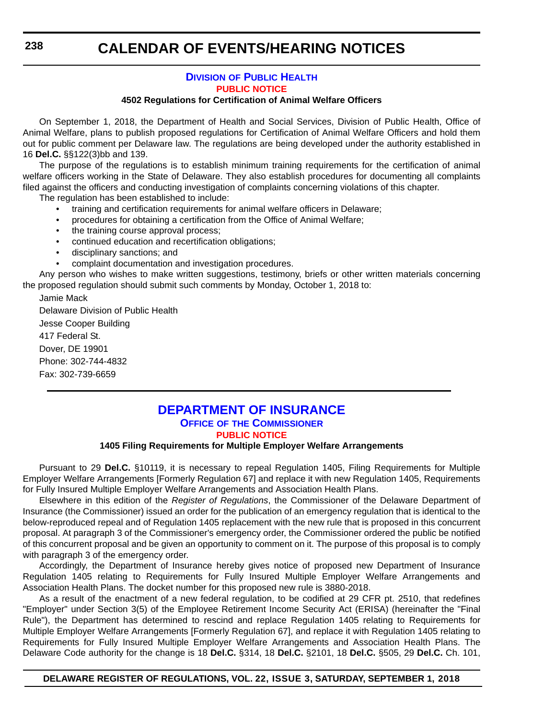#### **DIVISION [OF PUBLIC HEALTH](https://www.dhss.delaware.gov/dhss/dph/index.html) [PUBLIC NOTICE](#page-4-0)**

#### **4502 Regulations for Certification of Animal Welfare Officers**

<span id="page-65-0"></span>On September 1, 2018, the Department of Health and Social Services, Division of Public Health, Office of Animal Welfare, plans to publish proposed regulations for Certification of Animal Welfare Officers and hold them out for public comment per Delaware law. The regulations are being developed under the authority established in 16 **Del.C.** §§122(3)bb and 139.

The purpose of the regulations is to establish minimum training requirements for the certification of animal welfare officers working in the State of Delaware. They also establish procedures for documenting all complaints filed against the officers and conducting investigation of complaints concerning violations of this chapter.

The regulation has been established to include:

- training and certification requirements for animal welfare officers in Delaware;
- procedures for obtaining a certification from the Office of Animal Welfare;
- the training course approval process;
- continued education and recertification obligations;
- disciplinary sanctions; and
- complaint documentation and investigation procedures.

Any person who wishes to make written suggestions, testimony, briefs or other written materials concerning the proposed regulation should submit such comments by Monday, October 1, 2018 to:

Jamie Mack

Delaware Division of Public Health

Jesse Cooper Building 417 Federal St. Dover, DE 19901 Phone: 302-744-4832 Fax: 302-739-6659

#### **[DEPARTMENT OF INSURANCE](https://insurance.delaware.gov/) OFFICE OF [THE COMMISSIONER](https://insurance.delaware.gov/) [PUBLIC NOTICE](#page-4-0)**

#### **1405 Filing Requirements for Multiple Employer Welfare Arrangements**

Pursuant to 29 **Del.C.** §10119, it is necessary to repeal Regulation 1405, Filing Requirements for Multiple Employer Welfare Arrangements [Formerly Regulation 67] and replace it with new Regulation 1405, Requirements for Fully Insured Multiple Employer Welfare Arrangements and Association Health Plans.

Elsewhere in this edition of the *Register of Regulations*, the Commissioner of the Delaware Department of Insurance (the Commissioner) issued an order for the publication of an emergency regulation that is identical to the below-reproduced repeal and of Regulation 1405 replacement with the new rule that is proposed in this concurrent proposal. At paragraph 3 of the Commissioner's emergency order, the Commissioner ordered the public be notified of this concurrent proposal and be given an opportunity to comment on it. The purpose of this proposal is to comply with paragraph 3 of the emergency order.

Accordingly, the Department of Insurance hereby gives notice of proposed new Department of Insurance Regulation 1405 relating to Requirements for Fully Insured Multiple Employer Welfare Arrangements and Association Health Plans. The docket number for this proposed new rule is 3880-2018.

As a result of the enactment of a new federal regulation, to be codified at 29 CFR pt. 2510, that redefines "Employer" under Section 3(5) of the Employee Retirement Income Security Act (ERISA) (hereinafter the "Final Rule"), the Department has determined to rescind and replace Regulation 1405 relating to Requirements for Multiple Employer Welfare Arrangements [Formerly Regulation 67], and replace it with Regulation 1405 relating to Requirements for Fully Insured Multiple Employer Welfare Arrangements and Association Health Plans. The Delaware Code authority for the change is 18 **Del.C.** §314, 18 **Del.C.** §2101, 18 **Del.C.** §505, 29 **Del.C.** Ch. 101,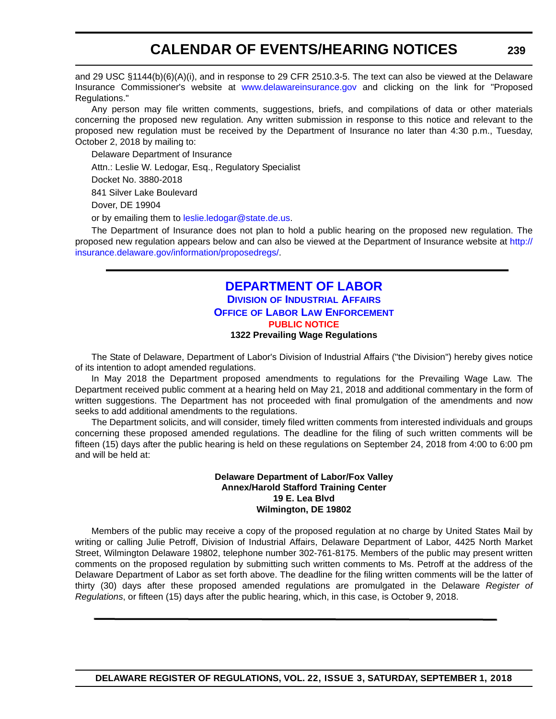<span id="page-66-0"></span>and 29 USC §1144(b)(6)(A)(i), and in response to 29 CFR 2510.3-5. The text can also be viewed at the Delaware Insurance Commissioner's website at <www.delawareinsurance.gov>and clicking on the link for "Proposed Regulations."

Any person may file written comments, suggestions, briefs, and compilations of data or other materials concerning the proposed new regulation. Any written submission in response to this notice and relevant to the proposed new regulation must be received by the Department of Insurance no later than 4:30 p.m., Tuesday, October 2, 2018 by mailing to:

Delaware Department of Insurance Attn.: Leslie W. Ledogar, Esq., Regulatory Specialist Docket No. 3880-2018 841 Silver Lake Boulevard Dover, DE 19904 or by emailing them to [leslie.ledogar@state.de.us.](mailto:leslie.ledogar@state.de.us)

The Department of Insurance does not plan to hold a public hearing on the proposed new regulation. The proposed new regulation appears below and can also be viewed at the Department of Insurance website at [http://](http://insurance.delaware.gov/information/proposedregs/) [insurance.delaware.gov/information/proposedregs/](http://insurance.delaware.gov/information/proposedregs/).

#### **[DEPARTMENT OF LABOR](https://dia.delawareworks.com/) DIVISION [OF INDUSTRIAL AFFAIRS](https://dia.delawareworks.com/) OFFICE [OF LABOR LAW ENFORCEMENT](https://dia.delawareworks.com/) [PUBLIC NOTICE](#page-4-0) 1322 Prevailing Wage Regulations**

The State of Delaware, Department of Labor's Division of Industrial Affairs ("the Division") hereby gives notice of its intention to adopt amended regulations.

In May 2018 the Department proposed amendments to regulations for the Prevailing Wage Law. The Department received public comment at a hearing held on May 21, 2018 and additional commentary in the form of written suggestions. The Department has not proceeded with final promulgation of the amendments and now seeks to add additional amendments to the regulations.

The Department solicits, and will consider, timely filed written comments from interested individuals and groups concerning these proposed amended regulations. The deadline for the filing of such written comments will be fifteen (15) days after the public hearing is held on these regulations on September 24, 2018 from 4:00 to 6:00 pm and will be held at:

#### **Delaware Department of Labor/Fox Valley Annex/Harold Stafford Training Center 19 E. Lea Blvd Wilmington, DE 19802**

Members of the public may receive a copy of the proposed regulation at no charge by United States Mail by writing or calling Julie Petroff, Division of Industrial Affairs, Delaware Department of Labor, 4425 North Market Street, Wilmington Delaware 19802, telephone number 302-761-8175. Members of the public may present written comments on the proposed regulation by submitting such written comments to Ms. Petroff at the address of the Delaware Department of Labor as set forth above. The deadline for the filing written comments will be the latter of thirty (30) days after these proposed amended regulations are promulgated in the Delaware *Register of Regulations*, or fifteen (15) days after the public hearing, which, in this case, is October 9, 2018.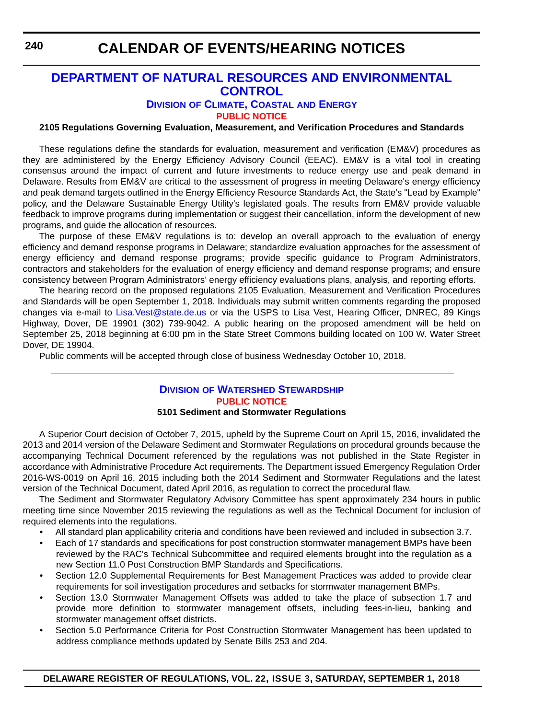#### <span id="page-67-0"></span>**[DEPARTMENT OF NATURAL RESOURCES AND ENVIRONMENTAL](https://dnrec.alpha.delaware.gov/)  CONTROL**

**DIVISION [OF CLIMATE, COASTAL](https://dnrec.alpha.delaware.gov/energy-climate/) AND ENERGY**

**[PUBLIC NOTICE](#page-4-0)**

#### **2105 Regulations Governing Evaluation, Measurement, and Verification Procedures and Standards**

These regulations define the standards for evaluation, measurement and verification (EM&V) procedures as they are administered by the Energy Efficiency Advisory Council (EEAC). EM&V is a vital tool in creating consensus around the impact of current and future investments to reduce energy use and peak demand in Delaware. Results from EM&V are critical to the assessment of progress in meeting Delaware's energy efficiency and peak demand targets outlined in the Energy Efficiency Resource Standards Act, the State's "Lead by Example" policy, and the Delaware Sustainable Energy Utility's legislated goals. The results from EM&V provide valuable feedback to improve programs during implementation or suggest their cancellation, inform the development of new programs, and guide the allocation of resources.

The purpose of these EM&V regulations is to: develop an overall approach to the evaluation of energy efficiency and demand response programs in Delaware; standardize evaluation approaches for the assessment of energy efficiency and demand response programs; provide specific guidance to Program Administrators, contractors and stakeholders for the evaluation of energy efficiency and demand response programs; and ensure consistency between Program Administrators' energy efficiency evaluations plans, analysis, and reporting efforts.

The hearing record on the proposed regulations 2105 Evaluation, Measurement and Verification Procedures [and Standards will be open September 1, 2018. Individuals may submit written comments regarding the proposed](mailto: Lisa.Vest@state.de.us) [changes via e-mail to L](mailto: Lisa.Vest@state.de.us)isa.Vest@state.de.us or via the USPS to Lisa Vest, Hearing Officer, DNREC, 89 Kings Highway, Dover, DE 19901 (302) 739-9042. A public hearing on the proposed amendment will be held on September 25, 2018 beginning at 6:00 pm in the State Street Commons building located on 100 W. Water Street Dover, DE 19904.

Public comments will be accepted through close of business Wednesday October 10, 2018.

#### **DIVISION [OF WATERSHED STEWARDSHIP](https://dnrec.alpha.delaware.gov/watershed-stewardship/) [PUBLIC NOTICE](#page-4-0) 5101 Sediment and Stormwater Regulations**

A Superior Court decision of October 7, 2015, upheld by the Supreme Court on April 15, 2016, invalidated the 2013 and 2014 version of the Delaware Sediment and Stormwater Regulations on procedural grounds because the accompanying Technical Document referenced by the regulations was not published in the State Register in accordance with Administrative Procedure Act requirements. The Department issued Emergency Regulation Order 2016-WS-0019 on April 16, 2015 including both the 2014 Sediment and Stormwater Regulations and the latest version of the Technical Document, dated April 2016, as regulation to correct the procedural flaw.

The Sediment and Stormwater Regulatory Advisory Committee has spent approximately 234 hours in public meeting time since November 2015 reviewing the regulations as well as the Technical Document for inclusion of required elements into the regulations.

- All standard plan applicability criteria and conditions have been reviewed and included in subsection 3.7.
- Each of 17 standards and specifications for post construction stormwater management BMPs have been reviewed by the RAC's Technical Subcommittee and required elements brought into the regulation as a new Section 11.0 Post Construction BMP Standards and Specifications.
- Section 12.0 Supplemental Requirements for Best Management Practices was added to provide clear requirements for soil investigation procedures and setbacks for stormwater management BMPs.
- Section 13.0 Stormwater Management Offsets was added to take the place of subsection 1.7 and provide more definition to stormwater management offsets, including fees-in-lieu, banking and stormwater management offset districts.
- Section 5.0 Performance Criteria for Post Construction Stormwater Management has been updated to address compliance methods updated by Senate Bills 253 and 204.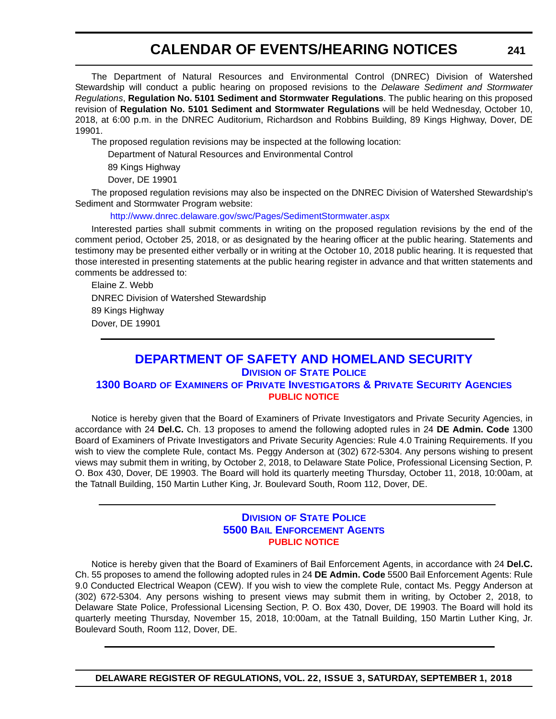<span id="page-68-0"></span>The Department of Natural Resources and Environmental Control (DNREC) Division of Watershed Stewardship will conduct a public hearing on proposed revisions to the *Delaware Sediment and Stormwater Regulations*, **Regulation No. 5101 Sediment and Stormwater Regulations**. The public hearing on this proposed revision of **Regulation No. 5101 Sediment and Stormwater Regulations** will be held Wednesday, October 10, 2018, at 6:00 p.m. in the DNREC Auditorium, Richardson and Robbins Building, 89 Kings Highway, Dover, DE 19901.

The proposed regulation revisions may be inspected at the following location:

Department of Natural Resources and Environmental Control

89 Kings Highway

Dover, DE 19901

The proposed regulation revisions may also be inspected on the DNREC Division of Watershed Stewardship's Sediment and Stormwater Program website:

#### <http://www.dnrec.delaware.gov/swc/Pages/SedimentStormwater.aspx>

Interested parties shall submit comments in writing on the proposed regulation revisions by the end of the comment period, October 25, 2018, or as designated by the hearing officer at the public hearing. Statements and testimony may be presented either verbally or in writing at the October 10, 2018 public hearing. It is requested that those interested in presenting statements at the public hearing register in advance and that written statements and comments be addressed to:

Elaine Z. Webb DNREC Division of Watershed Stewardship 89 Kings Highway Dover, DE 19901

### **[DEPARTMENT OF SAFETY AND HOMELAND SECURITY](https://dshs.delaware.gov/)**

**DIVISION [OF STATE POLICE](http://dsp.delaware.gov/)**

#### **1300 BOARD OF EXAMINERS [OF PRIVATE INVESTIGATORS & PRIVATE SECURITY AGENCIES](http://dsp.delaware.gov/) [PUBLIC NOTICE](#page-4-0)**

Notice is hereby given that the Board of Examiners of Private Investigators and Private Security Agencies, in accordance with 24 **Del.C.** Ch. 13 proposes to amend the following adopted rules in 24 **DE Admin. Code** 1300 Board of Examiners of Private Investigators and Private Security Agencies: Rule 4.0 Training Requirements. If you wish to view the complete Rule, contact Ms. Peggy Anderson at (302) 672-5304. Any persons wishing to present views may submit them in writing, by October 2, 2018, to Delaware State Police, Professional Licensing Section, P. O. Box 430, Dover, DE 19903. The Board will hold its quarterly meeting Thursday, October 11, 2018, 10:00am, at the Tatnall Building, 150 Martin Luther King, Jr. Boulevard South, Room 112, Dover, DE.

#### **DIVISION [OF STATE POLICE](http://dsp.delaware.gov/) [5500 BAIL ENFORCEMENT AGENTS](http://dsp.delaware.gov/) [PUBLIC NOTICE](#page-4-0)**

Notice is hereby given that the Board of Examiners of Bail Enforcement Agents, in accordance with 24 **Del.C.** Ch. 55 proposes to amend the following adopted rules in 24 **DE Admin. Code** 5500 Bail Enforcement Agents: Rule 9.0 Conducted Electrical Weapon (CEW). If you wish to view the complete Rule, contact Ms. Peggy Anderson at (302) 672-5304. Any persons wishing to present views may submit them in writing, by October 2, 2018, to Delaware State Police, Professional Licensing Section, P. O. Box 430, Dover, DE 19903. The Board will hold its quarterly meeting Thursday, November 15, 2018, 10:00am, at the Tatnall Building, 150 Martin Luther King, Jr. Boulevard South, Room 112, Dover, DE.